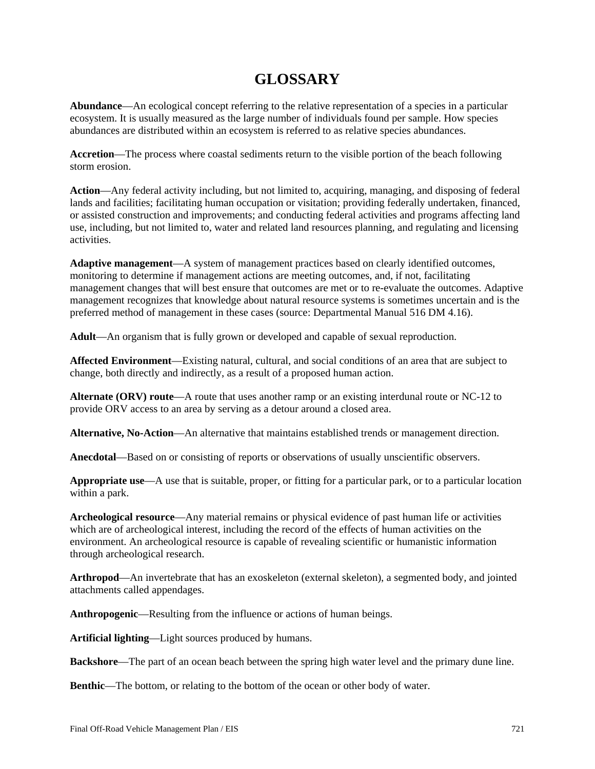# **GLOSSARY**

**Abundance**—An ecological concept referring to the relative representation of a species in a particular ecosystem. It is usually measured as the large number of individuals found per sample. How species abundances are distributed within an ecosystem is referred to as relative species abundances.

**Accretion**—The process where coastal sediments return to the visible portion of the beach following storm erosion.

**Action**—Any federal activity including, but not limited to, acquiring, managing, and disposing of federal lands and facilities; facilitating human occupation or visitation; providing federally undertaken, financed, or assisted construction and improvements; and conducting federal activities and programs affecting land use, including, but not limited to, water and related land resources planning, and regulating and licensing activities.

**Adaptive management**—A system of management practices based on clearly identified outcomes, monitoring to determine if management actions are meeting outcomes, and, if not, facilitating management changes that will best ensure that outcomes are met or to re-evaluate the outcomes. Adaptive management recognizes that knowledge about natural resource systems is sometimes uncertain and is the preferred method of management in these cases (source: Departmental Manual 516 DM 4.16).

**Adult**—An organism that is fully grown or developed and capable of sexual reproduction.

**Affected Environment**—Existing natural, cultural, and social conditions of an area that are subject to change, both directly and indirectly, as a result of a proposed human action.

**Alternate (ORV) route**—A route that uses another ramp or an existing interdunal route or NC-12 to provide ORV access to an area by serving as a detour around a closed area.

**Alternative, No-Action**—An alternative that maintains established trends or management direction.

**Anecdotal**—Based on or consisting of reports or observations of usually unscientific observers.

**Appropriate use**—A use that is suitable, proper, or fitting for a particular park, or to a particular location within a park.

**Archeological resource**—Any material remains or physical evidence of past human life or activities which are of archeological interest, including the record of the effects of human activities on the environment. An archeological resource is capable of revealing scientific or humanistic information through archeological research.

**Arthropod**—An invertebrate that has an exoskeleton (external skeleton), a segmented body, and jointed attachments called appendages.

**Anthropogenic**—Resulting from the influence or actions of human beings.

**Artificial lighting**—Light sources produced by humans.

**Backshore**—The part of an ocean beach between the spring high water level and the primary dune line.

**Benthic**—The bottom, or relating to the bottom of the ocean or other body of water.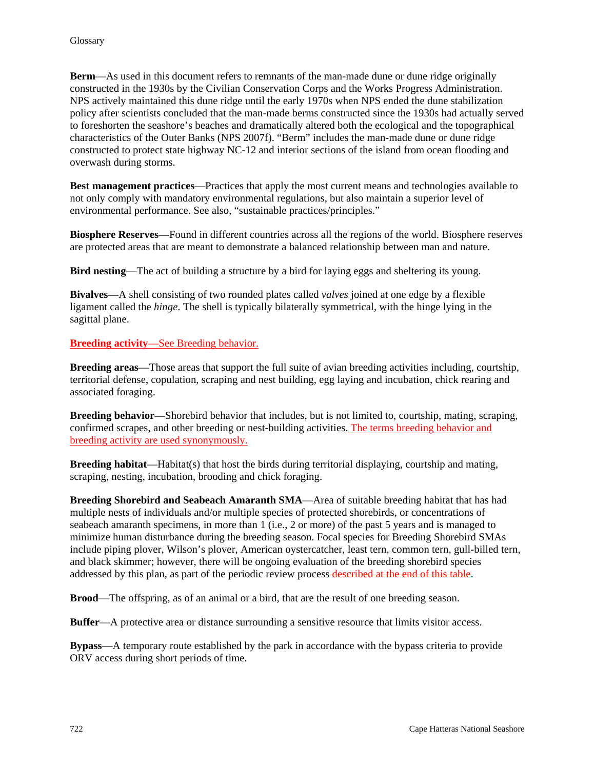**Berm**—As used in this document refers to remnants of the man-made dune or dune ridge originally constructed in the 1930s by the Civilian Conservation Corps and the Works Progress Administration. NPS actively maintained this dune ridge until the early 1970s when NPS ended the dune stabilization policy after scientists concluded that the man-made berms constructed since the 1930s had actually served to foreshorten the seashore's beaches and dramatically altered both the ecological and the topographical characteristics of the Outer Banks (NPS 2007f). "Berm" includes the man-made dune or dune ridge constructed to protect state highway NC-12 and interior sections of the island from ocean flooding and overwash during storms.

**Best management practices**—Practices that apply the most current means and technologies available to not only comply with mandatory environmental regulations, but also maintain a superior level of environmental performance. See also, "sustainable practices/principles."

**Biosphere Reserves**—Found in different countries across all the regions of the world. Biosphere reserves are protected areas that are meant to demonstrate a balanced relationship between man and nature.

**Bird nesting**—The act of building a structure by a bird for laying eggs and sheltering its young.

**Bivalves**—A shell consisting of two rounded plates called *valves* joined at one edge by a flexible ligament called the *hinge*. The shell is typically bilaterally symmetrical, with the hinge lying in the sagittal plane.

## **Breeding activity**—See Breeding behavior.

**Breeding areas**—Those areas that support the full suite of avian breeding activities including, courtship, territorial defense, copulation, scraping and nest building, egg laying and incubation, chick rearing and associated foraging.

**Breeding behavior**—Shorebird behavior that includes, but is not limited to, courtship, mating, scraping, confirmed scrapes, and other breeding or nest-building activities. The terms breeding behavior and breeding activity are used synonymously.

**Breeding habitat**—Habitat(s) that host the birds during territorial displaying, courtship and mating, scraping, nesting, incubation, brooding and chick foraging.

**Breeding Shorebird and Seabeach Amaranth SMA**—Area of suitable breeding habitat that has had multiple nests of individuals and/or multiple species of protected shorebirds, or concentrations of seabeach amaranth specimens, in more than 1 (i.e., 2 or more) of the past 5 years and is managed to minimize human disturbance during the breeding season. Focal species for Breeding Shorebird SMAs include piping plover, Wilson's plover, American oystercatcher, least tern, common tern, gull-billed tern, and black skimmer; however, there will be ongoing evaluation of the breeding shorebird species addressed by this plan, as part of the periodic review process described at the end of this table.

**Brood**—The offspring, as of an animal or a bird, that are the result of one breeding season.

**Buffer**—A protective area or distance surrounding a sensitive resource that limits visitor access.

**Bypass**—A temporary route established by the park in accordance with the bypass criteria to provide ORV access during short periods of time.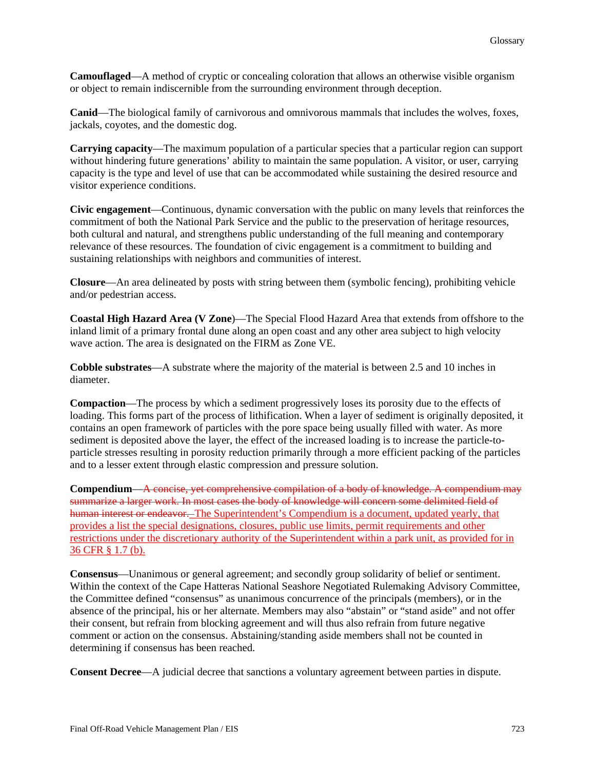**Camouflaged**—A method of cryptic or concealing coloration that allows an otherwise visible organism or object to remain indiscernible from the surrounding environment through deception.

**Canid**—The biological family of carnivorous and omnivorous mammals that includes the wolves, foxes, jackals, coyotes, and the domestic dog.

**Carrying capacity**—The maximum population of a particular species that a particular region can support without hindering future generations' ability to maintain the same population. A visitor, or user, carrying capacity is the type and level of use that can be accommodated while sustaining the desired resource and visitor experience conditions.

**Civic engagement**—Continuous, dynamic conversation with the public on many levels that reinforces the commitment of both the National Park Service and the public to the preservation of heritage resources, both cultural and natural, and strengthens public understanding of the full meaning and contemporary relevance of these resources. The foundation of civic engagement is a commitment to building and sustaining relationships with neighbors and communities of interest.

**Closure**—An area delineated by posts with string between them (symbolic fencing), prohibiting vehicle and/or pedestrian access.

**Coastal High Hazard Area (V Zone**)—The Special Flood Hazard Area that extends from offshore to the inland limit of a primary frontal dune along an open coast and any other area subject to high velocity wave action. The area is designated on the FIRM as Zone VE.

**Cobble substrates**—A substrate where the majority of the material is between 2.5 and 10 inches in diameter.

**Compaction**—The process by which a sediment progressively loses its porosity due to the effects of loading. This forms part of the process of lithification. When a layer of sediment is originally deposited, it contains an open framework of particles with the pore space being usually filled with water. As more sediment is deposited above the layer, the effect of the increased loading is to increase the particle-toparticle stresses resulting in porosity reduction primarily through a more efficient packing of the particles and to a lesser extent through elastic compression and pressure solution.

**Compendium**—A concise, yet comprehensive compilation of a body of knowledge. A compendium may summarize a larger work. In most cases the body of knowledge will concern some delimited field of human interest or endeavor. The Superintendent's Compendium is a document, updated yearly, that provides a list the special designations, closures, public use limits, permit requirements and other restrictions under the discretionary authority of the Superintendent within a park unit, as provided for in 36 CFR § 1.7 (b).

**Consensus**—Unanimous or general agreement; and secondly group solidarity of belief or sentiment. Within the context of the Cape Hatteras National Seashore Negotiated Rulemaking Advisory Committee, the Committee defined "consensus" as unanimous concurrence of the principals (members), or in the absence of the principal, his or her alternate. Members may also "abstain" or "stand aside" and not offer their consent, but refrain from blocking agreement and will thus also refrain from future negative comment or action on the consensus. Abstaining/standing aside members shall not be counted in determining if consensus has been reached.

**Consent Decree**—A judicial decree that sanctions a voluntary agreement between parties in dispute.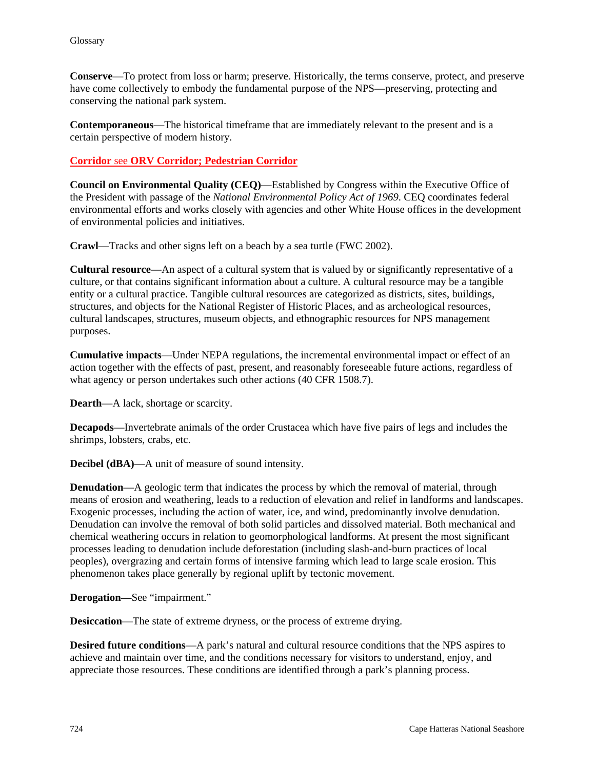**Conserve**—To protect from loss or harm; preserve. Historically, the terms conserve, protect, and preserve have come collectively to embody the fundamental purpose of the NPS—preserving, protecting and conserving the national park system.

**Contemporaneous**—The historical timeframe that are immediately relevant to the present and is a certain perspective of modern history*.* 

## **Corridor** see **ORV Corridor; Pedestrian Corridor**

**Council on Environmental Quality (CEQ)**—Established by Congress within the Executive Office of the President with passage of the *National Environmental Policy Act of 1969*. CEQ coordinates federal environmental efforts and works closely with agencies and other White House offices in the development of environmental policies and initiatives.

**Crawl**—Tracks and other signs left on a beach by a sea turtle (FWC 2002).

**Cultural resource**—An aspect of a cultural system that is valued by or significantly representative of a culture, or that contains significant information about a culture. A cultural resource may be a tangible entity or a cultural practice. Tangible cultural resources are categorized as districts, sites, buildings, structures, and objects for the National Register of Historic Places, and as archeological resources, cultural landscapes, structures, museum objects, and ethnographic resources for NPS management purposes.

**Cumulative impacts**—Under NEPA regulations, the incremental environmental impact or effect of an action together with the effects of past, present, and reasonably foreseeable future actions, regardless of what agency or person undertakes such other actions (40 CFR 1508.7).

**Dearth**—A lack, shortage or scarcity.

**Decapods**—Invertebrate animals of the order Crustacea which have five pairs of legs and includes the shrimps, lobsters, crabs, etc.

**Decibel (dBA)**—A unit of measure of sound intensity.

**Denudation—A** geologic term that indicates the process by which the removal of material, through means of erosion and weathering, leads to a reduction of elevation and relief in landforms and landscapes. Exogenic processes, including the action of water, ice, and wind, predominantly involve denudation. Denudation can involve the removal of both solid particles and dissolved material. Both mechanical and chemical weathering occurs in relation to geomorphological landforms. At present the most significant processes leading to denudation include deforestation (including slash-and-burn practices of local peoples), overgrazing and certain forms of intensive farming which lead to large scale erosion. This phenomenon takes place generally by regional uplift by tectonic movement.

**Derogation—**See "impairment."

**Desiccation—The state of extreme dryness, or the process of extreme drying.** 

**Desired future conditions**—A park's natural and cultural resource conditions that the NPS aspires to achieve and maintain over time, and the conditions necessary for visitors to understand, enjoy, and appreciate those resources. These conditions are identified through a park's planning process.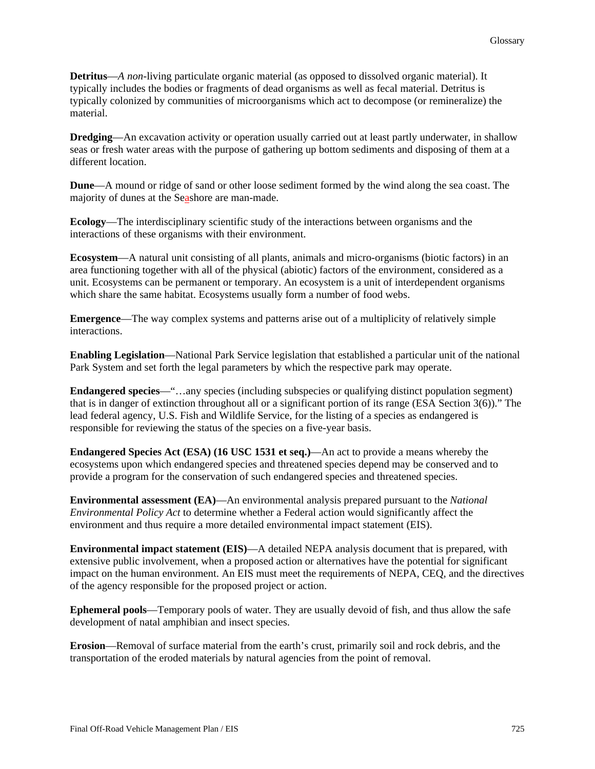**Detritus**—*A non*-living particulate organic material (as opposed to dissolved organic material). It typically includes the bodies or fragments of dead organisms as well as fecal material. Detritus is typically colonized by communities of microorganisms which act to decompose (or remineralize) the material.

**Dredging**—An excavation activity or operation usually carried out at least partly underwater, in shallow seas or fresh water areas with the purpose of gathering up bottom sediments and disposing of them at a different location.

**Dune**—A mound or ridge of sand or other loose sediment formed by the wind along the sea coast. The majority of dunes at the Seashore are man-made.

**Ecology**—The interdisciplinary scientific study of the interactions between organisms and the interactions of these organisms with their environment.

**Ecosystem**—A natural unit consisting of all plants, animals and micro-organisms (biotic factors) in an area functioning together with all of the physical (abiotic) factors of the environment, considered as a unit. Ecosystems can be permanent or temporary. An ecosystem is a unit of interdependent organisms which share the same habitat. Ecosystems usually form a number of food webs.

**Emergence**—The way complex systems and patterns arise out of a multiplicity of relatively simple interactions.

**Enabling Legislation**—National Park Service legislation that established a particular unit of the national Park System and set forth the legal parameters by which the respective park may operate.

**Endangered species**—"…any species (including subspecies or qualifying distinct population segment) that is in danger of extinction throughout all or a significant portion of its range (ESA Section 3(6))." The lead federal agency, U.S. Fish and Wildlife Service, for the listing of a species as endangered is responsible for reviewing the status of the species on a five-year basis.

**Endangered Species Act (ESA) (16 USC 1531 et seq.)**—An act to provide a means whereby the ecosystems upon which endangered species and threatened species depend may be conserved and to provide a program for the conservation of such endangered species and threatened species.

**Environmental assessment (EA)**—An environmental analysis prepared pursuant to the *National Environmental Policy Act* to determine whether a Federal action would significantly affect the environment and thus require a more detailed environmental impact statement (EIS).

**Environmental impact statement (EIS)**—A detailed NEPA analysis document that is prepared, with extensive public involvement, when a proposed action or alternatives have the potential for significant impact on the human environment. An EIS must meet the requirements of NEPA, CEQ, and the directives of the agency responsible for the proposed project or action.

**Ephemeral pools**—Temporary pools of water. They are usually devoid of fish, and thus allow the safe development of natal amphibian and insect species.

**Erosion**—Removal of surface material from the earth's crust, primarily soil and rock debris, and the transportation of the eroded materials by natural agencies from the point of removal.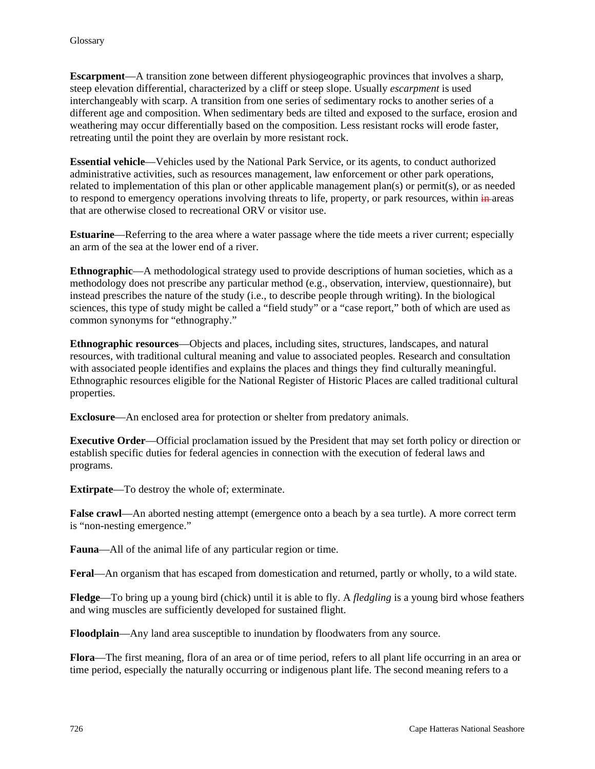**Escarpment**—A transition zone between different physiogeographic provinces that involves a sharp, steep elevation differential, characterized by a cliff or steep slope. Usually *escarpment* is used interchangeably with scarp. A transition from one series of sedimentary rocks to another series of a different age and composition. When sedimentary beds are tilted and exposed to the surface, erosion and weathering may occur differentially based on the composition. Less resistant rocks will erode faster, retreating until the point they are overlain by more resistant rock.

**Essential vehicle**—Vehicles used by the National Park Service, or its agents, to conduct authorized administrative activities, such as resources management, law enforcement or other park operations, related to implementation of this plan or other applicable management plan(s) or permit(s), or as needed to respond to emergency operations involving threats to life, property, or park resources, within  $\frac{1}{n}$  areas that are otherwise closed to recreational ORV or visitor use.

**Estuarine**—Referring to the area where a water passage where the tide meets a river current; especially an arm of the sea at the lower end of a river.

**Ethnographic**—A methodological strategy used to provide descriptions of human societies, which as a methodology does not prescribe any particular method (e.g., observation, interview, questionnaire), but instead prescribes the nature of the study (i.e., to describe people through writing). In the biological sciences, this type of study might be called a "field study" or a "case report," both of which are used as common synonyms for "ethnography."

**Ethnographic resources**—Objects and places, including sites, structures, landscapes, and natural resources, with traditional cultural meaning and value to associated peoples. Research and consultation with associated people identifies and explains the places and things they find culturally meaningful. Ethnographic resources eligible for the National Register of Historic Places are called traditional cultural properties.

**Exclosure**—An enclosed area for protection or shelter from predatory animals.

**Executive Order**—Official proclamation issued by the President that may set forth policy or direction or establish specific duties for federal agencies in connection with the execution of federal laws and programs.

**Extirpate**—To destroy the whole of; exterminate.

**False crawl**—An aborted nesting attempt (emergence onto a beach by a sea turtle). A more correct term is "non-nesting emergence."

**Fauna**—All of the animal life of any particular region or time.

**Feral**—An organism that has escaped from domestication and returned, partly or wholly, to a wild state.

**Fledge**—To bring up a young bird (chick) until it is able to fly. A *fledgling* is a young bird whose feathers and wing muscles are sufficiently developed for sustained flight.

**Floodplain**—Any land area susceptible to inundation by floodwaters from any source.

**Flora**—The first meaning, flora of an area or of time period, refers to all plant life occurring in an area or time period, especially the naturally occurring or indigenous plant life. The second meaning refers to a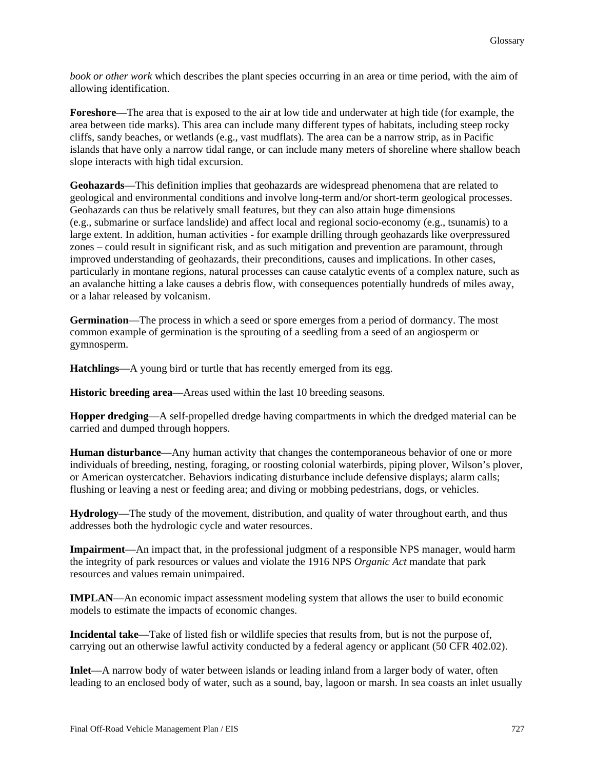*book or other work* which describes the plant species occurring in an area or time period, with the aim of allowing identification.

**Foreshore**—The area that is exposed to the air at low tide and underwater at high tide (for example, the area between tide marks). This area can include many different types of habitats, including steep rocky cliffs, sandy beaches, or wetlands (e.g., vast mudflats). The area can be a narrow strip, as in Pacific islands that have only a narrow tidal range, or can include many meters of shoreline where shallow beach slope interacts with high tidal excursion.

**Geohazards**—This definition implies that geohazards are widespread phenomena that are related to geological and environmental conditions and involve long-term and/or short-term geological processes. Geohazards can thus be relatively small features, but they can also attain huge dimensions (e.g., submarine or surface landslide) and affect local and regional socio-economy (e.g., tsunamis) to a large extent. In addition, human activities - for example drilling through geohazards like overpressured zones – could result in significant risk, and as such mitigation and prevention are paramount, through improved understanding of geohazards, their preconditions, causes and implications. In other cases, particularly in montane regions, natural processes can cause catalytic events of a complex nature, such as an avalanche hitting a lake causes a debris flow, with consequences potentially hundreds of miles away, or a lahar released by volcanism.

**Germination**—The process in which a seed or spore emerges from a period of dormancy. The most common example of germination is the sprouting of a seedling from a seed of an angiosperm or gymnosperm.

**Hatchlings**—A young bird or turtle that has recently emerged from its egg.

**Historic breeding area**—Areas used within the last 10 breeding seasons.

**Hopper dredging**—A self-propelled dredge having compartments in which the dredged material can be carried and dumped through hoppers.

**Human disturbance**—Any human activity that changes the contemporaneous behavior of one or more individuals of breeding, nesting, foraging, or roosting colonial waterbirds, piping plover, Wilson's plover, or American oystercatcher. Behaviors indicating disturbance include defensive displays; alarm calls; flushing or leaving a nest or feeding area; and diving or mobbing pedestrians, dogs, or vehicles.

**Hydrology**—The study of the movement, distribution, and quality of water throughout earth, and thus addresses both the hydrologic cycle and water resources.

**Impairment**—An impact that, in the professional judgment of a responsible NPS manager, would harm the integrity of park resources or values and violate the 1916 NPS *Organic Act* mandate that park resources and values remain unimpaired.

**IMPLAN**—An economic impact assessment modeling system that allows the user to build economic models to estimate the impacts of economic changes.

**Incidental take**—Take of listed fish or wildlife species that results from, but is not the purpose of, carrying out an otherwise lawful activity conducted by a federal agency or applicant (50 CFR 402.02).

**Inlet**—A narrow body of water between islands or leading inland from a larger body of water, often leading to an enclosed body of water, such as a sound, bay, lagoon or marsh. In sea coasts an inlet usually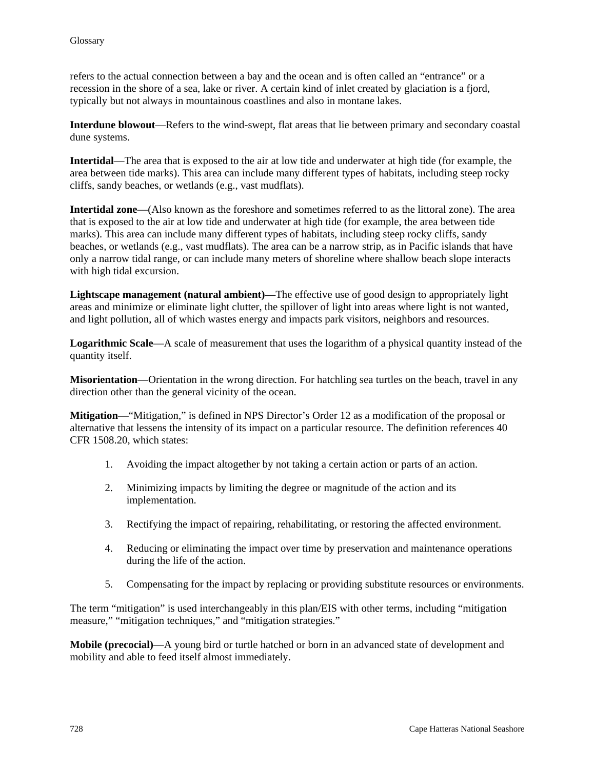refers to the actual connection between a bay and the ocean and is often called an "entrance" or a recession in the shore of a sea, lake or river. A certain kind of inlet created by glaciation is a fjord, typically but not always in mountainous coastlines and also in montane lakes.

**Interdune blowout**—Refers to the wind-swept, flat areas that lie between primary and secondary coastal dune systems.

**Intertidal**—The area that is exposed to the air at low tide and underwater at high tide (for example, the area between tide marks). This area can include many different types of habitats, including steep rocky cliffs, sandy beaches, or wetlands (e.g., vast mudflats).

**Intertidal zone**—(Also known as the foreshore and sometimes referred to as the littoral zone). The area that is exposed to the air at low tide and underwater at high tide (for example, the area between tide marks). This area can include many different types of habitats, including steep rocky cliffs, sandy beaches, or wetlands (e.g., vast mudflats). The area can be a narrow strip, as in Pacific islands that have only a narrow tidal range, or can include many meters of shoreline where shallow beach slope interacts with high tidal excursion.

**Lightscape management (natural ambient)—**The effective use of good design to appropriately light areas and minimize or eliminate light clutter, the spillover of light into areas where light is not wanted, and light pollution, all of which wastes energy and impacts park visitors, neighbors and resources.

**Logarithmic Scale**—A scale of measurement that uses the logarithm of a physical quantity instead of the quantity itself.

**Misorientation**—Orientation in the wrong direction. For hatchling sea turtles on the beach, travel in any direction other than the general vicinity of the ocean.

**Mitigation**—"Mitigation," is defined in NPS Director's Order 12 as a modification of the proposal or alternative that lessens the intensity of its impact on a particular resource. The definition references 40 CFR 1508.20, which states:

- 1. Avoiding the impact altogether by not taking a certain action or parts of an action.
- 2. Minimizing impacts by limiting the degree or magnitude of the action and its implementation.
- 3. Rectifying the impact of repairing, rehabilitating, or restoring the affected environment.
- 4. Reducing or eliminating the impact over time by preservation and maintenance operations during the life of the action.
- 5. Compensating for the impact by replacing or providing substitute resources or environments.

The term "mitigation" is used interchangeably in this plan/EIS with other terms, including "mitigation measure," "mitigation techniques," and "mitigation strategies."

**Mobile (precocial)**—A young bird or turtle hatched or born in an advanced state of development and mobility and able to feed itself almost immediately.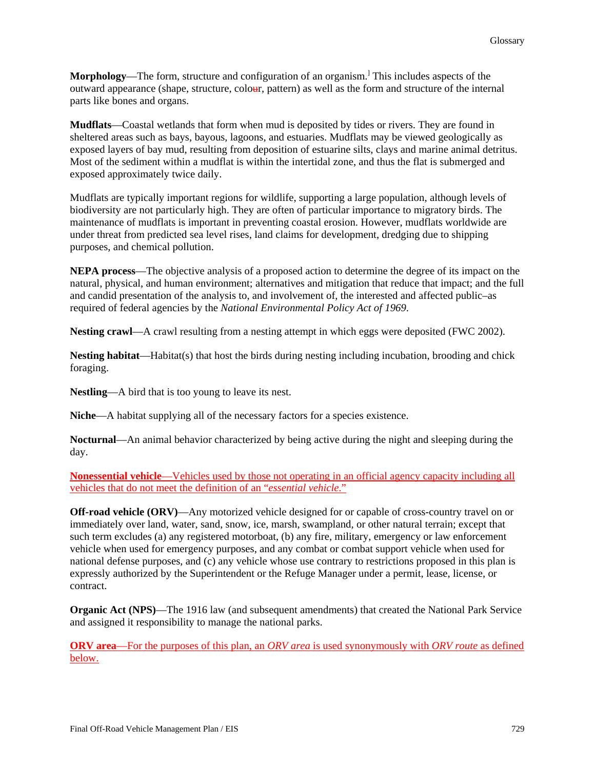**Morphology**—The form, structure and configuration of an organism.] This includes aspects of the outward appearance (shape, structure, colour, pattern) as well as the form and structure of the internal parts like bones and organs.

**Mudflats**—Coastal wetlands that form when mud is deposited by tides or rivers. They are found in sheltered areas such as bays, bayous, lagoons, and estuaries. Mudflats may be viewed geologically as exposed layers of bay mud, resulting from deposition of estuarine silts, clays and marine animal detritus. Most of the sediment within a mudflat is within the intertidal zone, and thus the flat is submerged and exposed approximately twice daily.

Mudflats are typically important regions for wildlife, supporting a large population, although levels of biodiversity are not particularly high. They are often of particular importance to migratory birds. The maintenance of mudflats is important in preventing coastal erosion. However, mudflats worldwide are under threat from predicted sea level rises, land claims for development, dredging due to shipping purposes, and chemical pollution.

**NEPA process**—The objective analysis of a proposed action to determine the degree of its impact on the natural, physical, and human environment; alternatives and mitigation that reduce that impact; and the full and candid presentation of the analysis to, and involvement of, the interested and affected public–as required of federal agencies by the *National Environmental Policy Act of 1969*.

**Nesting crawl**—A crawl resulting from a nesting attempt in which eggs were deposited (FWC 2002).

**Nesting habitat—Habitat(s)** that host the birds during nesting including incubation, brooding and chick foraging.

**Nestling**—A bird that is too young to leave its nest.

Niche—A habitat supplying all of the necessary factors for a species existence.

**Nocturnal**—An animal behavior characterized by being active during the night and sleeping during the day.

**Nonessential vehicle**—Vehicles used by those not operating in an official agency capacity including all vehicles that do not meet the definition of an "*essential vehicle*."

**Off-road vehicle (ORV)—Any motorized vehicle designed for or capable of cross-country travel on or** immediately over land, water, sand, snow, ice, marsh, swampland, or other natural terrain; except that such term excludes (a) any registered motorboat, (b) any fire, military, emergency or law enforcement vehicle when used for emergency purposes, and any combat or combat support vehicle when used for national defense purposes, and (c) any vehicle whose use contrary to restrictions proposed in this plan is expressly authorized by the Superintendent or the Refuge Manager under a permit, lease, license, or contract.

**Organic Act (NPS)—The 1916 law (and subsequent amendments) that created the National Park Service** and assigned it responsibility to manage the national parks.

**ORV area**—For the purposes of this plan, an *ORV area* is used synonymously with *ORV route* as defined below.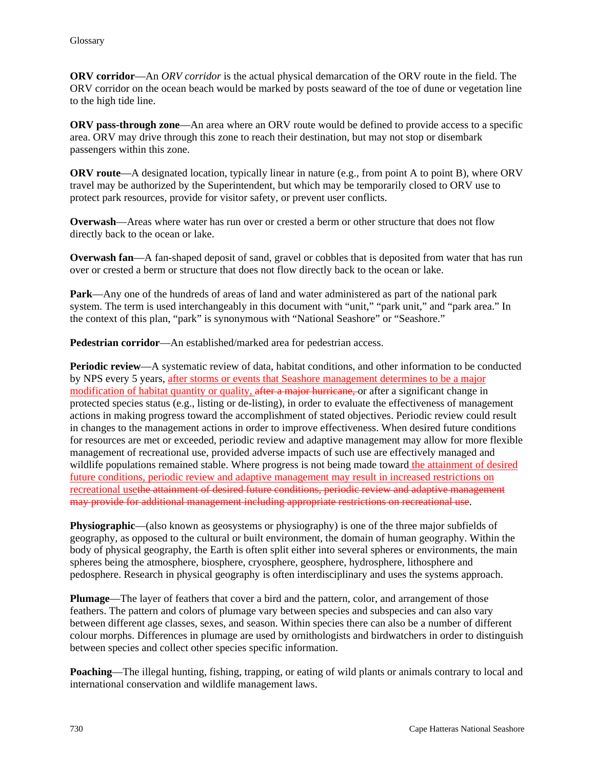**ORV corridor**—An *ORV corridor* is the actual physical demarcation of the ORV route in the field. The ORV corridor on the ocean beach would be marked by posts seaward of the toe of dune or vegetation line to the high tide line.

**ORV pass-through zone**—An area where an ORV route would be defined to provide access to a specific area. ORV may drive through this zone to reach their destination, but may not stop or disembark passengers within this zone.

**ORV route**—A designated location, typically linear in nature (e.g., from point A to point B), where ORV travel may be authorized by the Superintendent, but which may be temporarily closed to ORV use to protect park resources, provide for visitor safety, or prevent user conflicts.

**Overwash—Areas** where water has run over or crested a berm or other structure that does not flow directly back to the ocean or lake.

**Overwash fan**—A fan-shaped deposit of sand, gravel or cobbles that is deposited from water that has run over or crested a berm or structure that does not flow directly back to the ocean or lake.

**Park**—Any one of the hundreds of areas of land and water administered as part of the national park system. The term is used interchangeably in this document with "unit," "park unit," and "park area." In the context of this plan, "park" is synonymous with "National Seashore" or "Seashore."

**Pedestrian corridor**—An established/marked area for pedestrian access.

**Periodic review—A** systematic review of data, habitat conditions, and other information to be conducted by NPS every 5 years, after storms or events that Seashore management determines to be a major modification of habitat quantity or quality, after a major hurricane, or after a significant change in protected species status (e.g., listing or de-listing), in order to evaluate the effectiveness of management actions in making progress toward the accomplishment of stated objectives. Periodic review could result in changes to the management actions in order to improve effectiveness. When desired future conditions for resources are met or exceeded, periodic review and adaptive management may allow for more flexible management of recreational use, provided adverse impacts of such use are effectively managed and wildlife populations remained stable. Where progress is not being made toward the attainment of desired future conditions, periodic review and adaptive management may result in increased restrictions on recreational usethe attainment of desired future conditions, periodic review and adaptive management may provide for additional management including appropriate restrictions on recreational use.

**Physiographic—(also known as geosystems or physiography)** is one of the three major subfields of geography, as opposed to the cultural or built environment, the domain of human geography. Within the body of physical geography, the Earth is often split either into several spheres or environments, the main spheres being the atmosphere, biosphere, cryosphere, geosphere, hydrosphere, lithosphere and pedosphere. Research in physical geography is often interdisciplinary and uses the systems approach.

**Plumage**—The layer of feathers that cover a bird and the pattern, color, and arrangement of those feathers. The pattern and colors of plumage vary between species and subspecies and can also vary between different age classes, sexes, and season. Within species there can also be a number of different colour morphs. Differences in plumage are used by ornithologists and birdwatchers in order to distinguish between species and collect other species specific information.

**Poaching—The illegal hunting, fishing, trapping, or eating of wild plants or animals contrary to local and** international conservation and wildlife management laws.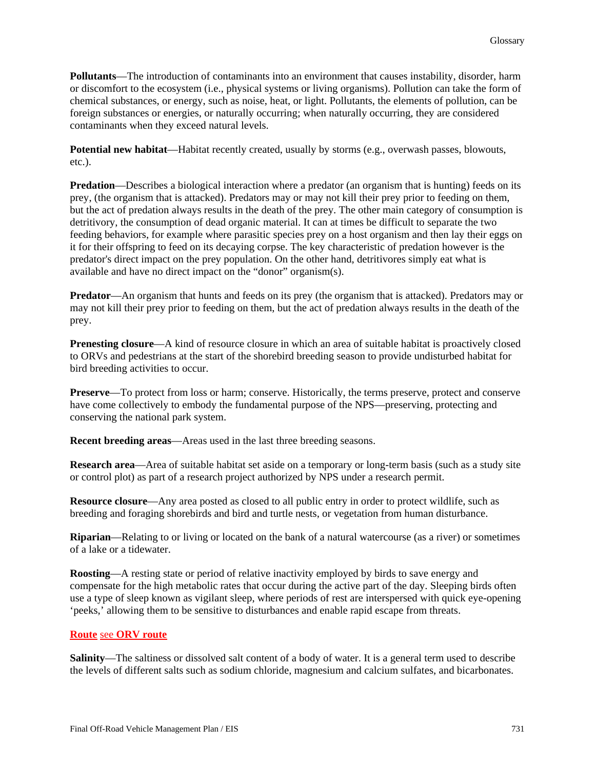**Pollutants**—The introduction of contaminants into an environment that causes instability, disorder, harm or discomfort to the ecosystem (i.e., physical systems or living organisms). Pollution can take the form of chemical substances, or energy, such as noise, heat, or light. Pollutants, the elements of pollution, can be foreign substances or energies, or naturally occurring; when naturally occurring, they are considered contaminants when they exceed natural levels.

**Potential new habitat**—Habitat recently created, usually by storms (e.g., overwash passes, blowouts, etc.).

**Predation—Describes a biological interaction where a predator (an organism that is hunting) feeds on its** prey, (the organism that is attacked). Predators may or may not kill their prey prior to feeding on them, but the act of predation always results in the death of the prey. The other main category of consumption is detritivory, the consumption of dead organic material. It can at times be difficult to separate the two feeding behaviors, for example where parasitic species prey on a host organism and then lay their eggs on it for their offspring to feed on its decaying corpse. The key characteristic of predation however is the predator's direct impact on the prey population. On the other hand, detritivores simply eat what is available and have no direct impact on the "donor" organism(s).

**Predator**—An organism that hunts and feeds on its prey (the organism that is attacked). Predators may or may not kill their prey prior to feeding on them, but the act of predation always results in the death of the prey.

**Prenesting closure—A** kind of resource closure in which an area of suitable habitat is proactively closed to ORVs and pedestrians at the start of the shorebird breeding season to provide undisturbed habitat for bird breeding activities to occur.

**Preserve**—To protect from loss or harm; conserve. Historically, the terms preserve, protect and conserve have come collectively to embody the fundamental purpose of the NPS—preserving, protecting and conserving the national park system.

**Recent breeding areas**—Areas used in the last three breeding seasons.

**Research area**—Area of suitable habitat set aside on a temporary or long-term basis (such as a study site or control plot) as part of a research project authorized by NPS under a research permit.

**Resource closure**—Any area posted as closed to all public entry in order to protect wildlife, such as breeding and foraging shorebirds and bird and turtle nests, or vegetation from human disturbance.

**Riparian**—Relating to or living or located on the bank of a natural watercourse (as a river) or sometimes of a lake or a tidewater.

**Roosting**—A resting state or period of relative inactivity employed by birds to save energy and compensate for the high metabolic rates that occur during the active part of the day. Sleeping birds often use a type of sleep known as vigilant sleep, where periods of rest are interspersed with quick eye-opening 'peeks,' allowing them to be sensitive to disturbances and enable rapid escape from threats.

## **Route** see **ORV route**

**Salinity**—The saltiness or dissolved salt content of a body of water. It is a general term used to describe the levels of different salts such as sodium chloride, magnesium and calcium sulfates, and bicarbonates.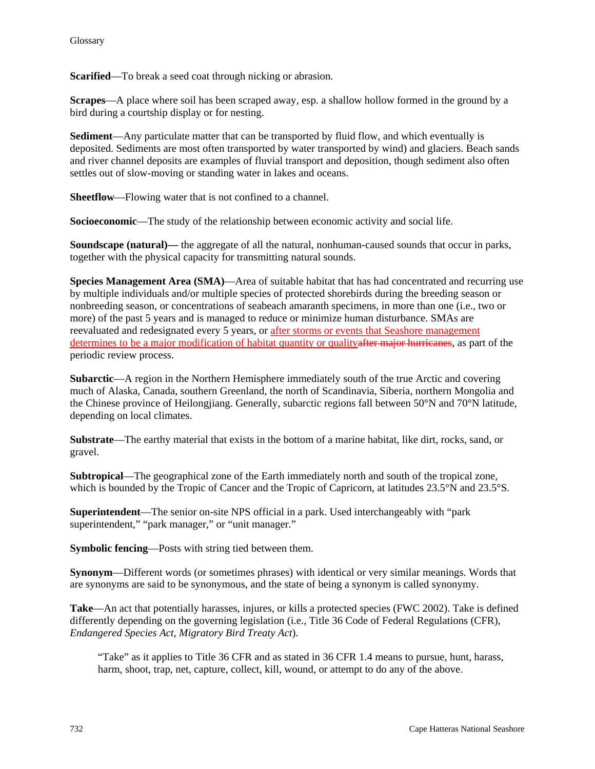**Scarified**—To break a seed coat through nicking or abrasion.

**Scrapes**—A place where soil has been scraped away, esp. a shallow hollow formed in the ground by a bird during a courtship display or for nesting.

**Sediment**—Any particulate matter that can be transported by fluid flow, and which eventually is deposited. Sediments are most often transported by water transported by wind) and glaciers. Beach sands and river channel deposits are examples of fluvial transport and deposition, though sediment also often settles out of slow-moving or standing water in lakes and oceans.

**Sheetflow**—Flowing water that is not confined to a channel.

**Socioeconomic**—The study of the relationship between economic activity and social life.

**Soundscape (natural)—** the aggregate of all the natural, nonhuman-caused sounds that occur in parks, together with the physical capacity for transmitting natural sounds.

**Species Management Area (SMA)—Area of suitable habitat that has had concentrated and recurring use** by multiple individuals and/or multiple species of protected shorebirds during the breeding season or nonbreeding season, or concentrations of seabeach amaranth specimens, in more than one (i.e., two or more) of the past 5 years and is managed to reduce or minimize human disturbance. SMAs are reevaluated and redesignated every 5 years, or after storms or events that Seashore management determines to be a major modification of habitat quantity or quality after major hurricanes, as part of the periodic review process.

**Subarctic**—A region in the Northern Hemisphere immediately south of the true Arctic and covering much of Alaska, Canada, southern Greenland, the north of Scandinavia, Siberia, northern Mongolia and the Chinese province of Heilongjiang. Generally, subarctic regions fall between 50°N and 70°N latitude, depending on local climates.

**Substrate**—The earthy material that exists in the bottom of a marine habitat, like dirt, rocks, sand, or gravel.

**Subtropical**—The geographical zone of the Earth immediately north and south of the tropical zone, which is bounded by the Tropic of Cancer and the Tropic of Capricorn, at latitudes 23.5°N and 23.5°S.

**Superintendent**—The senior on-site NPS official in a park. Used interchangeably with "park superintendent," "park manager," or "unit manager."

**Symbolic fencing**—Posts with string tied between them.

**Synonym**—Different words (or sometimes phrases) with identical or very similar meanings. Words that are synonyms are said to be synonymous, and the state of being a synonym is called synonymy.

**Take**—An act that potentially harasses, injures, or kills a protected species (FWC 2002). Take is defined differently depending on the governing legislation (i.e., Title 36 Code of Federal Regulations (CFR), *Endangered Species Act*, *Migratory Bird Treaty Act*).

"Take" as it applies to Title 36 CFR and as stated in 36 CFR 1.4 means to pursue, hunt, harass, harm, shoot, trap, net, capture, collect, kill, wound, or attempt to do any of the above.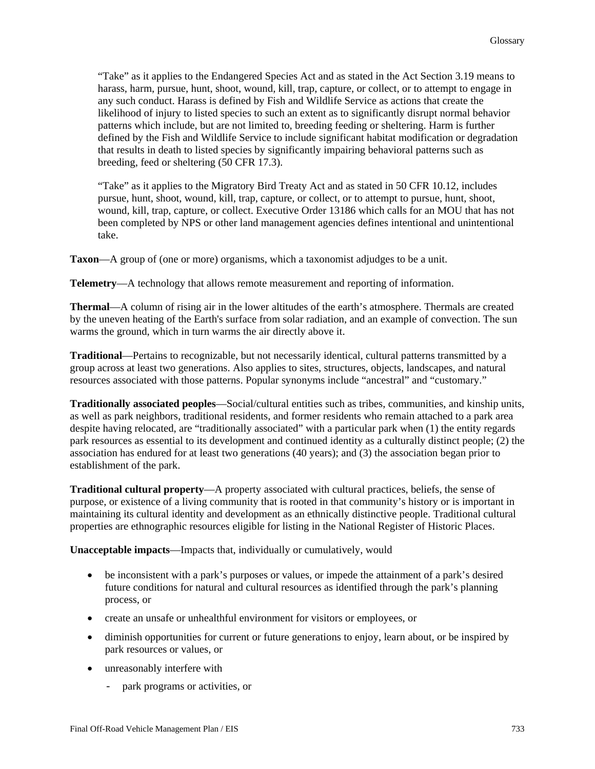"Take" as it applies to the Endangered Species Act and as stated in the Act Section 3.19 means to harass, harm, pursue, hunt, shoot, wound, kill, trap, capture, or collect, or to attempt to engage in any such conduct. Harass is defined by Fish and Wildlife Service as actions that create the likelihood of injury to listed species to such an extent as to significantly disrupt normal behavior patterns which include, but are not limited to, breeding feeding or sheltering. Harm is further defined by the Fish and Wildlife Service to include significant habitat modification or degradation that results in death to listed species by significantly impairing behavioral patterns such as breeding, feed or sheltering (50 CFR 17.3).

"Take" as it applies to the Migratory Bird Treaty Act and as stated in 50 CFR 10.12, includes pursue, hunt, shoot, wound, kill, trap, capture, or collect, or to attempt to pursue, hunt, shoot, wound, kill, trap, capture, or collect. Executive Order 13186 which calls for an MOU that has not been completed by NPS or other land management agencies defines intentional and unintentional take.

**Taxon**—A group of (one or more) organisms, which a taxonomist adjudges to be a unit.

**Telemetry**—A technology that allows remote measurement and reporting of information.

**Thermal**—A column of rising air in the lower altitudes of the earth's atmosphere. Thermals are created by the uneven heating of the Earth's surface from solar radiation, and an example of convection. The sun warms the ground, which in turn warms the air directly above it.

**Traditional**—Pertains to recognizable, but not necessarily identical, cultural patterns transmitted by a group across at least two generations. Also applies to sites, structures, objects, landscapes, and natural resources associated with those patterns. Popular synonyms include "ancestral" and "customary."

**Traditionally associated peoples**—Social/cultural entities such as tribes, communities, and kinship units, as well as park neighbors, traditional residents, and former residents who remain attached to a park area despite having relocated, are "traditionally associated" with a particular park when (1) the entity regards park resources as essential to its development and continued identity as a culturally distinct people; (2) the association has endured for at least two generations (40 years); and (3) the association began prior to establishment of the park.

**Traditional cultural property**—A property associated with cultural practices, beliefs, the sense of purpose, or existence of a living community that is rooted in that community's history or is important in maintaining its cultural identity and development as an ethnically distinctive people. Traditional cultural properties are ethnographic resources eligible for listing in the National Register of Historic Places.

**Unacceptable impacts**—Impacts that, individually or cumulatively, would

- be inconsistent with a park's purposes or values, or impede the attainment of a park's desired future conditions for natural and cultural resources as identified through the park's planning process, or
- create an unsafe or unhealthful environment for visitors or employees, or
- diminish opportunities for current or future generations to enjoy, learn about, or be inspired by park resources or values, or
- unreasonably interfere with
	- park programs or activities, or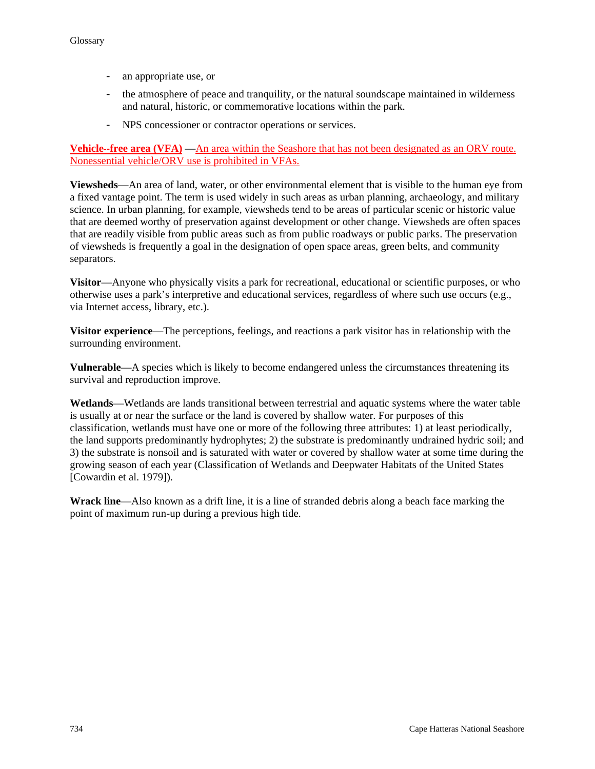- an appropriate use, or
- the atmosphere of peace and tranquility, or the natural soundscape maintained in wilderness and natural, historic, or commemorative locations within the park.
- NPS concessioner or contractor operations or services.

## **Vehicle--free area (VFA)** —An area within the Seashore that has not been designated as an ORV route. Nonessential vehicle/ORV use is prohibited in VFAs.

**Viewsheds**—An area of land, water, or other environmental element that is visible to the human eye from a fixed vantage point. The term is used widely in such areas as urban planning, archaeology, and military science. In urban planning, for example, viewsheds tend to be areas of particular scenic or historic value that are deemed worthy of preservation against development or other change. Viewsheds are often spaces that are readily visible from public areas such as from public roadways or public parks. The preservation of viewsheds is frequently a goal in the designation of open space areas, green belts, and community separators.

**Visitor**—Anyone who physically visits a park for recreational, educational or scientific purposes, or who otherwise uses a park's interpretive and educational services, regardless of where such use occurs (e.g., via Internet access, library, etc.).

**Visitor experience**—The perceptions, feelings, and reactions a park visitor has in relationship with the surrounding environment.

**Vulnerable**—A species which is likely to become endangered unless the circumstances threatening its survival and reproduction improve.

**Wetlands**—Wetlands are lands transitional between terrestrial and aquatic systems where the water table is usually at or near the surface or the land is covered by shallow water. For purposes of this classification, wetlands must have one or more of the following three attributes: 1) at least periodically, the land supports predominantly hydrophytes; 2) the substrate is predominantly undrained hydric soil; and 3) the substrate is nonsoil and is saturated with water or covered by shallow water at some time during the growing season of each year (Classification of Wetlands and Deepwater Habitats of the United States [Cowardin et al. 1979]).

**Wrack line**—Also known as a drift line, it is a line of stranded debris along a beach face marking the point of maximum run-up during a previous high tide.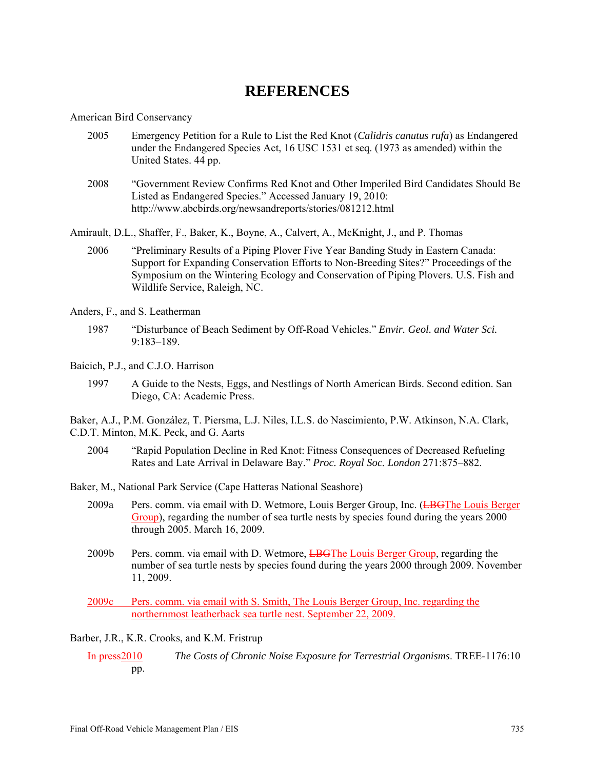## **REFERENCES**

American Bird Conservancy

- 2005 Emergency Petition for a Rule to List the Red Knot (*Calidris canutus rufa*) as Endangered under the Endangered Species Act, 16 USC 1531 et seq. (1973 as amended) within the United States. 44 pp.
- 2008 "Government Review Confirms Red Knot and Other Imperiled Bird Candidates Should Be Listed as Endangered Species." Accessed January 19, 2010: http://www.abcbirds.org/newsandreports/stories/081212.html

Amirault, D.L., Shaffer, F., Baker, K., Boyne, A., Calvert, A., McKnight, J., and P. Thomas

2006 "Preliminary Results of a Piping Plover Five Year Banding Study in Eastern Canada: Support for Expanding Conservation Efforts to Non-Breeding Sites?" Proceedings of the Symposium on the Wintering Ecology and Conservation of Piping Plovers. U.S. Fish and Wildlife Service, Raleigh, NC.

Anders, F., and S. Leatherman

1987 "Disturbance of Beach Sediment by Off-Road Vehicles." *Envir. Geol. and Water Sci.* 9:183–189.

Baicich, P.J., and C.J.O. Harrison

1997 A Guide to the Nests, Eggs, and Nestlings of North American Birds. Second edition. San Diego, CA: Academic Press.

Baker, A.J., P.M. González, T. Piersma, L.J. Niles, I.L.S. do Nascimiento, P.W. Atkinson, N.A. Clark, C.D.T. Minton, M.K. Peck, and G. Aarts

2004 "Rapid Population Decline in Red Knot: Fitness Consequences of Decreased Refueling Rates and Late Arrival in Delaware Bay." *Proc. Royal Soc. London* 271:875–882.

Baker, M., National Park Service (Cape Hatteras National Seashore)

- 2009a Pers. comm. via email with D. Wetmore, Louis Berger Group, Inc. (<del>LBG</del>The Louis Berger Group), regarding the number of sea turtle nests by species found during the years 2000 through 2005. March 16, 2009.
- 2009b Pers. comm. via email with D. Wetmore, **LBGThe Louis Berger Group**, regarding the number of sea turtle nests by species found during the years 2000 through 2009. November 11, 2009.

2009c Pers. comm. via email with S. Smith, The Louis Berger Group, Inc. regarding the northernmost leatherback sea turtle nest. September 22, 2009.

Barber, J.R., K.R. Crooks, and K.M. Fristrup

In press2010 *The Costs of Chronic Noise Exposure for Terrestrial Organisms*. TREE-1176:10 pp.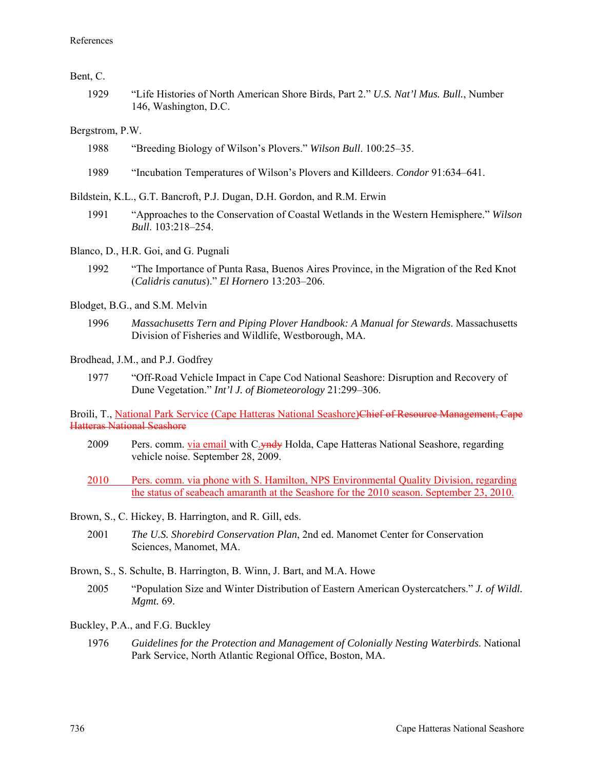#### Bent, C.

1929 "Life Histories of North American Shore Birds, Part 2." *U.S. Nat'l Mus. Bull.*, Number 146, Washington, D.C.

#### Bergstrom, P.W.

- 1988 "Breeding Biology of Wilson's Plovers." *Wilson Bull*. 100:25–35.
- 1989 "Incubation Temperatures of Wilson's Plovers and Killdeers. *Condor* 91:634–641.

Bildstein, K.L., G.T. Bancroft, P.J. Dugan, D.H. Gordon, and R.M. Erwin

1991 "Approaches to the Conservation of Coastal Wetlands in the Western Hemisphere." *Wilson Bull*. 103:218–254.

Blanco, D., H.R. Goi, and G. Pugnali

1992 "The Importance of Punta Rasa, Buenos Aires Province, in the Migration of the Red Knot (*Calidris canutus*)." *El Hornero* 13:203–206.

Blodget, B.G., and S.M. Melvin

1996 *Massachusetts Tern and Piping Plover Handbook: A Manual for Stewards*. Massachusetts Division of Fisheries and Wildlife, Westborough, MA.

Brodhead, J.M., and P.J. Godfrey

1977 "Off-Road Vehicle Impact in Cape Cod National Seashore: Disruption and Recovery of Dune Vegetation." *Int'l J. of Biometeorology* 21:299–306.

Broili, T., National Park Service (Cape Hatteras National Seashore)Chief of Resource Management, Cape Hatteras National Seashore

2009 Pers. comm. via email with C.yndy Holda, Cape Hatteras National Seashore, regarding vehicle noise. September 28, 2009.

2010 Pers. comm. via phone with S. Hamilton, NPS Environmental Quality Division, regarding the status of seabeach amaranth at the Seashore for the 2010 season. September 23, 2010.

Brown, S., C. Hickey, B. Harrington, and R. Gill, eds.

- 2001 *The U.S. Shorebird Conservation Plan*, 2nd ed. Manomet Center for Conservation Sciences, Manomet, MA.
- Brown, S., S. Schulte, B. Harrington, B. Winn, J. Bart, and M.A. Howe
	- 2005 "Population Size and Winter Distribution of Eastern American Oystercatchers." *J. of Wildl. Mgmt.* 69.

Buckley, P.A., and F.G. Buckley

1976 *Guidelines for the Protection and Management of Colonially Nesting Waterbirds*. National Park Service, North Atlantic Regional Office, Boston, MA.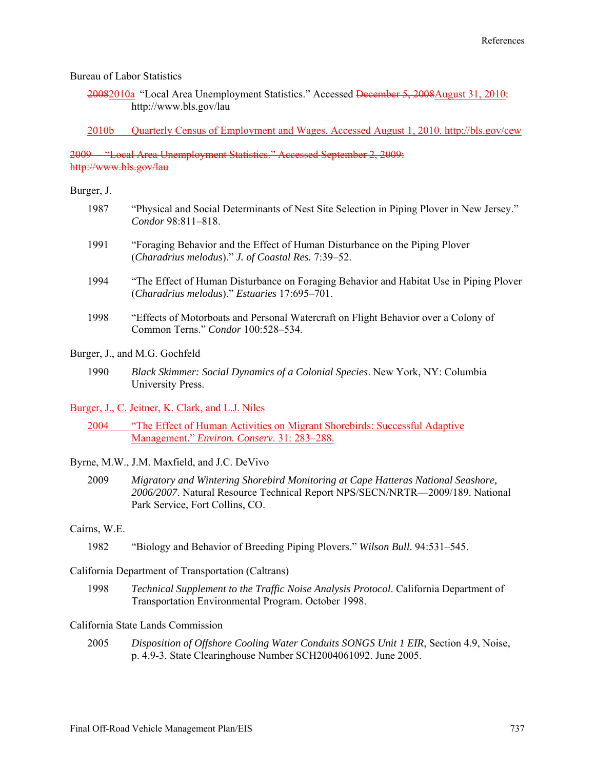#### Bureau of Labor Statistics

20082010a "Local Area Unemployment Statistics." Accessed December 5, 2008August 31, 2010: http://www.bls.gov/lau

2010b Quarterly Census of Employment and Wages. Accessed August 1, 2010. http://bls.gov/cew

## 2009 "Local Area Unemployment Statistics." Accessed September 2, 2009: http://www.bls.gov/lau

## Burger, J.

- 1987 "Physical and Social Determinants of Nest Site Selection in Piping Plover in New Jersey." *Condor* 98:811–818.
- 1991 "Foraging Behavior and the Effect of Human Disturbance on the Piping Plover (*Charadrius melodus*)." *J. of Coastal Res.* 7:39–52.
- 1994 "The Effect of Human Disturbance on Foraging Behavior and Habitat Use in Piping Plover (*Charadrius melodus*)." *Estuaries* 17:695–701.
- 1998 "Effects of Motorboats and Personal Watercraft on Flight Behavior over a Colony of Common Terns." *Condor* 100:528–534.

## Burger, J., and M.G. Gochfeld

1990 *Black Skimmer: Social Dynamics of a Colonial Species*. New York, NY: Columbia University Press.

Burger, J., C. Jeitner, K. Clark, and L.J. Niles

2004 "The Effect of Human Activities on Migrant Shorebirds: Successful Adaptive Management." *Environ. Conserv*. 31: 283–288.

Byrne, M.W., J.M. Maxfield, and J.C. DeVivo

2009 *Migratory and Wintering Shorebird Monitoring at Cape Hatteras National Seashore, 2006/2007*. Natural Resource Technical Report NPS/SECN/NRTR—2009/189. National Park Service, Fort Collins, CO.

## Cairns, W.E.

1982 "Biology and Behavior of Breeding Piping Plovers." *Wilson Bull*. 94:531–545.

California Department of Transportation (Caltrans)

1998 *Technical Supplement to the Traffic Noise Analysis Protocol*. California Department of Transportation Environmental Program. October 1998.

#### California State Lands Commission

2005 *Disposition of Offshore Cooling Water Conduits SONGS Unit 1 EIR*, Section 4.9, Noise, p. 4.9-3. State Clearinghouse Number SCH2004061092. June 2005.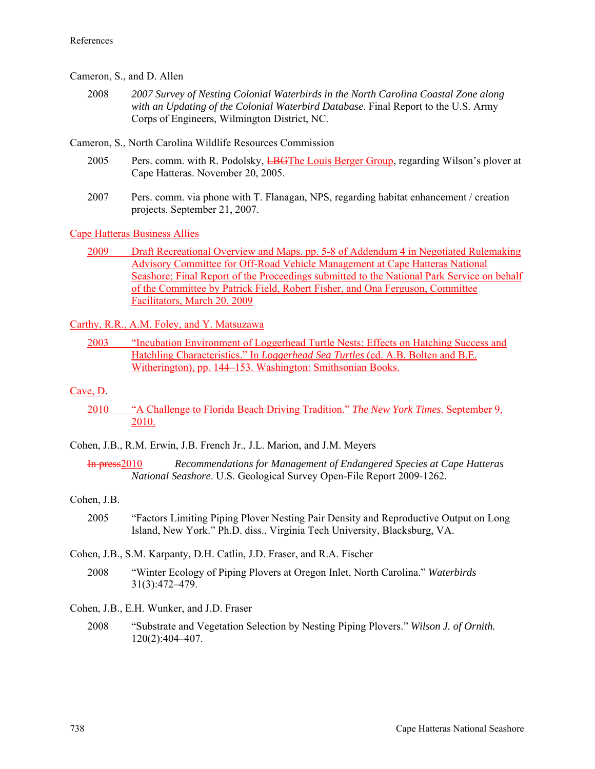Cameron, S., and D. Allen

2008 *2007 Survey of Nesting Colonial Waterbirds in the North Carolina Coastal Zone along with an Updating of the Colonial Waterbird Database*. Final Report to the U.S. Army Corps of Engineers, Wilmington District, NC.

Cameron, S., North Carolina Wildlife Resources Commission

- 2005 Pers. comm. with R. Podolsky, LBGThe Louis Berger Group, regarding Wilson's plover at Cape Hatteras. November 20, 2005.
- 2007 Pers. comm. via phone with T. Flanagan, NPS, regarding habitat enhancement / creation projects. September 21, 2007.

Cape Hatteras Business Allies

2009 Draft Recreational Overview and Maps. pp. 5-8 of Addendum 4 in Negotiated Rulemaking Advisory Committee for Off-Road Vehicle Management at Cape Hatteras National Seashore; Final Report of the Proceedings submitted to the National Park Service on behalf of the Committee by Patrick Field, Robert Fisher, and Ona Ferguson, Committee Facilitators, March 20, 2009

Carthy, R.R., A.M. Foley, and Y. Matsuzawa

2003 "Incubation Environment of Loggerhead Turtle Nests: Effects on Hatching Success and Hatchling Characteristics." In *Loggerhead Sea Turtles* (ed. A.B. Bolten and B.E. Witherington), pp. 144–153. Washington: Smithsonian Books.

## Cave, D.

2010 "A Challenge to Florida Beach Driving Tradition." *The New York Times*. September 9, 2010.

Cohen, J.B., R.M. Erwin, J.B. French Jr., J.L. Marion, and J.M. Meyers

In press2010 *Recommendations for Management of Endangered Species at Cape Hatteras National Seashore*. U.S. Geological Survey Open-File Report 2009-1262.

## Cohen, J.B.

- 2005 "Factors Limiting Piping Plover Nesting Pair Density and Reproductive Output on Long Island, New York." Ph.D. diss., Virginia Tech University, Blacksburg, VA.
- Cohen, J.B., S.M. Karpanty, D.H. Catlin, J.D. Fraser, and R.A. Fischer
	- 2008 "Winter Ecology of Piping Plovers at Oregon Inlet, North Carolina." *Waterbirds* 31(3):472–479.

Cohen, J.B., E.H. Wunker, and J.D. Fraser

2008 "Substrate and Vegetation Selection by Nesting Piping Plovers." *Wilson J. of Ornith.* 120(2):404–407.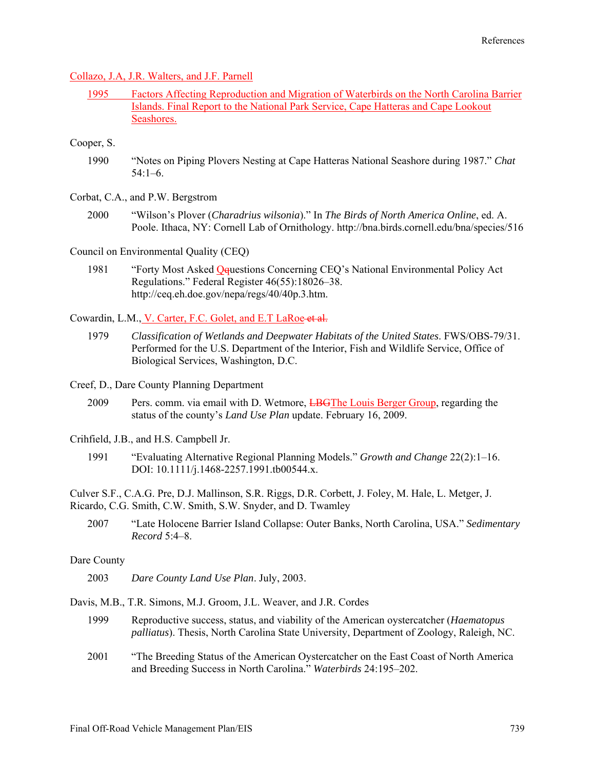## Collazo, J.A, J.R. Walters, and J.F. Parnell

1995 Factors Affecting Reproduction and Migration of Waterbirds on the North Carolina Barrier Islands. Final Report to the National Park Service, Cape Hatteras and Cape Lookout Seashores.

Cooper, S.

1990 "Notes on Piping Plovers Nesting at Cape Hatteras National Seashore during 1987." *Chat* 54:1–6.

Corbat, C.A., and P.W. Bergstrom

2000 "Wilson's Plover (*Charadrius wilsonia*)." In *The Birds of North America Online*, ed. A. Poole. Ithaca, NY: Cornell Lab of Ornithology. http://bna.birds.cornell.edu/bna/species/516

Council on Environmental Quality (CEQ)

1981 "Forty Most Asked Qquestions Concerning CEQ's National Environmental Policy Act Regulations." Federal Register 46(55):18026–38. http://ceq.eh.doe.gov/nepa/regs/40/40p.3.htm.

Cowardin, L.M., V. Carter, F.C. Golet, and E.T LaRoe et al.

1979 *Classification of Wetlands and Deepwater Habitats of the United States*. FWS/OBS-79/31. Performed for the U.S. Department of the Interior, Fish and Wildlife Service, Office of Biological Services, Washington, D.C.

Creef, D., Dare County Planning Department

2009 Pers. comm. via email with D. Wetmore, <del>LBG</del>The Louis Berger Group, regarding the status of the county's *Land Use Plan* update. February 16, 2009.

Crihfield, J.B., and H.S. Campbell Jr.

1991 "Evaluating Alternative Regional Planning Models." *Growth and Change* 22(2):1–16. DOI: 10.1111/j.1468-2257.1991.tb00544.x.

Culver S.F., C.A.G. Pre, D.J. Mallinson, S.R. Riggs, D.R. Corbett, J. Foley, M. Hale, L. Metger, J. Ricardo, C.G. Smith, C.W. Smith, S.W. Snyder, and D. Twamley

2007 "Late Holocene Barrier Island Collapse: Outer Banks, North Carolina, USA." *Sedimentary Record* 5:4–8.

Dare County

2003 *Dare County Land Use Plan*. July, 2003.

Davis, M.B., T.R. Simons, M.J. Groom, J.L. Weaver, and J.R. Cordes

- 1999 Reproductive success, status, and viability of the American oystercatcher (*Haematopus palliatus*). Thesis, North Carolina State University, Department of Zoology, Raleigh, NC.
- 2001 "The Breeding Status of the American Oystercatcher on the East Coast of North America and Breeding Success in North Carolina." *Waterbirds* 24:195–202.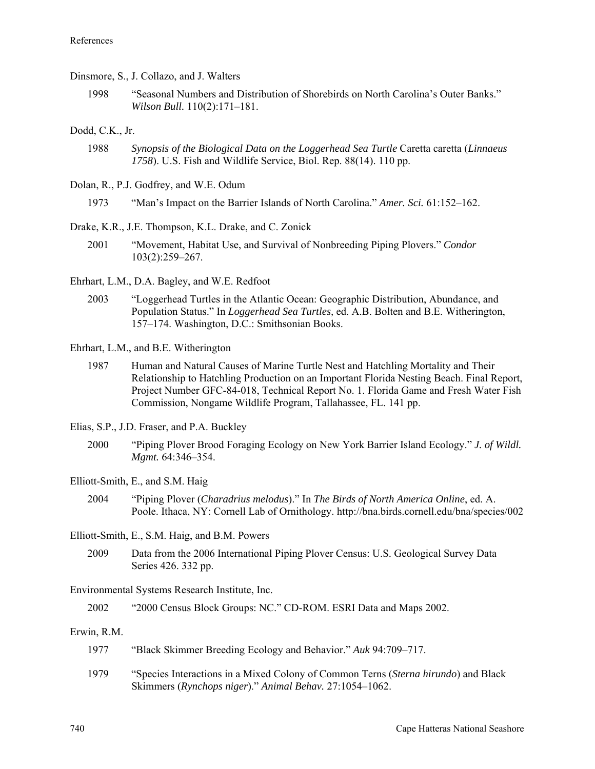Dinsmore, S., J. Collazo, and J. Walters

1998 "Seasonal Numbers and Distribution of Shorebirds on North Carolina's Outer Banks." *Wilson Bull.* 110(2):171–181.

#### Dodd, C.K., Jr.

- 1988 *Synopsis of the Biological Data on the Loggerhead Sea Turtle* Caretta caretta (*Linnaeus 1758*). U.S. Fish and Wildlife Service, Biol. Rep. 88(14). 110 pp.
- Dolan, R., P.J. Godfrey, and W.E. Odum
	- 1973 "Man's Impact on the Barrier Islands of North Carolina." *Amer. Sci.* 61:152–162.
- Drake, K.R., J.E. Thompson, K.L. Drake, and C. Zonick
	- 2001 "Movement, Habitat Use, and Survival of Nonbreeding Piping Plovers." *Condor* 103(2):259–267.
- Ehrhart, L.M., D.A. Bagley, and W.E. Redfoot
	- 2003 "Loggerhead Turtles in the Atlantic Ocean: Geographic Distribution, Abundance, and Population Status." In *Loggerhead Sea Turtles,* ed. A.B. Bolten and B.E. Witherington, 157–174. Washington, D.C.: Smithsonian Books.
- Ehrhart, L.M., and B.E. Witherington
	- 1987 Human and Natural Causes of Marine Turtle Nest and Hatchling Mortality and Their Relationship to Hatchling Production on an Important Florida Nesting Beach. Final Report, Project Number GFC-84-018, Technical Report No. 1. Florida Game and Fresh Water Fish Commission, Nongame Wildlife Program, Tallahassee, FL. 141 pp.
- Elias, S.P., J.D. Fraser, and P.A. Buckley
	- 2000 "Piping Plover Brood Foraging Ecology on New York Barrier Island Ecology." *J. of Wildl. Mgmt.* 64:346–354.
- Elliott-Smith, E., and S.M. Haig
	- 2004 "Piping Plover (*Charadrius melodus*)." In *The Birds of North America Online*, ed. A. Poole. Ithaca, NY: Cornell Lab of Ornithology. http://bna.birds.cornell.edu/bna/species/002
- Elliott-Smith, E., S.M. Haig, and B.M. Powers
	- 2009 Data from the 2006 International Piping Plover Census: U.S. Geological Survey Data Series 426. 332 pp.

#### Environmental Systems Research Institute, Inc.

2002 "2000 Census Block Groups: NC." CD-ROM. ESRI Data and Maps 2002.

## Erwin, R.M.

- 1977 "Black Skimmer Breeding Ecology and Behavior." *Auk* 94:709–717.
- 1979 "Species Interactions in a Mixed Colony of Common Terns (*Sterna hirundo*) and Black Skimmers (*Rynchops niger*)." *Animal Behav.* 27:1054–1062.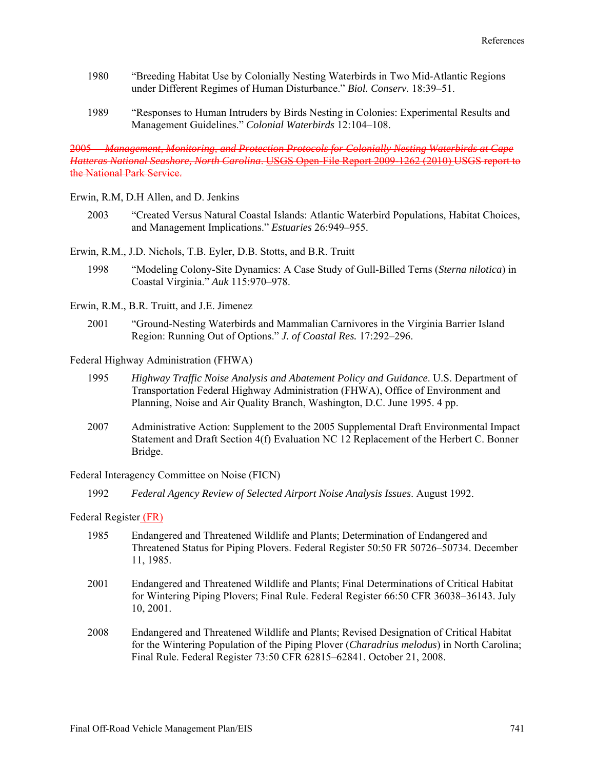- 1980 "Breeding Habitat Use by Colonially Nesting Waterbirds in Two Mid-Atlantic Regions under Different Regimes of Human Disturbance." *Biol. Conserv.* 18:39–51.
- 1989 "Responses to Human Intruders by Birds Nesting in Colonies: Experimental Results and Management Guidelines." *Colonial Waterbirds* 12:104–108.

2005 *Management, Monitoring, and Protection Protocols for Colonially Nesting Waterbirds at Cape Hatteras National Seashore, North Carolina*. USGS Open-File Report 2009-1262 (2010) USGS report to the National Park Service.

Erwin, R.M, D.H Allen, and D. Jenkins

2003 "Created Versus Natural Coastal Islands: Atlantic Waterbird Populations, Habitat Choices, and Management Implications." *Estuaries* 26:949–955.

Erwin, R.M., J.D. Nichols, T.B. Eyler, D.B. Stotts, and B.R. Truitt

1998 "Modeling Colony-Site Dynamics: A Case Study of Gull-Billed Terns (*Sterna nilotica*) in Coastal Virginia." *Auk* 115:970–978.

Erwin, R.M., B.R. Truitt, and J.E. Jimenez

2001 "Ground-Nesting Waterbirds and Mammalian Carnivores in the Virginia Barrier Island Region: Running Out of Options." *J. of Coastal Res.* 17:292–296.

Federal Highway Administration (FHWA)

- 1995 *Highway Traffic Noise Analysis and Abatement Policy and Guidance*. U.S. Department of Transportation Federal Highway Administration (FHWA), Office of Environment and Planning, Noise and Air Quality Branch, Washington, D.C. June 1995. 4 pp.
- 2007 Administrative Action: Supplement to the 2005 Supplemental Draft Environmental Impact Statement and Draft Section 4(f) Evaluation NC 12 Replacement of the Herbert C. Bonner Bridge.

Federal Interagency Committee on Noise (FICN)

1992 *Federal Agency Review of Selected Airport Noise Analysis Issues*. August 1992.

Federal Register (FR)

- 1985 Endangered and Threatened Wildlife and Plants; Determination of Endangered and Threatened Status for Piping Plovers. Federal Register 50:50 FR 50726–50734. December 11, 1985.
- 2001 Endangered and Threatened Wildlife and Plants; Final Determinations of Critical Habitat for Wintering Piping Plovers; Final Rule. Federal Register 66:50 CFR 36038–36143. July 10, 2001.
- 2008 Endangered and Threatened Wildlife and Plants; Revised Designation of Critical Habitat for the Wintering Population of the Piping Plover (*Charadrius melodus*) in North Carolina; Final Rule. Federal Register 73:50 CFR 62815–62841. October 21, 2008.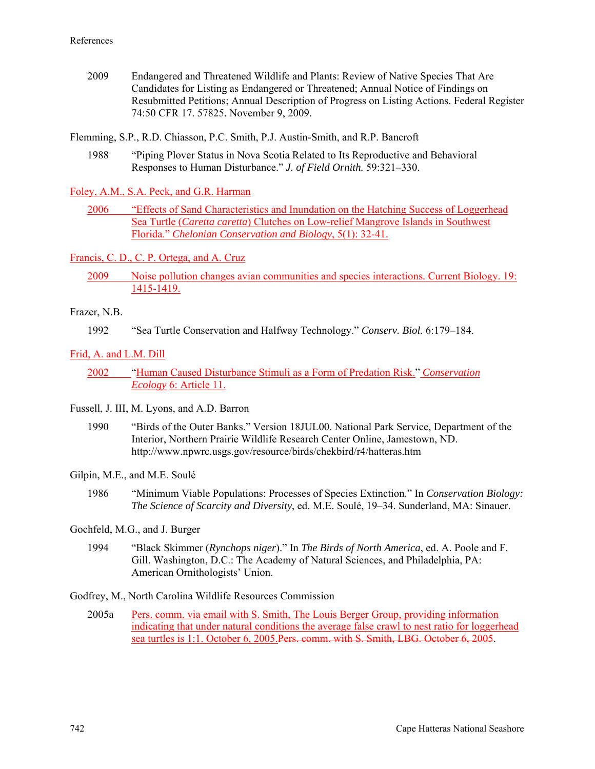2009 Endangered and Threatened Wildlife and Plants: Review of Native Species That Are Candidates for Listing as Endangered or Threatened; Annual Notice of Findings on Resubmitted Petitions; Annual Description of Progress on Listing Actions. Federal Register 74:50 CFR 17. 57825. November 9, 2009.

Flemming, S.P., R.D. Chiasson, P.C. Smith, P.J. Austin-Smith, and R.P. Bancroft

1988 "Piping Plover Status in Nova Scotia Related to Its Reproductive and Behavioral Responses to Human Disturbance." *J. of Field Ornith.* 59:321–330.

Foley, A.M., S.A. Peck, and G.R. Harman

2006 "Effects of Sand Characteristics and Inundation on the Hatching Success of Loggerhead Sea Turtle (*Caretta caretta*) Clutches on Low-relief Mangrove Islands in Southwest Florida." *Chelonian Conservation and Biology*, 5(1): 32-41.

Francis, C. D., C. P. Ortega, and A. Cruz

2009 Noise pollution changes avian communities and species interactions. Current Biology. 19: 1415-1419.

Frazer, N.B.

1992 "Sea Turtle Conservation and Halfway Technology." *Conserv. Biol.* 6:179–184.

Frid, A. and L.M. Dill

2002 "Human Caused Disturbance Stimuli as a Form of Predation Risk." *Conservation Ecology* 6: Article 11.

- Fussell, J. III, M. Lyons, and A.D. Barron
	- 1990 "Birds of the Outer Banks." Version 18JUL00. National Park Service, Department of the Interior, Northern Prairie Wildlife Research Center Online, Jamestown, ND. http://www.npwrc.usgs.gov/resource/birds/chekbird/r4/hatteras.htm
- Gilpin, M.E., and M.E. Soulé
	- 1986 "Minimum Viable Populations: Processes of Species Extinction." In *Conservation Biology: The Science of Scarcity and Diversity*, ed. M.E. Soulé, 19–34. Sunderland, MA: Sinauer.

Gochfeld, M.G., and J. Burger

1994 "Black Skimmer (*Rynchops niger*)." In *The Birds of North America*, ed. A. Poole and F. Gill. Washington, D.C.: The Academy of Natural Sciences, and Philadelphia, PA: American Ornithologists' Union.

Godfrey, M., North Carolina Wildlife Resources Commission

2005a Pers. comm. via email with S. Smith, The Louis Berger Group, providing information indicating that under natural conditions the average false crawl to nest ratio for loggerhead sea turtles is 1:1. October 6, 2005.Pers. comm. with S. Smith, LBG. October 6, 2005.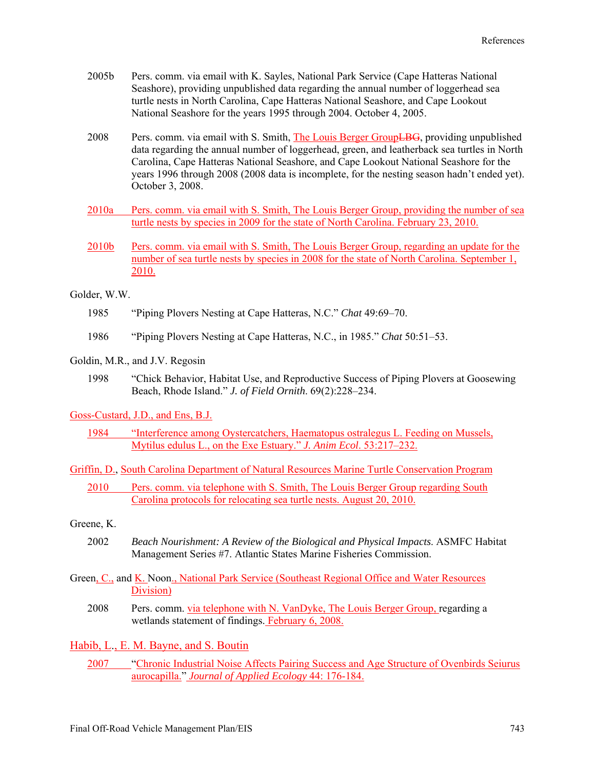- 2005b Pers. comm. via email with K. Sayles, National Park Service (Cape Hatteras National Seashore), providing unpublished data regarding the annual number of loggerhead sea turtle nests in North Carolina, Cape Hatteras National Seashore, and Cape Lookout National Seashore for the years 1995 through 2004. October 4, 2005.
- 2008 Pers. comm. via email with S. Smith, The Louis Berger GroupLBG, providing unpublished data regarding the annual number of loggerhead, green, and leatherback sea turtles in North Carolina, Cape Hatteras National Seashore, and Cape Lookout National Seashore for the years 1996 through 2008 (2008 data is incomplete, for the nesting season hadn't ended yet). October 3, 2008.
- 2010a Pers. comm. via email with S. Smith, The Louis Berger Group, providing the number of sea turtle nests by species in 2009 for the state of North Carolina. February 23, 2010.
- 2010b Pers. comm. via email with S. Smith, The Louis Berger Group, regarding an update for the number of sea turtle nests by species in 2008 for the state of North Carolina. September 1, 2010.

## Golder, W.W.

- 1985 "Piping Plovers Nesting at Cape Hatteras, N.C." *Chat* 49:69–70.
- 1986 "Piping Plovers Nesting at Cape Hatteras, N.C., in 1985." *Chat* 50:51–53.

Goldin, M.R., and J.V. Regosin

1998 "Chick Behavior, Habitat Use, and Reproductive Success of Piping Plovers at Goosewing Beach, Rhode Island." *J. of Field Ornith*. 69(2):228–234.

## Goss-Custard, J.D., and Ens, B.J.

1984 "Interference among Oystercatchers, Haematopus ostralegus L. Feeding on Mussels, Mytilus edulus L., on the Exe Estuary." *J. Anim Ecol*. 53:217–232.

Griffin, D., South Carolina Department of Natural Resources Marine Turtle Conservation Program

2010 Pers. comm. via telephone with S. Smith, The Louis Berger Group regarding South Carolina protocols for relocating sea turtle nests. August 20, 2010.

## Greene, K.

- 2002 *Beach Nourishment: A Review of the Biological and Physical Impacts*. ASMFC Habitat Management Series #7. Atlantic States Marine Fisheries Commission.
- Green, C., and K. Noon., National Park Service (Southeast Regional Office and Water Resources Division)
	- 2008 Pers. comm. via telephone with N. VanDyke, The Louis Berger Group, regarding a wetlands statement of findings. February 6, 2008.

## Habib, L., E. M. Bayne, and S. Boutin

2007 "Chronic Industrial Noise Affects Pairing Success and Age Structure of Ovenbirds Seiurus aurocapilla." *Journal of Applied Ecology* 44: 176-184.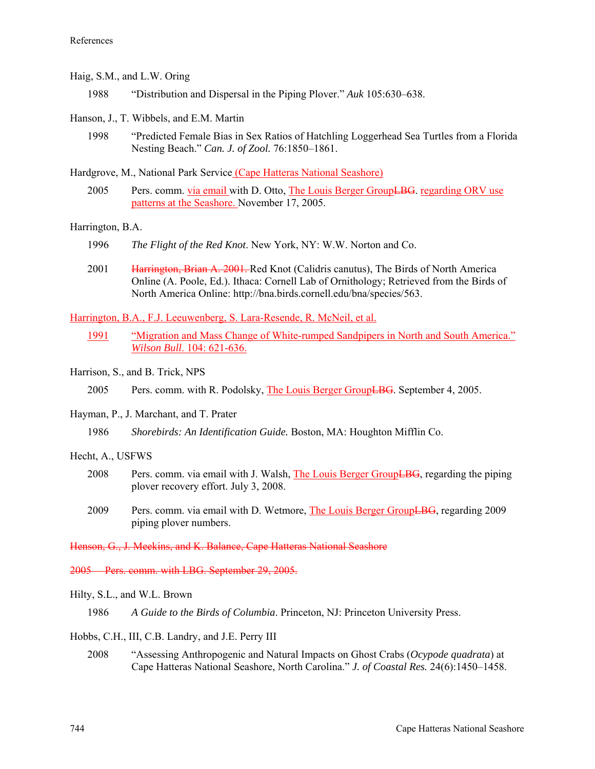#### Haig, S.M., and L.W. Oring

1988 "Distribution and Dispersal in the Piping Plover." *Auk* 105:630–638.

- Hanson, J., T. Wibbels, and E.M. Martin
	- 1998 "Predicted Female Bias in Sex Ratios of Hatchling Loggerhead Sea Turtles from a Florida Nesting Beach." *Can. J. of Zool.* 76:1850–1861.

Hardgrove, M., National Park Service (Cape Hatteras National Seashore)

2005 Pers. comm. via email with D. Otto, The Louis Berger GroupLBG. regarding ORV use patterns at the Seashore. November 17, 2005.

#### Harrington, B.A.

1996 *The Flight of the Red Knot*. New York, NY: W.W. Norton and Co.

2001 Harrington, Brian A. 2001. Red Knot (Calidris canutus), The Birds of North America Online (A. Poole, Ed.). Ithaca: Cornell Lab of Ornithology; Retrieved from the Birds of North America Online: http://bna.birds.cornell.edu/bna/species/563.

Harrington, B.A., F.J. Leeuwenberg, S. Lara-Resende, R. McNeil, et al.

- 1991 "Migration and Mass Change of White-rumped Sandpipers in North and South America." *Wilson Bull*. 104: 621-636.
- Harrison, S., and B. Trick, NPS

2005 Pers. comm. with R. Podolsky, The Louis Berger GroupLBG. September 4, 2005.

- Hayman, P., J. Marchant, and T. Prater
	- 1986 *Shorebirds: An Identification Guide.* Boston, MA: Houghton Mifflin Co.

#### Hecht, A., USFWS

- 2008 Pers. comm. via email with J. Walsh, The Louis Berger GroupLBG, regarding the piping plover recovery effort. July 3, 2008.
- 2009 Pers. comm. via email with D. Wetmore, The Louis Berger GroupLBG, regarding 2009 piping plover numbers.

Henson, G., J. Meekins, and K. Balance, Cape Hatteras National Seashore

#### 2005 Pers. comm. with LBG. September 29, 2005.

Hilty, S.L., and W.L. Brown

1986 *A Guide to the Birds of Columbia*. Princeton, NJ: Princeton University Press.

Hobbs, C.H., III, C.B. Landry, and J.E. Perry III

2008 "Assessing Anthropogenic and Natural Impacts on Ghost Crabs (*Ocypode quadrata*) at Cape Hatteras National Seashore, North Carolina." *J. of Coastal Res.* 24(6):1450–1458.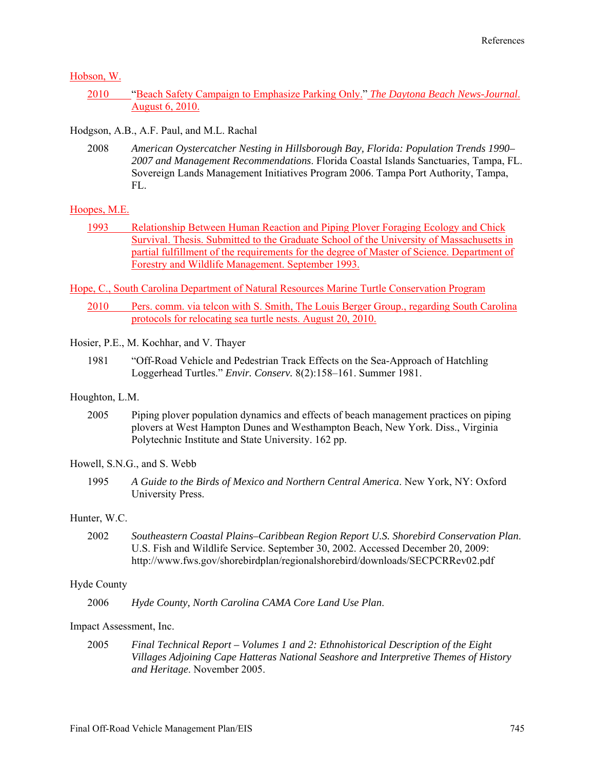Hobson, W.

2010 "Beach Safety Campaign to Emphasize Parking Only." *The Daytona Beach News-Journal*. August 6, 2010.

## Hodgson, A.B., A.F. Paul, and M.L. Rachal

2008 *American Oystercatcher Nesting in Hillsborough Bay, Florida: Population Trends 1990– 2007 and Management Recommendations*. Florida Coastal Islands Sanctuaries, Tampa, FL. Sovereign Lands Management Initiatives Program 2006. Tampa Port Authority, Tampa, FL.

## Hoopes, M.E.

1993 Relationship Between Human Reaction and Piping Plover Foraging Ecology and Chick Survival. Thesis. Submitted to the Graduate School of the University of Massachusetts in partial fulfillment of the requirements for the degree of Master of Science. Department of Forestry and Wildlife Management. September 1993.

Hope, C., South Carolina Department of Natural Resources Marine Turtle Conservation Program

2010 Pers. comm. via telcon with S. Smith, The Louis Berger Group., regarding South Carolina protocols for relocating sea turtle nests. August 20, 2010.

Hosier, P.E., M. Kochhar, and V. Thayer

1981 "Off-Road Vehicle and Pedestrian Track Effects on the Sea-Approach of Hatchling Loggerhead Turtles." *Envir. Conserv.* 8(2):158–161. Summer 1981.

#### Houghton, L.M.

2005 Piping plover population dynamics and effects of beach management practices on piping plovers at West Hampton Dunes and Westhampton Beach, New York. Diss., Virginia Polytechnic Institute and State University. 162 pp.

## Howell, S.N.G., and S. Webb

1995 *A Guide to the Birds of Mexico and Northern Central America*. New York, NY: Oxford University Press.

#### Hunter, W.C.

2002 *Southeastern Coastal Plains–Caribbean Region Report U.S. Shorebird Conservation Plan*. U.S. Fish and Wildlife Service. September 30, 2002. Accessed December 20, 2009: http://www.fws.gov/shorebirdplan/regionalshorebird/downloads/SECPCRRev02.pdf

#### Hyde County

2006 *Hyde County, North Carolina CAMA Core Land Use Plan*.

## Impact Assessment, Inc.

2005 *Final Technical Report – Volumes 1 and 2: Ethnohistorical Description of the Eight Villages Adjoining Cape Hatteras National Seashore and Interpretive Themes of History and Heritage*. November 2005.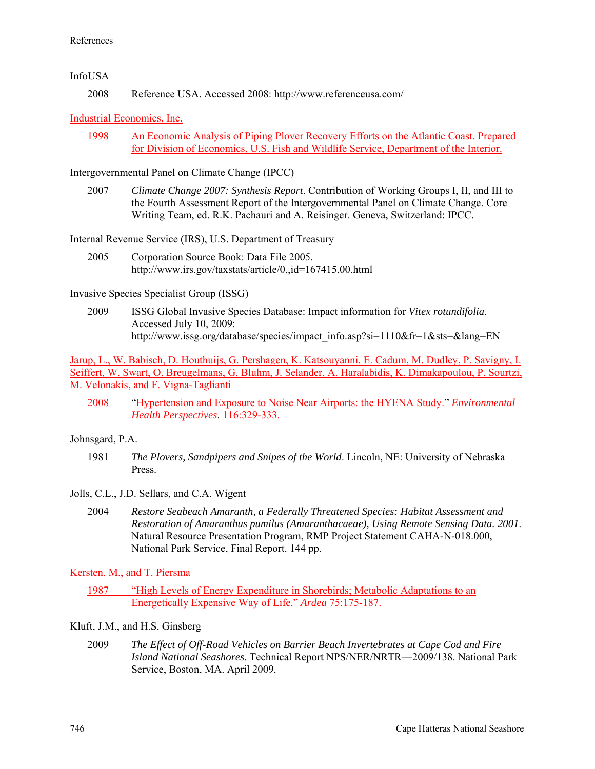## InfoUSA

2008 Reference USA. Accessed 2008: http://www.referenceusa.com/

Industrial Economics, Inc.

1998 An Economic Analysis of Piping Plover Recovery Efforts on the Atlantic Coast. Prepared for Division of Economics, U.S. Fish and Wildlife Service, Department of the Interior.

Intergovernmental Panel on Climate Change (IPCC)

2007 *Climate Change 2007: Synthesis Report*. Contribution of Working Groups I, II, and III to the Fourth Assessment Report of the Intergovernmental Panel on Climate Change. Core Writing Team, ed. R.K. Pachauri and A. Reisinger. Geneva, Switzerland: IPCC.

Internal Revenue Service (IRS), U.S. Department of Treasury

2005 Corporation Source Book: Data File 2005. http://www.irs.gov/taxstats/article/0,,id=167415,00.html

Invasive Species Specialist Group (ISSG)

2009 ISSG Global Invasive Species Database: Impact information for *Vitex rotundifolia*. Accessed July 10, 2009: http://www.issg.org/database/species/impact\_info.asp?si=1110&fr=1&sts=&lang=EN

Jarup, L., W. Babisch, D. Houthuijs, G. Pershagen, K. Katsouyanni, E. Cadum, M. Dudley, P. Savigny, I. Seiffert, W. Swart, O. Breugelmans, G. Bluhm, J. Selander, A. Haralabidis, K. Dimakapoulou, P. Sourtzi, M. Velonakis, and F. Vigna-Taglianti

2008 "Hypertension and Exposure to Noise Near Airports: the HYENA Study." *Environmental Health Perspectives*. 116:329-333.

## Johnsgard, P.A.

1981 *The Plovers, Sandpipers and Snipes of the World*. Lincoln, NE: University of Nebraska Press.

Jolls, C.L., J.D. Sellars, and C.A. Wigent

2004 *Restore Seabeach Amaranth, a Federally Threatened Species: Habitat Assessment and Restoration of Amaranthus pumilus (Amaranthacaeae), Using Remote Sensing Data. 2001*. Natural Resource Presentation Program, RMP Project Statement CAHA-N-018.000, National Park Service, Final Report. 144 pp.

## Kersten, M., and T. Piersma

1987 "High Levels of Energy Expenditure in Shorebirds; Metabolic Adaptations to an Energetically Expensive Way of Life." *Ardea* 75:175-187.

Kluft, J.M., and H.S. Ginsberg

2009 *The Effect of Off-Road Vehicles on Barrier Beach Invertebrates at Cape Cod and Fire Island National Seashores*. Technical Report NPS/NER/NRTR—2009/138. National Park Service, Boston, MA. April 2009.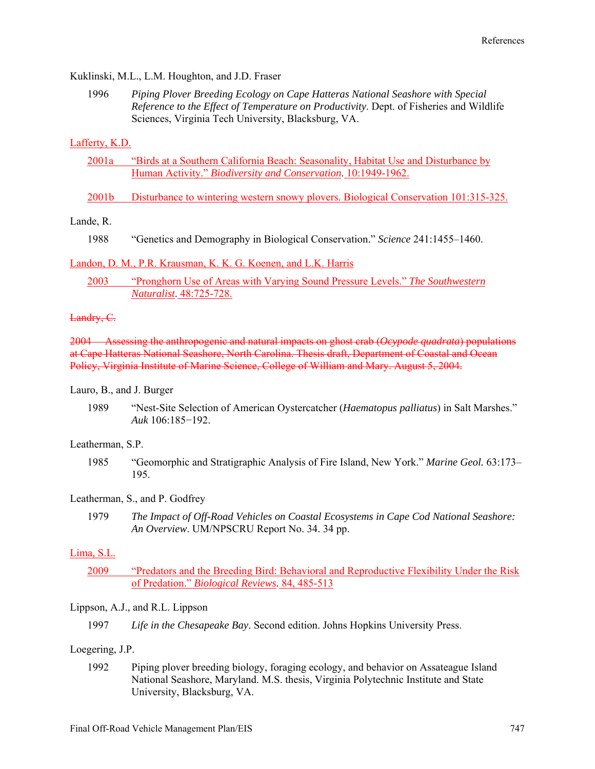Kuklinski, M.L., L.M. Houghton, and J.D. Fraser

1996 *Piping Plover Breeding Ecology on Cape Hatteras National Seashore with Special Reference to the Effect of Temperature on Productivity*. Dept. of Fisheries and Wildlife Sciences, Virginia Tech University, Blacksburg, VA.

## Lafferty, K.D.

- 2001a "Birds at a Southern California Beach: Seasonality, Habitat Use and Disturbance by Human Activity." *Biodiversity and Conservation*. 10:1949-1962.
- 2001b Disturbance to wintering western snowy plovers. Biological Conservation 101:315-325.

#### Lande, R.

1988 "Genetics and Demography in Biological Conservation." *Science* 241:1455–1460.

## Landon, D. M., P.R. Krausman, K. K. G. Koenen, and L.K. Harris

2003 "Pronghorn Use of Areas with Varying Sound Pressure Levels." *The Southwestern Naturalist*. 48:725-728.

## Landry, C.

2004 Assessing the anthropogenic and natural impacts on ghost crab (*Ocypode quadrata*) populations at Cape Hatteras National Seashore, North Carolina. Thesis draft, Department of Coastal and Ocean Policy, Virginia Institute of Marine Science, College of William and Mary. August 5, 2004.

#### Lauro, B., and J. Burger

1989 "Nest-Site Selection of American Oystercatcher (*Haematopus palliatus*) in Salt Marshes." *Auk* 106:185−192.

#### Leatherman, S.P.

1985 "Geomorphic and Stratigraphic Analysis of Fire Island, New York." *Marine Geol.* 63:173– 195.

#### Leatherman, S., and P. Godfrey

1979 *The Impact of Off-Road Vehicles on Coastal Ecosystems in Cape Cod National Seashore: An Overview*. UM/NPSCRU Report No. 34. 34 pp.

## Lima, S.L.

2009 "Predators and the Breeding Bird: Behavioral and Reproductive Flexibility Under the Risk of Predation." *Biological Reviews*. 84, 485-513

#### Lippson, A.J., and R.L. Lippson

1997 *Life in the Chesapeake Bay*. Second edition. Johns Hopkins University Press.

#### Loegering, J.P.

1992 Piping plover breeding biology, foraging ecology, and behavior on Assateague Island National Seashore, Maryland. M.S. thesis, Virginia Polytechnic Institute and State University, Blacksburg, VA.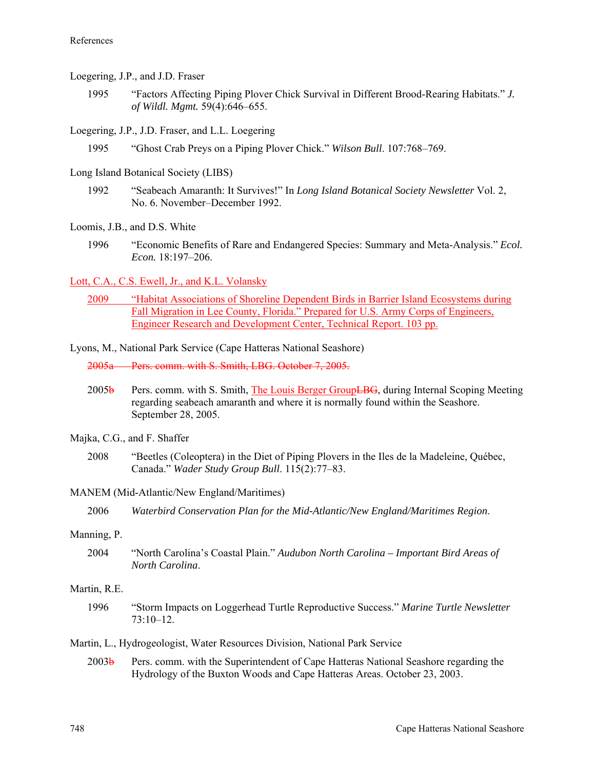Loegering, J.P., and J.D. Fraser

1995 "Factors Affecting Piping Plover Chick Survival in Different Brood-Rearing Habitats." *J. of Wildl. Mgmt.* 59(4):646–655.

Loegering, J.P., J.D. Fraser, and L.L. Loegering

1995 "Ghost Crab Preys on a Piping Plover Chick." *Wilson Bull*. 107:768–769.

Long Island Botanical Society (LIBS)

1992 "Seabeach Amaranth: It Survives!" In *Long Island Botanical Society Newsletter* Vol. 2, No. 6. November–December 1992.

Loomis, J.B., and D.S. White

1996 "Economic Benefits of Rare and Endangered Species: Summary and Meta-Analysis." *Ecol. Econ.* 18:197–206.

Lott, C.A., C.S. Ewell, Jr., and K.L. Volansky

2009 "Habitat Associations of Shoreline Dependent Birds in Barrier Island Ecosystems during Fall Migration in Lee County, Florida." Prepared for U.S. Army Corps of Engineers, Engineer Research and Development Center, Technical Report. 103 pp.

Lyons, M., National Park Service (Cape Hatteras National Seashore)

2005a Pers. comm. with S. Smith, LBG. October 7, 2005.

2005b Pers. comm. with S. Smith, The Louis Berger GroupLBG, during Internal Scoping Meeting regarding seabeach amaranth and where it is normally found within the Seashore. September 28, 2005.

Majka, C.G., and F. Shaffer

2008 "Beetles (Coleoptera) in the Diet of Piping Plovers in the Iles de la Madeleine, Québec, Canada." *Wader Study Group Bull*. 115(2):77–83.

MANEM (Mid-Atlantic/New England/Maritimes)

#### Manning, P.

2004 "North Carolina's Coastal Plain." *Audubon North Carolina – Important Bird Areas of North Carolina*.

#### Martin, R.E.

1996 "Storm Impacts on Loggerhead Turtle Reproductive Success." *Marine Turtle Newsletter*  73:10–12.

Martin, L., Hydrogeologist, Water Resources Division, National Park Service

 $2003\text{b}$  Pers. comm. with the Superintendent of Cape Hatteras National Seashore regarding the Hydrology of the Buxton Woods and Cape Hatteras Areas. October 23, 2003.

<sup>2006</sup> *Waterbird Conservation Plan for the Mid-Atlantic/New England/Maritimes Region*.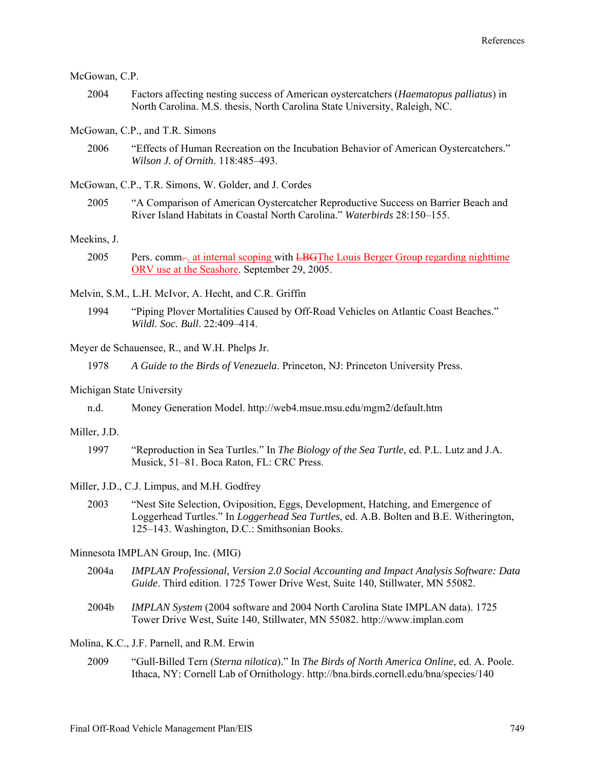#### McGowan, C.P.

2004 Factors affecting nesting success of American oystercatchers (*Haematopus palliatus*) in North Carolina. M.S. thesis, North Carolina State University, Raleigh, NC.

#### McGowan, C.P., and T.R. Simons

2006 "Effects of Human Recreation on the Incubation Behavior of American Oystercatchers." *Wilson J. of Ornith*. 118:485–493.

McGowan, C.P., T.R. Simons, W. Golder, and J. Cordes

2005 "A Comparison of American Oystercatcher Reproductive Success on Barrier Beach and River Island Habitats in Coastal North Carolina." *Waterbirds* 28:150–155.

#### Meekins, J.

2005 Pers. comm-. at internal scoping with LBGThe Louis Berger Group regarding nighttime ORV use at the Seashore. September 29, 2005.

Melvin, S.M., L.H. McIvor, A. Hecht, and C.R. Griffin

1994 "Piping Plover Mortalities Caused by Off-Road Vehicles on Atlantic Coast Beaches." *Wildl. Soc. Bull*. 22:409–414.

## Meyer de Schauensee, R., and W.H. Phelps Jr.

1978 *A Guide to the Birds of Venezuela*. Princeton, NJ: Princeton University Press.

#### Michigan State University

n.d. Money Generation Model. http://web4.msue.msu.edu/mgm2/default.htm

#### Miller, J.D.

1997 "Reproduction in Sea Turtles." In *The Biology of the Sea Turtle*, ed. P.L. Lutz and J.A. Musick, 51–81. Boca Raton, FL: CRC Press.

#### Miller, J.D., C.J. Limpus, and M.H. Godfrey

2003 "Nest Site Selection, Oviposition, Eggs, Development, Hatching, and Emergence of Loggerhead Turtles." In *Loggerhead Sea Turtles*, ed. A.B. Bolten and B.E. Witherington, 125–143. Washington, D.C.: Smithsonian Books.

#### Minnesota IMPLAN Group, Inc. (MIG)

- 2004a *IMPLAN Professional, Version 2.0 Social Accounting and Impact Analysis Software: Data Guide*. Third edition. 1725 Tower Drive West, Suite 140, Stillwater, MN 55082.
- 2004b *IMPLAN System* (2004 software and 2004 North Carolina State IMPLAN data). 1725 Tower Drive West, Suite 140, Stillwater, MN 55082. http://www.implan.com
- Molina, K.C., J.F. Parnell, and R.M. Erwin
	- 2009 "Gull-Billed Tern (*Sterna nilotica*)." In *The Birds of North America Online*, ed. A. Poole. Ithaca, NY: Cornell Lab of Ornithology. http://bna.birds.cornell.edu/bna/species/140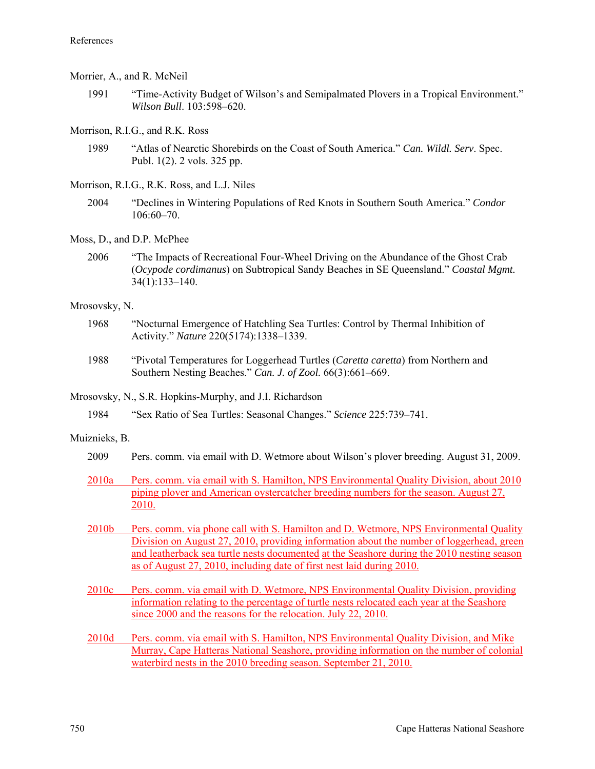## Morrier, A., and R. McNeil

- 1991 "Time-Activity Budget of Wilson's and Semipalmated Plovers in a Tropical Environment." *Wilson Bull*. 103:598–620.
- Morrison, R.I.G., and R.K. Ross
	- 1989 "Atlas of Nearctic Shorebirds on the Coast of South America." *Can. Wildl. Serv*. Spec. Publ. 1(2). 2 vols. 325 pp.

Morrison, R.I.G., R.K. Ross, and L.J. Niles

2004 "Declines in Wintering Populations of Red Knots in Southern South America." *Condor*  106:60–70.

Moss, D., and D.P. McPhee

2006 "The Impacts of Recreational Four-Wheel Driving on the Abundance of the Ghost Crab (*Ocypode cordimanus*) on Subtropical Sandy Beaches in SE Queensland." *Coastal Mgmt.* 34(1):133–140.

## Mrosovsky, N.

- 1968 "Nocturnal Emergence of Hatchling Sea Turtles: Control by Thermal Inhibition of Activity." *Nature* 220(5174):1338–1339.
- 1988 "Pivotal Temperatures for Loggerhead Turtles (*Caretta caretta*) from Northern and Southern Nesting Beaches." *Can. J. of Zool.* 66(3):661–669.

Mrosovsky, N., S.R. Hopkins-Murphy, and J.I. Richardson

1984 "Sex Ratio of Sea Turtles: Seasonal Changes." *Science* 225:739–741.

## Muiznieks, B.

- 2009 Pers. comm. via email with D. Wetmore about Wilson's plover breeding. August 31, 2009.
- 2010a Pers. comm. via email with S. Hamilton, NPS Environmental Quality Division, about 2010 piping plover and American oystercatcher breeding numbers for the season. August 27, 2010.
- 2010b Pers. comm. via phone call with S. Hamilton and D. Wetmore, NPS Environmental Quality Division on August 27, 2010, providing information about the number of loggerhead, green and leatherback sea turtle nests documented at the Seashore during the 2010 nesting season as of August 27, 2010, including date of first nest laid during 2010.
- 2010c Pers. comm. via email with D. Wetmore, NPS Environmental Quality Division, providing information relating to the percentage of turtle nests relocated each year at the Seashore since 2000 and the reasons for the relocation. July 22, 2010.
- 2010d Pers. comm. via email with S. Hamilton, NPS Environmental Quality Division, and Mike Murray, Cape Hatteras National Seashore, providing information on the number of colonial waterbird nests in the 2010 breeding season. September 21, 2010.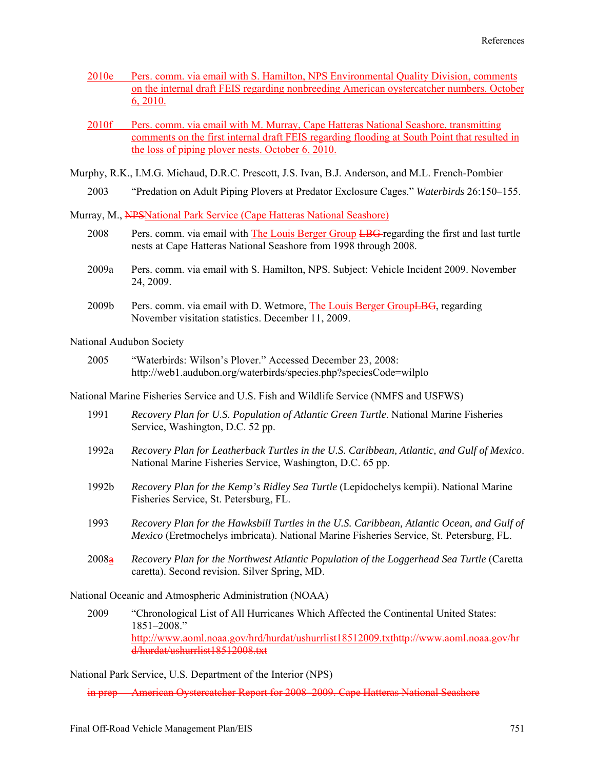- 2010e Pers. comm. via email with S. Hamilton, NPS Environmental Quality Division, comments on the internal draft FEIS regarding nonbreeding American oystercatcher numbers. October 6, 2010.
- 2010f Pers. comm. via email with M. Murray, Cape Hatteras National Seashore, transmitting comments on the first internal draft FEIS regarding flooding at South Point that resulted in the loss of piping plover nests. October 6, 2010.

Murphy, R.K., I.M.G. Michaud, D.R.C. Prescott, J.S. Ivan, B.J. Anderson, and M.L. French-Pombier

2003 "Predation on Adult Piping Plovers at Predator Exclosure Cages." *Waterbirds* 26:150–155.

Murray, M., NPSNational Park Service (Cape Hatteras National Seashore)

- 2008 Pers. comm. via email with The Louis Berger Group LBG-regarding the first and last turtle nests at Cape Hatteras National Seashore from 1998 through 2008.
- 2009a Pers. comm. via email with S. Hamilton, NPS. Subject: Vehicle Incident 2009. November 24, 2009.
- 2009b Pers. comm. via email with D. Wetmore, The Louis Berger GroupLBG, regarding November visitation statistics. December 11, 2009.

National Audubon Society

2005 "Waterbirds: Wilson's Plover." Accessed December 23, 2008: http://web1.audubon.org/waterbirds/species.php?speciesCode=wilplo

National Marine Fisheries Service and U.S. Fish and Wildlife Service (NMFS and USFWS)

- 1991 *Recovery Plan for U.S. Population of Atlantic Green Turtle*. National Marine Fisheries Service, Washington, D.C. 52 pp.
- 1992a *Recovery Plan for Leatherback Turtles in the U.S. Caribbean, Atlantic, and Gulf of Mexico*. National Marine Fisheries Service, Washington, D.C. 65 pp.
- 1992b *Recovery Plan for the Kemp's Ridley Sea Turtle* (Lepidochelys kempii). National Marine Fisheries Service, St. Petersburg, FL.
- 1993 *Recovery Plan for the Hawksbill Turtles in the U.S. Caribbean, Atlantic Ocean, and Gulf of Mexico* (Eretmochelys imbricata). National Marine Fisheries Service, St. Petersburg, FL.
- 2008<sub>a</sub> *Recovery Plan for the Northwest Atlantic Population of the Loggerhead Sea Turtle* (Caretta caretta). Second revision. Silver Spring, MD.

National Oceanic and Atmospheric Administration (NOAA)

2009 "Chronological List of All Hurricanes Which Affected the Continental United States: 1851–2008." http://www.aoml.noaa.gov/hrd/hurdat/ushurrlist18512009.txthttp://www.aoml.noaa.gov/hr d/hurdat/ushurrlist18512008.txt

National Park Service, U.S. Department of the Interior (NPS)

in prep American Oystercatcher Report for 2008–2009. Cape Hatteras National Seashore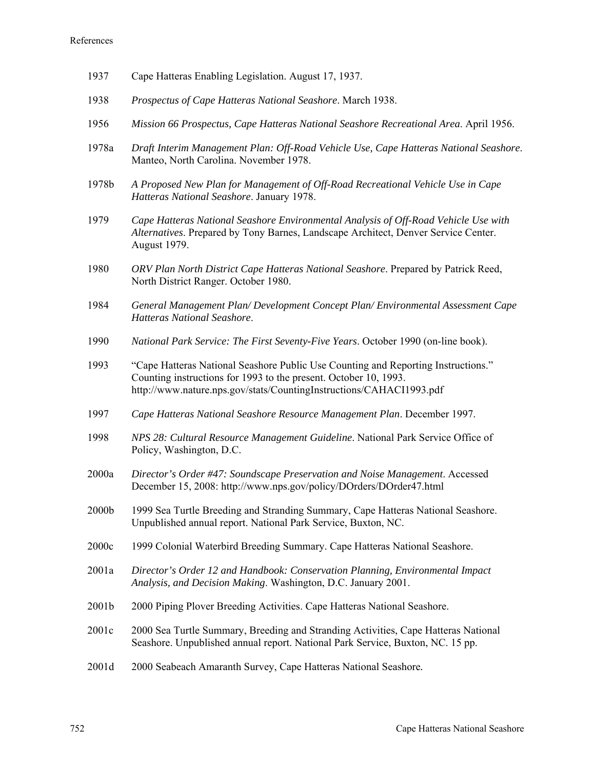| 1937  | Cape Hatteras Enabling Legislation. August 17, 1937.                                                                                                                                                                         |
|-------|------------------------------------------------------------------------------------------------------------------------------------------------------------------------------------------------------------------------------|
| 1938  | Prospectus of Cape Hatteras National Seashore. March 1938.                                                                                                                                                                   |
| 1956  | Mission 66 Prospectus, Cape Hatteras National Seashore Recreational Area. April 1956.                                                                                                                                        |
| 1978a | Draft Interim Management Plan: Off-Road Vehicle Use, Cape Hatteras National Seashore.<br>Manteo, North Carolina. November 1978.                                                                                              |
| 1978b | A Proposed New Plan for Management of Off-Road Recreational Vehicle Use in Cape<br>Hatteras National Seashore. January 1978.                                                                                                 |
| 1979  | Cape Hatteras National Seashore Environmental Analysis of Off-Road Vehicle Use with<br>Alternatives. Prepared by Tony Barnes, Landscape Architect, Denver Service Center.<br>August 1979.                                    |
| 1980  | ORV Plan North District Cape Hatteras National Seashore. Prepared by Patrick Reed,<br>North District Ranger. October 1980.                                                                                                   |
| 1984  | General Management Plan/Development Concept Plan/Environmental Assessment Cape<br>Hatteras National Seashore.                                                                                                                |
| 1990  | National Park Service: The First Seventy-Five Years. October 1990 (on-line book).                                                                                                                                            |
| 1993  | "Cape Hatteras National Seashore Public Use Counting and Reporting Instructions."<br>Counting instructions for 1993 to the present. October 10, 1993.<br>http://www.nature.nps.gov/stats/CountingInstructions/CAHACI1993.pdf |
| 1997  | Cape Hatteras National Seashore Resource Management Plan. December 1997.                                                                                                                                                     |
| 1998  | NPS 28: Cultural Resource Management Guideline. National Park Service Office of<br>Policy, Washington, D.C.                                                                                                                  |
| 2000a | Director's Order #47: Soundscape Preservation and Noise Management. Accessed<br>December 15, 2008: http://www.nps.gov/policy/DOrders/DOrder47.html                                                                           |
| 2000b | 1999 Sea Turtle Breeding and Stranding Summary, Cape Hatteras National Seashore.<br>Unpublished annual report. National Park Service, Buxton, NC.                                                                            |
| 2000c | 1999 Colonial Waterbird Breeding Summary. Cape Hatteras National Seashore.                                                                                                                                                   |
| 2001a | Director's Order 12 and Handbook: Conservation Planning, Environmental Impact<br>Analysis, and Decision Making. Washington, D.C. January 2001.                                                                               |
| 2001b | 2000 Piping Plover Breeding Activities. Cape Hatteras National Seashore.                                                                                                                                                     |
| 2001c | 2000 Sea Turtle Summary, Breeding and Stranding Activities, Cape Hatteras National<br>Seashore. Unpublished annual report. National Park Service, Buxton, NC. 15 pp.                                                         |
| 2001d | 2000 Seabeach Amaranth Survey, Cape Hatteras National Seashore.                                                                                                                                                              |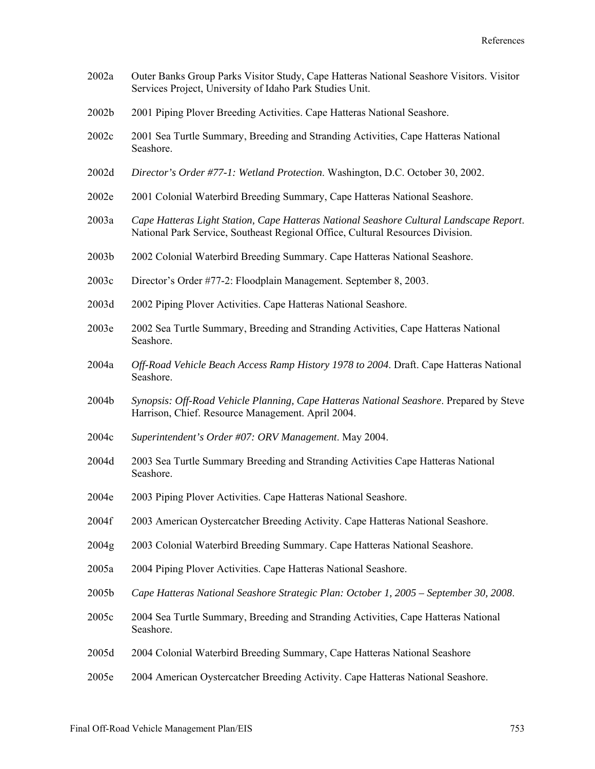| 2002a             | Outer Banks Group Parks Visitor Study, Cape Hatteras National Seashore Visitors. Visitor<br>Services Project, University of Idaho Park Studies Unit.                      |
|-------------------|---------------------------------------------------------------------------------------------------------------------------------------------------------------------------|
| 2002 <sub>b</sub> | 2001 Piping Plover Breeding Activities. Cape Hatteras National Seashore.                                                                                                  |
| 2002c             | 2001 Sea Turtle Summary, Breeding and Stranding Activities, Cape Hatteras National<br>Seashore.                                                                           |
| 2002d             | Director's Order #77-1: Wetland Protection. Washington, D.C. October 30, 2002.                                                                                            |
| 2002e             | 2001 Colonial Waterbird Breeding Summary, Cape Hatteras National Seashore.                                                                                                |
| 2003a             | Cape Hatteras Light Station, Cape Hatteras National Seashore Cultural Landscape Report.<br>National Park Service, Southeast Regional Office, Cultural Resources Division. |
| 2003 <sub>b</sub> | 2002 Colonial Waterbird Breeding Summary. Cape Hatteras National Seashore.                                                                                                |
| 2003c             | Director's Order #77-2: Floodplain Management. September 8, 2003.                                                                                                         |
| 2003d             | 2002 Piping Plover Activities. Cape Hatteras National Seashore.                                                                                                           |
| 2003e             | 2002 Sea Turtle Summary, Breeding and Stranding Activities, Cape Hatteras National<br>Seashore.                                                                           |
| 2004a             | Off-Road Vehicle Beach Access Ramp History 1978 to 2004. Draft. Cape Hatteras National<br>Seashore.                                                                       |
| 2004b             | Synopsis: Off-Road Vehicle Planning, Cape Hatteras National Seashore. Prepared by Steve<br>Harrison, Chief. Resource Management. April 2004.                              |
| 2004c             | Superintendent's Order #07: ORV Management. May 2004.                                                                                                                     |
| 2004d             | 2003 Sea Turtle Summary Breeding and Stranding Activities Cape Hatteras National<br>Seashore.                                                                             |
| 2004e             | 2003 Piping Plover Activities. Cape Hatteras National Seashore.                                                                                                           |
| 2004f             | 2003 American Oystercatcher Breeding Activity. Cape Hatteras National Seashore.                                                                                           |
| 2004g             | 2003 Colonial Waterbird Breeding Summary. Cape Hatteras National Seashore.                                                                                                |
| 2005a             | 2004 Piping Plover Activities. Cape Hatteras National Seashore.                                                                                                           |
| 2005b             | Cape Hatteras National Seashore Strategic Plan: October 1, 2005 – September 30, 2008.                                                                                     |
| 2005c             | 2004 Sea Turtle Summary, Breeding and Stranding Activities, Cape Hatteras National<br>Seashore.                                                                           |
| 2005d             | 2004 Colonial Waterbird Breeding Summary, Cape Hatteras National Seashore                                                                                                 |
| 2005e             | 2004 American Oystercatcher Breeding Activity. Cape Hatteras National Seashore.                                                                                           |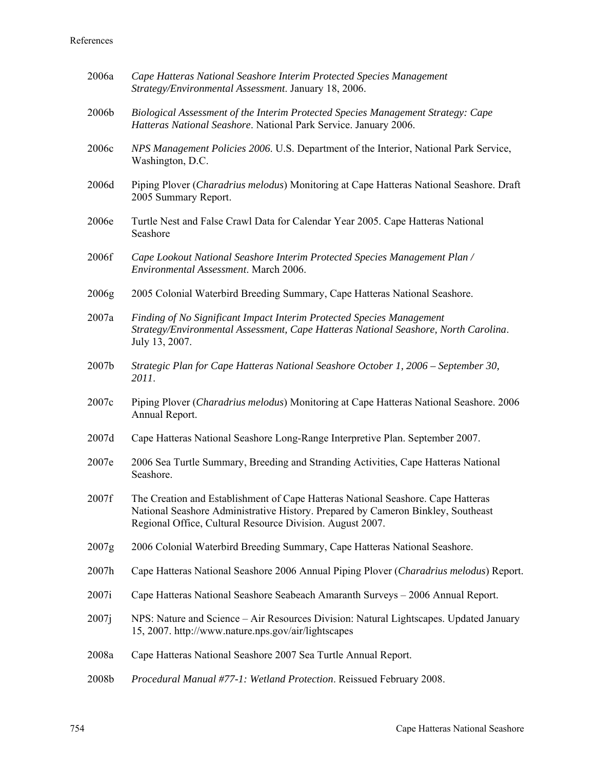## References

| 2006a             | Cape Hatteras National Seashore Interim Protected Species Management<br>Strategy/Environmental Assessment. January 18, 2006.                                                                                                      |
|-------------------|-----------------------------------------------------------------------------------------------------------------------------------------------------------------------------------------------------------------------------------|
| 2006b             | Biological Assessment of the Interim Protected Species Management Strategy: Cape<br>Hatteras National Seashore. National Park Service. January 2006.                                                                              |
| 2006c             | NPS Management Policies 2006. U.S. Department of the Interior, National Park Service,<br>Washington, D.C.                                                                                                                         |
| 2006d             | Piping Plover (Charadrius melodus) Monitoring at Cape Hatteras National Seashore. Draft<br>2005 Summary Report.                                                                                                                   |
| 2006e             | Turtle Nest and False Crawl Data for Calendar Year 2005. Cape Hatteras National<br>Seashore                                                                                                                                       |
| 2006f             | Cape Lookout National Seashore Interim Protected Species Management Plan /<br>Environmental Assessment. March 2006.                                                                                                               |
| 2006g             | 2005 Colonial Waterbird Breeding Summary, Cape Hatteras National Seashore.                                                                                                                                                        |
| 2007a             | Finding of No Significant Impact Interim Protected Species Management<br>Strategy/Environmental Assessment, Cape Hatteras National Seashore, North Carolina.<br>July 13, 2007.                                                    |
| 2007b             | Strategic Plan for Cape Hatteras National Seashore October 1, 2006 – September 30,<br>2011.                                                                                                                                       |
| 2007c             | Piping Plover (Charadrius melodus) Monitoring at Cape Hatteras National Seashore. 2006<br>Annual Report.                                                                                                                          |
| 2007d             | Cape Hatteras National Seashore Long-Range Interpretive Plan. September 2007.                                                                                                                                                     |
| 2007e             | 2006 Sea Turtle Summary, Breeding and Stranding Activities, Cape Hatteras National<br>Seashore.                                                                                                                                   |
| 2007f             | The Creation and Establishment of Cape Hatteras National Seashore. Cape Hatteras<br>National Seashore Administrative History. Prepared by Cameron Binkley, Southeast<br>Regional Office, Cultural Resource Division. August 2007. |
| 2007 <sub>g</sub> | 2006 Colonial Waterbird Breeding Summary, Cape Hatteras National Seashore.                                                                                                                                                        |
| 2007h             | Cape Hatteras National Seashore 2006 Annual Piping Plover (Charadrius melodus) Report.                                                                                                                                            |
| 2007i             | Cape Hatteras National Seashore Seabeach Amaranth Surveys - 2006 Annual Report.                                                                                                                                                   |
| 2007j             | NPS: Nature and Science – Air Resources Division: Natural Lightscapes. Updated January<br>15, 2007. http://www.nature.nps.gov/air/lightscapes                                                                                     |
| 2008a             | Cape Hatteras National Seashore 2007 Sea Turtle Annual Report.                                                                                                                                                                    |
| 2008b             | Procedural Manual #77-1: Wetland Protection. Reissued February 2008.                                                                                                                                                              |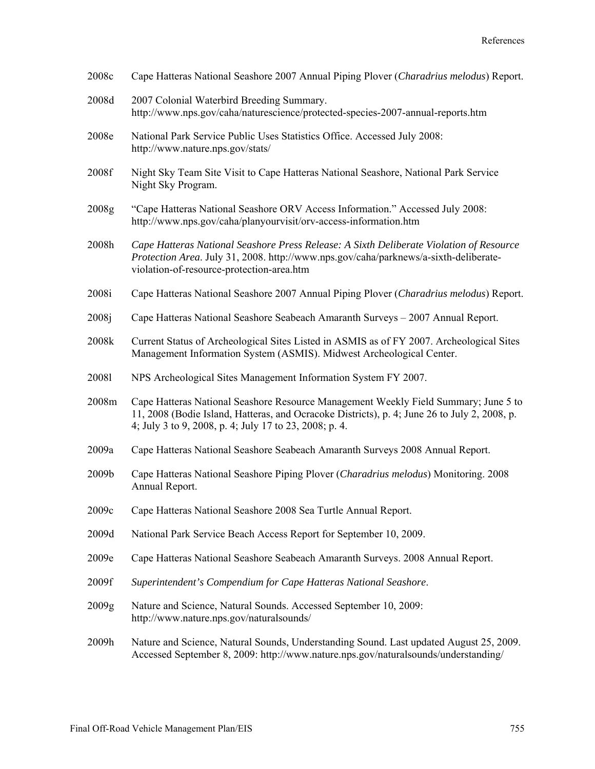| 2008c | Cape Hatteras National Seashore 2007 Annual Piping Plover (Charadrius melodus) Report.                                                                                                                                                        |
|-------|-----------------------------------------------------------------------------------------------------------------------------------------------------------------------------------------------------------------------------------------------|
| 2008d | 2007 Colonial Waterbird Breeding Summary.<br>http://www.nps.gov/caha/naturescience/protected-species-2007-annual-reports.htm                                                                                                                  |
| 2008e | National Park Service Public Uses Statistics Office. Accessed July 2008:<br>http://www.nature.nps.gov/stats/                                                                                                                                  |
| 2008f | Night Sky Team Site Visit to Cape Hatteras National Seashore, National Park Service<br>Night Sky Program.                                                                                                                                     |
| 2008g | "Cape Hatteras National Seashore ORV Access Information." Accessed July 2008:<br>http://www.nps.gov/caha/planyourvisit/orv-access-information.htm                                                                                             |
| 2008h | Cape Hatteras National Seashore Press Release: A Sixth Deliberate Violation of Resource<br>Protection Area. July 31, 2008. http://www.nps.gov/caha/parknews/a-sixth-deliberate-<br>violation-of-resource-protection-area.htm                  |
| 2008i | Cape Hatteras National Seashore 2007 Annual Piping Plover (Charadrius melodus) Report.                                                                                                                                                        |
| 2008j | Cape Hatteras National Seashore Seabeach Amaranth Surveys - 2007 Annual Report.                                                                                                                                                               |
| 2008k | Current Status of Archeological Sites Listed in ASMIS as of FY 2007. Archeological Sites<br>Management Information System (ASMIS). Midwest Archeological Center.                                                                              |
| 20081 | NPS Archeological Sites Management Information System FY 2007.                                                                                                                                                                                |
| 2008m | Cape Hatteras National Seashore Resource Management Weekly Field Summary; June 5 to<br>11, 2008 (Bodie Island, Hatteras, and Ocracoke Districts), p. 4; June 26 to July 2, 2008, p.<br>4; July 3 to 9, 2008, p. 4; July 17 to 23, 2008; p. 4. |
| 2009a | Cape Hatteras National Seashore Seabeach Amaranth Surveys 2008 Annual Report.                                                                                                                                                                 |
| 2009b | Cape Hatteras National Seashore Piping Plover (Charadrius melodus) Monitoring. 2008<br>Annual Report.                                                                                                                                         |
| 2009c | Cape Hatteras National Seashore 2008 Sea Turtle Annual Report.                                                                                                                                                                                |
| 2009d | National Park Service Beach Access Report for September 10, 2009.                                                                                                                                                                             |
| 2009e | Cape Hatteras National Seashore Seabeach Amaranth Surveys. 2008 Annual Report.                                                                                                                                                                |
| 2009f | Superintendent's Compendium for Cape Hatteras National Seashore.                                                                                                                                                                              |
| 2009g | Nature and Science, Natural Sounds. Accessed September 10, 2009:<br>http://www.nature.nps.gov/naturalsounds/                                                                                                                                  |
| 2009h | Nature and Science, Natural Sounds, Understanding Sound. Last updated August 25, 2009.                                                                                                                                                        |
|       | Accessed September 8, 2009: http://www.nature.nps.gov/naturalsounds/understanding/                                                                                                                                                            |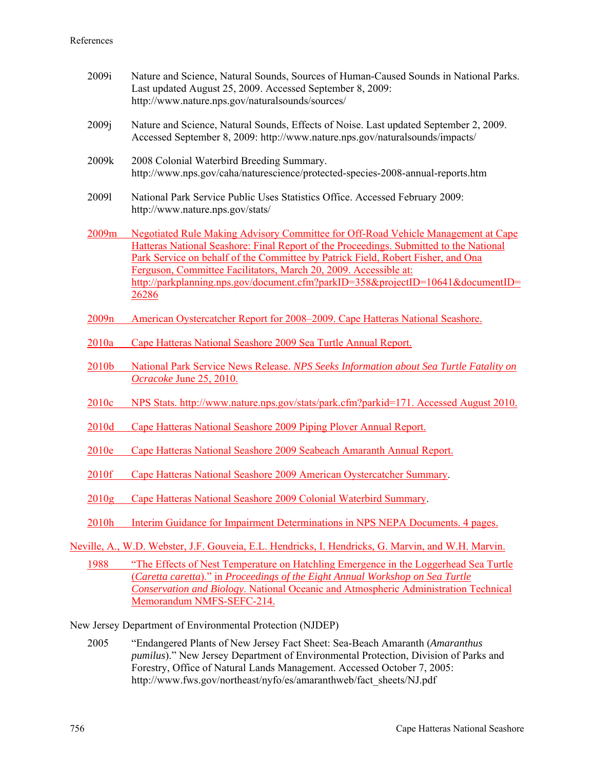| 2009i             | Nature and Science, Natural Sounds, Sources of Human-Caused Sounds in National Parks.<br>Last updated August 25, 2009. Accessed September 8, 2009:<br>http://www.nature.nps.gov/naturalsounds/sources/                                                                                                                                                                                                                          |
|-------------------|---------------------------------------------------------------------------------------------------------------------------------------------------------------------------------------------------------------------------------------------------------------------------------------------------------------------------------------------------------------------------------------------------------------------------------|
| 2009j             | Nature and Science, Natural Sounds, Effects of Noise. Last updated September 2, 2009.<br>Accessed September 8, 2009: http://www.nature.nps.gov/naturalsounds/impacts/                                                                                                                                                                                                                                                           |
| 2009k             | 2008 Colonial Waterbird Breeding Summary.<br>http://www.nps.gov/caha/naturescience/protected-species-2008-annual-reports.htm                                                                                                                                                                                                                                                                                                    |
| 20091             | National Park Service Public Uses Statistics Office. Accessed February 2009:<br>http://www.nature.nps.gov/stats/                                                                                                                                                                                                                                                                                                                |
| 2009m             | Negotiated Rule Making Advisory Committee for Off-Road Vehicle Management at Cape<br>Hatteras National Seashore: Final Report of the Proceedings. Submitted to the National<br>Park Service on behalf of the Committee by Patrick Field, Robert Fisher, and Ona<br>Ferguson, Committee Facilitators, March 20, 2009. Accessible at:<br>http://parkplanning.nps.gov/document.cfm?parkID=358&projectID=10641&documentID=<br>26286 |
| 2009 <sub>n</sub> | American Oystercatcher Report for 2008–2009. Cape Hatteras National Seashore.                                                                                                                                                                                                                                                                                                                                                   |
| 2010a             | Cape Hatteras National Seashore 2009 Sea Turtle Annual Report.                                                                                                                                                                                                                                                                                                                                                                  |
| 2010b             | National Park Service News Release. NPS Seeks Information about Sea Turtle Fatality on<br>Ocracoke June 25, 2010.                                                                                                                                                                                                                                                                                                               |
| 2010 <sub>c</sub> | NPS Stats. http://www.nature.nps.gov/stats/park.cfm?parkid=171. Accessed August 2010.                                                                                                                                                                                                                                                                                                                                           |
| 2010d             | Cape Hatteras National Seashore 2009 Piping Plover Annual Report.                                                                                                                                                                                                                                                                                                                                                               |
| 2010e             | Cape Hatteras National Seashore 2009 Seabeach Amaranth Annual Report.                                                                                                                                                                                                                                                                                                                                                           |
| 2010f             | Cape Hatteras National Seashore 2009 American Oystercatcher Summary.                                                                                                                                                                                                                                                                                                                                                            |
| 2010g             | Cape Hatteras National Seashore 2009 Colonial Waterbird Summary.                                                                                                                                                                                                                                                                                                                                                                |
| 2010h             | Interim Guidance for Impairment Determinations in NPS NEPA Documents. 4 pages.                                                                                                                                                                                                                                                                                                                                                  |
|                   | Neville, A., W.D. Webster, J.F. Gouveia, E.L. Hendricks, I. Hendricks, G. Marvin, and W.H. Marvin.                                                                                                                                                                                                                                                                                                                              |
| 1988              | "The Effects of Nest Temperature on Hatchling Emergence in the Loggerhead Sea Turtle<br>(Caretta caretta)." in Proceedings of the Eight Annual Workshop on Sea Turtle<br><b>Conservation and Biology. National Oceanic and Atmospheric Administration Technical</b><br>Memorandum NMFS-SEFC-214.                                                                                                                                |
|                   | New Jersey Department of Environmental Protection (NJDEP)                                                                                                                                                                                                                                                                                                                                                                       |
| 2005              | "Endangered Plants of New Jersey Fact Sheet: Sea-Beach Amaranth (Amaranthus                                                                                                                                                                                                                                                                                                                                                     |

*pumilus*)." New Jersey Department of Environmental Protection, Division of Parks and Forestry, Office of Natural Lands Management. Accessed October 7, 2005: http://www.fws.gov/northeast/nyfo/es/amaranthweb/fact\_sheets/NJ.pdf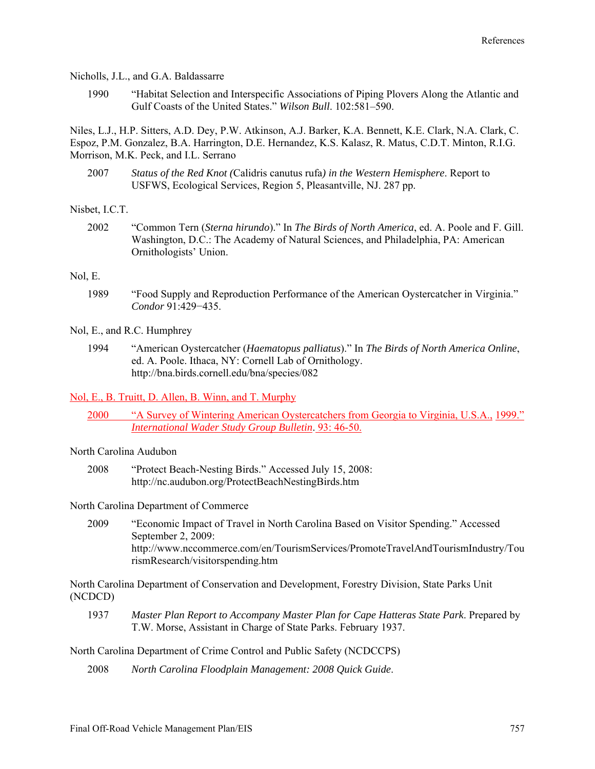Nicholls, J.L., and G.A. Baldassarre

1990 "Habitat Selection and Interspecific Associations of Piping Plovers Along the Atlantic and Gulf Coasts of the United States." *Wilson Bull*. 102:581–590.

Niles, L.J., H.P. Sitters, A.D. Dey, P.W. Atkinson, A.J. Barker, K.A. Bennett, K.E. Clark, N.A. Clark, C. Espoz, P.M. Gonzalez, B.A. Harrington, D.E. Hernandez, K.S. Kalasz, R. Matus, C.D.T. Minton, R.I.G. Morrison, M.K. Peck, and I.L. Serrano

2007 *Status of the Red Knot (*Calidris canutus rufa*) in the Western Hemisphere*. Report to USFWS, Ecological Services, Region 5, Pleasantville, NJ. 287 pp.

### Nisbet, I.C.T.

2002 "Common Tern (*Sterna hirundo*)." In *The Birds of North America*, ed. A. Poole and F. Gill. Washington, D.C.: The Academy of Natural Sciences, and Philadelphia, PA: American Ornithologists' Union.

### Nol, E.

1989 "Food Supply and Reproduction Performance of the American Oystercatcher in Virginia." *Condor* 91:429−435.

Nol, E., and R.C. Humphrey

1994 "American Oystercatcher (*Haematopus palliatus*)." In *The Birds of North America Online*, ed. A. Poole. Ithaca, NY: Cornell Lab of Ornithology. http://bna.birds.cornell.edu/bna/species/082

### Nol, E., B. Truitt, D. Allen, B. Winn, and T. Murphy

2000 "A Survey of Wintering American Oystercatchers from Georgia to Virginia, U.S.A., 1999." *International Wader Study Group Bulletin*. 93: 46-50.

North Carolina Audubon

2008 "Protect Beach-Nesting Birds." Accessed July 15, 2008: http://nc.audubon.org/ProtectBeachNestingBirds.htm

North Carolina Department of Commerce

2009 "Economic Impact of Travel in North Carolina Based on Visitor Spending." Accessed September 2, 2009: http://www.nccommerce.com/en/TourismServices/PromoteTravelAndTourismIndustry/Tou rismResearch/visitorspending.htm

North Carolina Department of Conservation and Development, Forestry Division, State Parks Unit (NCDCD)

1937 *Master Plan Report to Accompany Master Plan for Cape Hatteras State Park*. Prepared by T.W. Morse, Assistant in Charge of State Parks. February 1937.

North Carolina Department of Crime Control and Public Safety (NCDCCPS)

2008 *North Carolina Floodplain Management: 2008 Quick Guide*.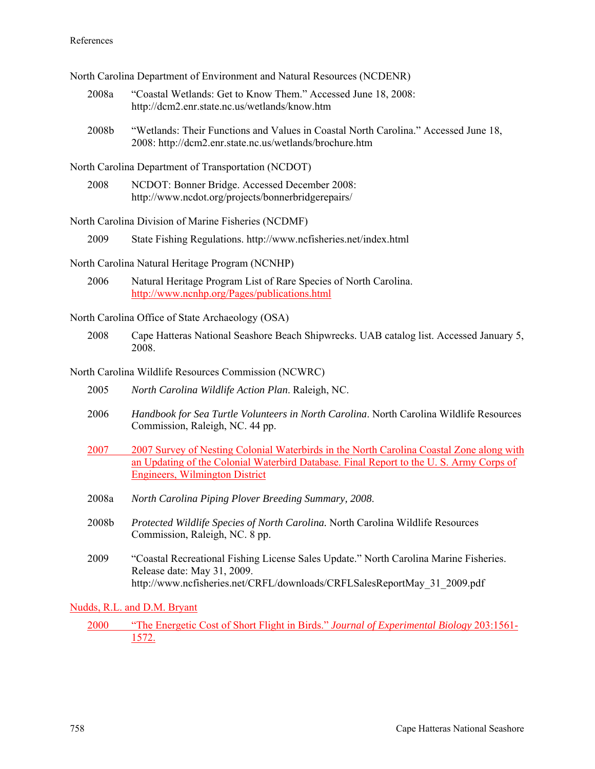### References

North Carolina Department of Environment and Natural Resources (NCDENR)

- 2008a "Coastal Wetlands: Get to Know Them." Accessed June 18, 2008: http://dcm2.enr.state.nc.us/wetlands/know.htm
- 2008b "Wetlands: Their Functions and Values in Coastal North Carolina." Accessed June 18, 2008: http://dcm2.enr.state.nc.us/wetlands/brochure.htm

North Carolina Department of Transportation (NCDOT)

2008 NCDOT: Bonner Bridge. Accessed December 2008: http://www.ncdot.org/projects/bonnerbridgerepairs/

North Carolina Division of Marine Fisheries (NCDMF)

2009 State Fishing Regulations. http://www.ncfisheries.net/index.html

North Carolina Natural Heritage Program (NCNHP)

2006 Natural Heritage Program List of Rare Species of North Carolina. http://www.ncnhp.org/Pages/publications.html

North Carolina Office of State Archaeology (OSA)

2008 Cape Hatteras National Seashore Beach Shipwrecks. UAB catalog list. Accessed January 5, 2008.

### North Carolina Wildlife Resources Commission (NCWRC)

- 2005 *North Carolina Wildlife Action Plan*. Raleigh, NC.
- 2006 *Handbook for Sea Turtle Volunteers in North Carolina*. North Carolina Wildlife Resources Commission, Raleigh, NC. 44 pp.
- 2007 2007 Survey of Nesting Colonial Waterbirds in the North Carolina Coastal Zone along with an Updating of the Colonial Waterbird Database. Final Report to the U. S. Army Corps of Engineers, Wilmington District
- 2008a *North Carolina Piping Plover Breeding Summary, 2008*.
- 2008b *Protected Wildlife Species of North Carolina.* North Carolina Wildlife Resources Commission, Raleigh, NC. 8 pp.
- 2009 "Coastal Recreational Fishing License Sales Update." North Carolina Marine Fisheries. Release date: May 31, 2009. http://www.ncfisheries.net/CRFL/downloads/CRFLSalesReportMay\_31\_2009.pdf

Nudds, R.L. and D.M. Bryant

2000 "The Energetic Cost of Short Flight in Birds." *Journal of Experimental Biology* 203:1561- 1572.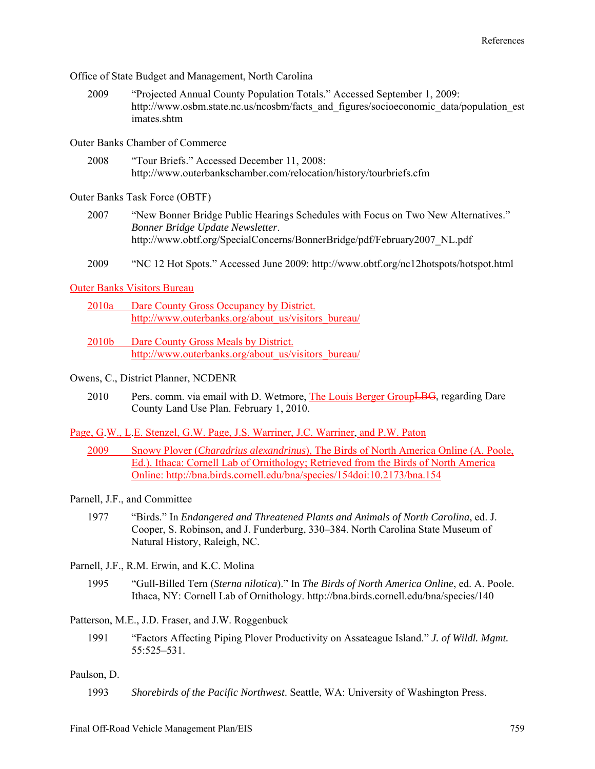Office of State Budget and Management, North Carolina

2009 "Projected Annual County Population Totals." Accessed September 1, 2009: http://www.osbm.state.nc.us/ncosbm/facts\_and\_figures/socioeconomic\_data/population\_est imates shtm

Outer Banks Chamber of Commerce

2008 "Tour Briefs." Accessed December 11, 2008: http://www.outerbankschamber.com/relocation/history/tourbriefs.cfm

### Outer Banks Task Force (OBTF)

- 2007 "New Bonner Bridge Public Hearings Schedules with Focus on Two New Alternatives." *Bonner Bridge Update Newsletter*. http://www.obtf.org/SpecialConcerns/BonnerBridge/pdf/February2007\_NL.pdf
- 2009 "NC 12 Hot Spots." Accessed June 2009: http://www.obtf.org/nc12hotspots/hotspot.html

### Outer Banks Visitors Bureau

- 2010a Dare County Gross Occupancy by District. http://www.outerbanks.org/about\_us/visitors\_bureau/
- 2010b Dare County Gross Meals by District. http://www.outerbanks.org/about\_us/visitors\_bureau/

#### Owens, C., District Planner, NCDENR

- 2010 Pers. comm. via email with D. Wetmore, The Louis Berger GroupLBG, regarding Dare County Land Use Plan. February 1, 2010.
- Page, G.W., L.E. Stenzel, G.W. Page, J.S. Warriner, J.C. Warriner, and P.W. Paton
	- 2009 Snowy Plover (*Charadrius alexandrinus*), The Birds of North America Online (A. Poole, Ed.). Ithaca: Cornell Lab of Ornithology; Retrieved from the Birds of North America Online: http://bna.birds.cornell.edu/bna/species/154doi:10.2173/bna.154

### Parnell, J.F., and Committee

- 1977 "Birds." In *Endangered and Threatened Plants and Animals of North Carolina*, ed. J. Cooper, S. Robinson, and J. Funderburg, 330–384. North Carolina State Museum of Natural History, Raleigh, NC.
- Parnell, J.F., R.M. Erwin, and K.C. Molina
	- 1995 "Gull-Billed Tern (*Sterna nilotica*)." In *The Birds of North America Online*, ed. A. Poole. Ithaca, NY: Cornell Lab of Ornithology. http://bna.birds.cornell.edu/bna/species/140

Patterson, M.E., J.D. Fraser, and J.W. Roggenbuck

1991 "Factors Affecting Piping Plover Productivity on Assateague Island." *J. of Wildl. Mgmt.* 55:525–531.

### Paulson, D.

1993 *Shorebirds of the Pacific Northwest*. Seattle, WA: University of Washington Press.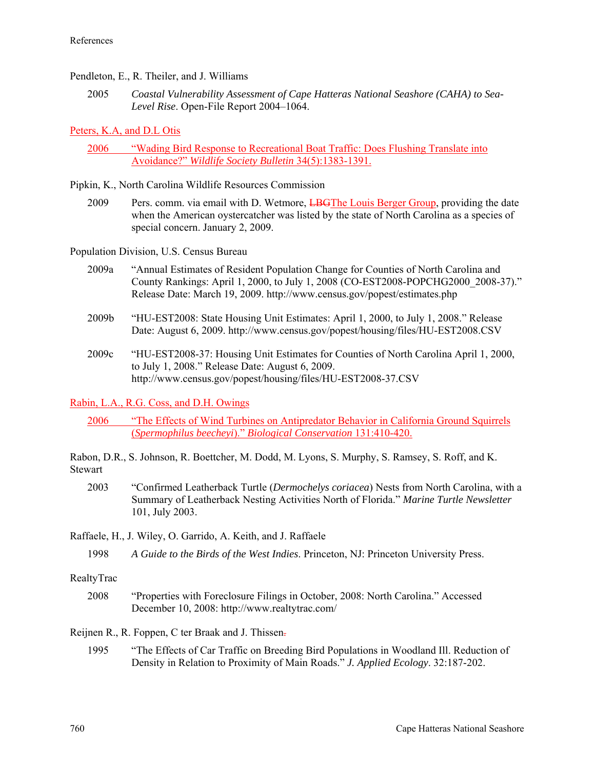Pendleton, E., R. Theiler, and J. Williams

2005 *Coastal Vulnerability Assessment of Cape Hatteras National Seashore (CAHA) to Sea-Level Rise*. Open-File Report 2004–1064.

### Peters, K.A, and D.L Otis

2006 "Wading Bird Response to Recreational Boat Traffic: Does Flushing Translate into Avoidance?" *Wildlife Society Bulletin* 34(5):1383-1391.

Pipkin, K., North Carolina Wildlife Resources Commission

2009 Pers. comm. via email with D. Wetmore, **LBGThe Louis Berger Group**, providing the date when the American oystercatcher was listed by the state of North Carolina as a species of special concern. January 2, 2009.

Population Division, U.S. Census Bureau

- 2009a "Annual Estimates of Resident Population Change for Counties of North Carolina and County Rankings: April 1, 2000, to July 1, 2008 (CO-EST2008-POPCHG2000\_2008-37)." Release Date: March 19, 2009. http://www.census.gov/popest/estimates.php
- 2009b "HU-EST2008: State Housing Unit Estimates: April 1, 2000, to July 1, 2008." Release Date: August 6, 2009. http://www.census.gov/popest/housing/files/HU-EST2008.CSV
- 2009c "HU-EST2008-37: Housing Unit Estimates for Counties of North Carolina April 1, 2000, to July 1, 2008." Release Date: August 6, 2009. http://www.census.gov/popest/housing/files/HU-EST2008-37.CSV

Rabin, L.A., R.G. Coss, and D.H. Owings

2006 "The Effects of Wind Turbines on Antipredator Behavior in California Ground Squirrels (*Spermophilus beecheyi*)." *Biological Conservation* 131:410-420.

Rabon, D.R., S. Johnson, R. Boettcher, M. Dodd, M. Lyons, S. Murphy, S. Ramsey, S. Roff, and K. Stewart

2003 "Confirmed Leatherback Turtle (*Dermochelys coriacea*) Nests from North Carolina, with a Summary of Leatherback Nesting Activities North of Florida." *Marine Turtle Newsletter* 101, July 2003.

Raffaele, H., J. Wiley, O. Garrido, A. Keith, and J. Raffaele

1998 *A Guide to the Birds of the West Indies*. Princeton, NJ: Princeton University Press.

#### RealtyTrac

2008 "Properties with Foreclosure Filings in October, 2008: North Carolina." Accessed December 10, 2008: http://www.realtytrac.com/

Reijnen R., R. Foppen, C ter Braak and J. Thissen.

1995 "The Effects of Car Traffic on Breeding Bird Populations in Woodland Ill. Reduction of Density in Relation to Proximity of Main Roads." *J. Applied Ecology*. 32:187-202.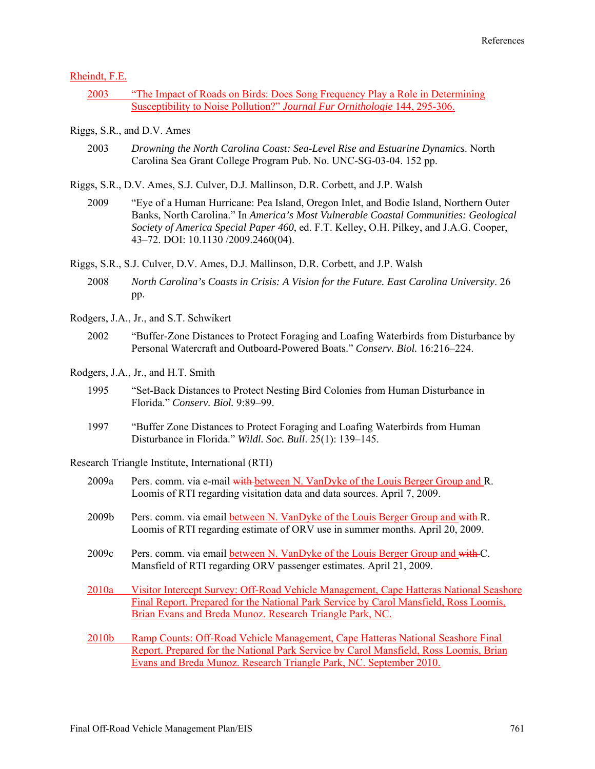### Rheindt, F.E.

2003 "The Impact of Roads on Birds: Does Song Frequency Play a Role in Determining Susceptibility to Noise Pollution?" *Journal Fur Ornithologie* 144, 295-306.

### Riggs, S.R., and D.V. Ames

2003 *Drowning the North Carolina Coast: Sea-Level Rise and Estuarine Dynamics*. North Carolina Sea Grant College Program Pub. No. UNC-SG-03-04. 152 pp.

Riggs, S.R., D.V. Ames, S.J. Culver, D.J. Mallinson, D.R. Corbett, and J.P. Walsh

2009 "Eye of a Human Hurricane: Pea Island, Oregon Inlet, and Bodie Island, Northern Outer Banks, North Carolina." In *America's Most Vulnerable Coastal Communities: Geological Society of America Special Paper 460*, ed. F.T. Kelley, O.H. Pilkey, and J.A.G. Cooper, 43–72. DOI: 10.1130 /2009.2460(04).

Riggs, S.R., S.J. Culver, D.V. Ames, D.J. Mallinson, D.R. Corbett, and J.P. Walsh

- 2008 *North Carolina's Coasts in Crisis: A Vision for the Future. East Carolina University*. 26 pp.
- Rodgers, J.A., Jr., and S.T. Schwikert
	- 2002 "Buffer-Zone Distances to Protect Foraging and Loafing Waterbirds from Disturbance by Personal Watercraft and Outboard-Powered Boats." *Conserv. Biol.* 16:216–224.
- Rodgers, J.A., Jr., and H.T. Smith
	- 1995 "Set-Back Distances to Protect Nesting Bird Colonies from Human Disturbance in Florida." *Conserv. Biol.* 9:89–99.
	- 1997 "Buffer Zone Distances to Protect Foraging and Loafing Waterbirds from Human Disturbance in Florida." *Wildl. Soc. Bull*. 25(1): 139–145.

Research Triangle Institute, International (RTI)

- 2009a Pers. comm. via e-mail with between N. VanDyke of the Louis Berger Group and R. Loomis of RTI regarding visitation data and data sources. April 7, 2009.
- 2009b Pers. comm. via email between N. VanDyke of the Louis Berger Group and with R. Loomis of RTI regarding estimate of ORV use in summer months. April 20, 2009.
- 2009c Pers. comm. via email between N. VanDyke of the Louis Berger Group and with C. Mansfield of RTI regarding ORV passenger estimates. April 21, 2009.
- 2010a Visitor Intercept Survey: Off-Road Vehicle Management, Cape Hatteras National Seashore Final Report. Prepared for the National Park Service by Carol Mansfield, Ross Loomis, Brian Evans and Breda Munoz. Research Triangle Park, NC.
- 2010b Ramp Counts: Off-Road Vehicle Management, Cape Hatteras National Seashore Final Report. Prepared for the National Park Service by Carol Mansfield, Ross Loomis, Brian Evans and Breda Munoz. Research Triangle Park, NC. September 2010.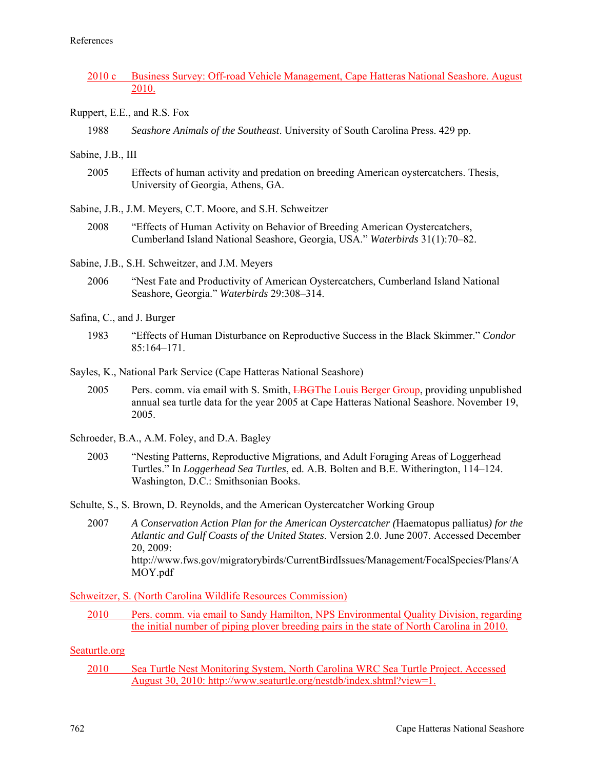- 2010 c Business Survey: Off-road Vehicle Management, Cape Hatteras National Seashore. August 2010.
- Ruppert, E.E., and R.S. Fox

1988 *Seashore Animals of the Southeast*. University of South Carolina Press. 429 pp.

### Sabine, J.B., III

2005 Effects of human activity and predation on breeding American oystercatchers. Thesis, University of Georgia, Athens, GA.

Sabine, J.B., J.M. Meyers, C.T. Moore, and S.H. Schweitzer

2008 "Effects of Human Activity on Behavior of Breeding American Oystercatchers, Cumberland Island National Seashore, Georgia, USA." *Waterbirds* 31(1):70–82.

Sabine, J.B., S.H. Schweitzer, and J.M. Meyers

- 2006 "Nest Fate and Productivity of American Oystercatchers, Cumberland Island National Seashore, Georgia." *Waterbirds* 29:308–314.
- Safina, C., and J. Burger
	- 1983 "Effects of Human Disturbance on Reproductive Success in the Black Skimmer." *Condor* 85:164–171.

Sayles, K., National Park Service (Cape Hatteras National Seashore)

- 2005 Pers. comm. via email with S. Smith, **LBGThe Louis Berger Group**, providing unpublished annual sea turtle data for the year 2005 at Cape Hatteras National Seashore. November 19, 2005.
- Schroeder, B.A., A.M. Foley, and D.A. Bagley
	- 2003 "Nesting Patterns, Reproductive Migrations, and Adult Foraging Areas of Loggerhead Turtles." In *Loggerhead Sea Turtles*, ed. A.B. Bolten and B.E. Witherington, 114–124. Washington, D.C.: Smithsonian Books.
- Schulte, S., S. Brown, D. Reynolds, and the American Oystercatcher Working Group
	- 2007 *A Conservation Action Plan for the American Oystercatcher (*Haematopus palliatus*) for the Atlantic and Gulf Coasts of the United States*. Version 2.0. June 2007. Accessed December 20, 2009: http://www.fws.gov/migratorybirds/CurrentBirdIssues/Management/FocalSpecies/Plans/A MOY.pdf

Schweitzer, S. (North Carolina Wildlife Resources Commission)

2010 Pers. comm. via email to Sandy Hamilton, NPS Environmental Quality Division, regarding the initial number of piping plover breeding pairs in the state of North Carolina in 2010.

### Seaturtle.org

2010 Sea Turtle Nest Monitoring System, North Carolina WRC Sea Turtle Project. Accessed August 30, 2010: http://www.seaturtle.org/nestdb/index.shtml?view=1.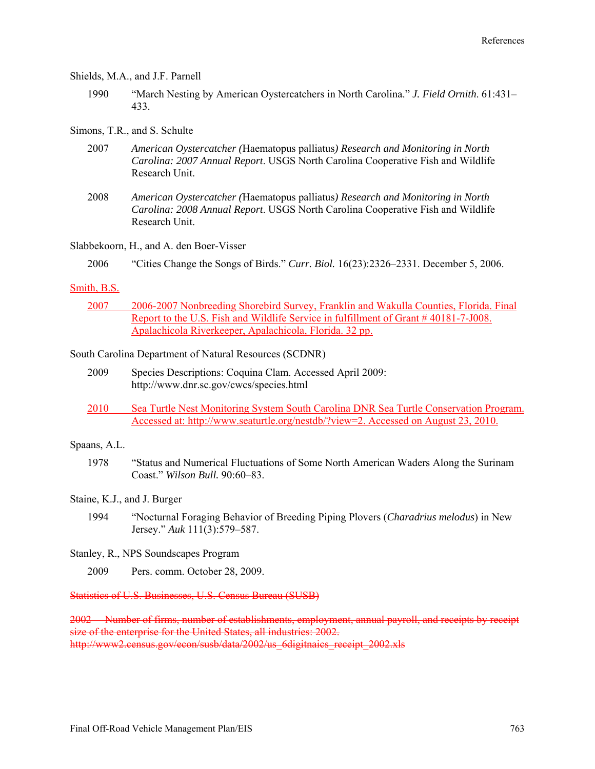Shields, M.A., and J.F. Parnell

1990 "March Nesting by American Oystercatchers in North Carolina." *J. Field Ornith*. 61:431– 433.

### Simons, T.R., and S. Schulte

- 2007 *American Oystercatcher (*Haematopus palliatus*) Research and Monitoring in North Carolina: 2007 Annual Report*. USGS North Carolina Cooperative Fish and Wildlife Research Unit.
- 2008 *American Oystercatcher (*Haematopus palliatus*) Research and Monitoring in North Carolina: 2008 Annual Report*. USGS North Carolina Cooperative Fish and Wildlife Research Unit.

Slabbekoorn, H., and A. den Boer-Visser

2006 "Cities Change the Songs of Birds." *Curr. Biol.* 16(23):2326–2331. December 5, 2006.

### Smith, B.S.

2007 2006-2007 Nonbreeding Shorebird Survey, Franklin and Wakulla Counties, Florida. Final Report to the U.S. Fish and Wildlife Service in fulfillment of Grant # 40181-7-J008. Apalachicola Riverkeeper, Apalachicola, Florida. 32 pp.

### South Carolina Department of Natural Resources (SCDNR)

- 2009 Species Descriptions: Coquina Clam. Accessed April 2009: http://www.dnr.sc.gov/cwcs/species.html
- 2010 Sea Turtle Nest Monitoring System South Carolina DNR Sea Turtle Conservation Program. Accessed at: http://www.seaturtle.org/nestdb/?view=2. Accessed on August 23, 2010.

### Spaans, A.L.

1978 "Status and Numerical Fluctuations of Some North American Waders Along the Surinam Coast." *Wilson Bull.* 90:60–83.

### Staine, K.J., and J. Burger

1994 "Nocturnal Foraging Behavior of Breeding Piping Plovers (*Charadrius melodus*) in New Jersey." *Auk* 111(3):579–587.

#### Stanley, R., NPS Soundscapes Program

2009 Pers. comm. October 28, 2009.

Statistics of U.S. Businesses, U.S. Census Bureau (SUSB)

2002 Number of firms, number of establishments, employment, annual payroll, and receipts by receipt size of the enterprise for the United States, all industries: 2002. http://www2.census.gov/econ/susb/data/2002/us\_6digitnaics\_receipt\_2002.xls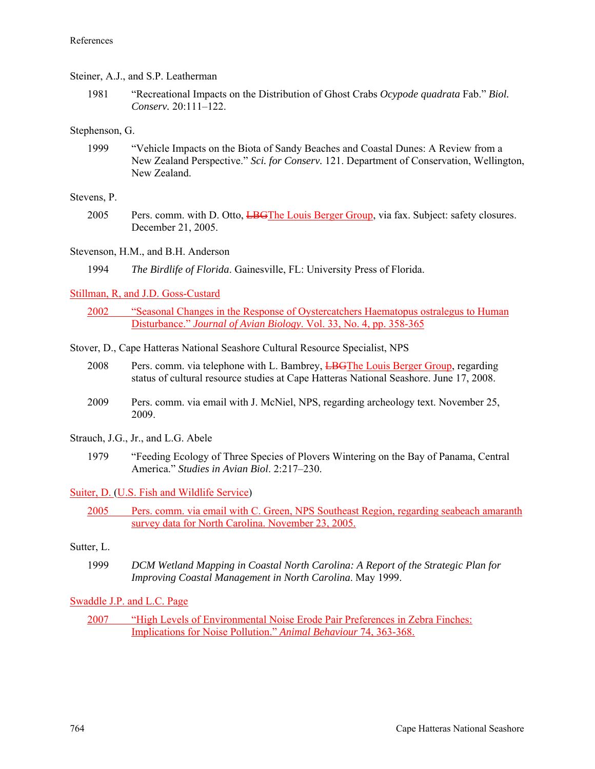Steiner, A.J., and S.P. Leatherman

1981 "Recreational Impacts on the Distribution of Ghost Crabs *Ocypode quadrata* Fab." *Biol. Conserv.* 20:111–122.

Stephenson, G.

1999 "Vehicle Impacts on the Biota of Sandy Beaches and Coastal Dunes: A Review from a New Zealand Perspective." *Sci. for Conserv.* 121. Department of Conservation, Wellington, New Zealand.

Stevens, P.

2005 Pers. comm. with D. Otto, LBGThe Louis Berger Group, via fax. Subject: safety closures. December 21, 2005.

Stevenson, H.M., and B.H. Anderson

1994 *The Birdlife of Florida*. Gainesville, FL: University Press of Florida.

Stillman, R, and J.D. Goss-Custard

2002 "Seasonal Changes in the Response of Oystercatchers Haematopus ostralegus to Human Disturbance." *Journal of Avian Biology*. Vol. 33, No. 4, pp. 358-365

Stover, D., Cape Hatteras National Seashore Cultural Resource Specialist, NPS

- 2008 Pers. comm. via telephone with L. Bambrey, LBGThe Louis Berger Group, regarding status of cultural resource studies at Cape Hatteras National Seashore. June 17, 2008.
- 2009 Pers. comm. via email with J. McNiel, NPS, regarding archeology text. November 25, 2009.
- Strauch, J.G., Jr., and L.G. Abele
	- 1979 "Feeding Ecology of Three Species of Plovers Wintering on the Bay of Panama, Central America." *Studies in Avian Biol*. 2:217–230.

Suiter, D. (U.S. Fish and Wildlife Service)

- 2005 Pers. comm. via email with C. Green, NPS Southeast Region, regarding seabeach amaranth survey data for North Carolina. November 23, 2005.
- Sutter, L.
	- 1999 *DCM Wetland Mapping in Coastal North Carolina: A Report of the Strategic Plan for Improving Coastal Management in North Carolina*. May 1999.

Swaddle J.P. and L.C. Page

2007 "High Levels of Environmental Noise Erode Pair Preferences in Zebra Finches: Implications for Noise Pollution." *Animal Behaviour* 74, 363-368.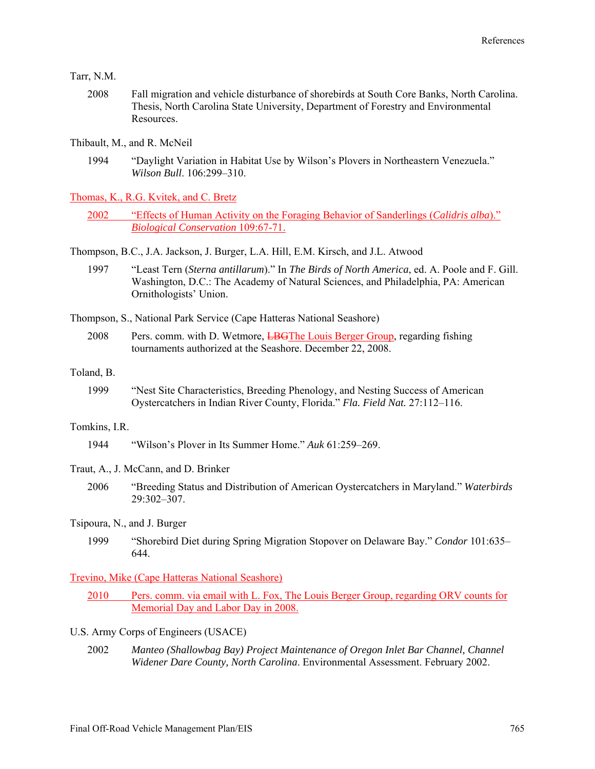### Tarr, N.M.

- 2008 Fall migration and vehicle disturbance of shorebirds at South Core Banks, North Carolina. Thesis, North Carolina State University, Department of Forestry and Environmental Resources.
- Thibault, M., and R. McNeil
	- 1994 "Daylight Variation in Habitat Use by Wilson's Plovers in Northeastern Venezuela." *Wilson Bull*. 106:299–310.

Thomas, K., R.G. Kvitek, and C. Bretz

- 2002 "Effects of Human Activity on the Foraging Behavior of Sanderlings (*Calidris alba*)." *Biological Conservation* 109:67-71.
- Thompson, B.C., J.A. Jackson, J. Burger, L.A. Hill, E.M. Kirsch, and J.L. Atwood
	- 1997 "Least Tern (*Sterna antillarum*)." In *The Birds of North America*, ed. A. Poole and F. Gill. Washington, D.C.: The Academy of Natural Sciences, and Philadelphia, PA: American Ornithologists' Union.
- Thompson, S., National Park Service (Cape Hatteras National Seashore)
	- 2008 Pers. comm. with D. Wetmore, LBGThe Louis Berger Group, regarding fishing tournaments authorized at the Seashore. December 22, 2008.

### Toland, B.

1999 "Nest Site Characteristics, Breeding Phenology, and Nesting Success of American Oystercatchers in Indian River County, Florida." *Fla. Field Nat.* 27:112–116.

### Tomkins, I.R.

- 1944 "Wilson's Plover in Its Summer Home." *Auk* 61:259–269.
- Traut, A., J. McCann, and D. Brinker
	- 2006 "Breeding Status and Distribution of American Oystercatchers in Maryland." *Waterbirds* 29:302–307.

### Tsipoura, N., and J. Burger

1999 "Shorebird Diet during Spring Migration Stopover on Delaware Bay." *Condor* 101:635– 644.

### Trevino, Mike (Cape Hatteras National Seashore)

2010 Pers. comm. via email with L. Fox, The Louis Berger Group, regarding ORV counts for Memorial Day and Labor Day in 2008.

- U.S. Army Corps of Engineers (USACE)
	- 2002 *Manteo (Shallowbag Bay) Project Maintenance of Oregon Inlet Bar Channel, Channel Widener Dare County, North Carolina*. Environmental Assessment. February 2002.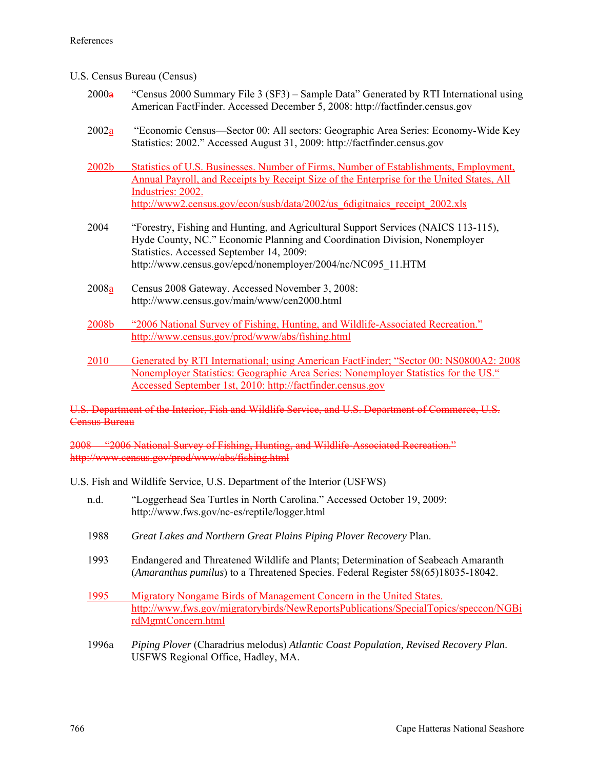### U.S. Census Bureau (Census)

- 2000 $\alpha$  "Census 2000 Summary File 3 (SF3) Sample Data" Generated by RTI International using American FactFinder. Accessed December 5, 2008: http://factfinder.census.gov
- 2002a "Economic Census—Sector 00: All sectors: Geographic Area Series: Economy-Wide Key Statistics: 2002." Accessed August 31, 2009: http://factfinder.census.gov
- 2002b Statistics of U.S. Businesses. Number of Firms, Number of Establishments, Employment, Annual Payroll, and Receipts by Receipt Size of the Enterprise for the United States, All Industries: 2002. http://www2.census.gov/econ/susb/data/2002/us\_6digitnaics\_receipt\_2002.xls
- 2004 "Forestry, Fishing and Hunting, and Agricultural Support Services (NAICS 113-115), Hyde County, NC." Economic Planning and Coordination Division, Nonemployer Statistics. Accessed September 14, 2009: http://www.census.gov/epcd/nonemployer/2004/nc/NC095\_11.HTM
- 2008<sup>a</sup> Census 2008 Gateway. Accessed November 3, 2008: http://www.census.gov/main/www/cen2000.html
- 2008b "2006 National Survey of Fishing, Hunting, and Wildlife-Associated Recreation." http://www.census.gov/prod/www/abs/fishing.html
- 2010 Generated by RTI International; using American FactFinder; "Sector 00: NS0800A2: 2008 Nonemployer Statistics: Geographic Area Series: Nonemployer Statistics for the US." Accessed September 1st, 2010: http://factfinder.census.gov

U.S. Department of the Interior, Fish and Wildlife Service, and U.S. Department of Commerce, U.S. Census Bureau

2008 "2006 National Survey of Fishing, Hunting, and Wildlife-Associated Recreation." http://www.census.gov/prod/www/abs/fishing.html

U.S. Fish and Wildlife Service, U.S. Department of the Interior (USFWS)

- n.d. "Loggerhead Sea Turtles in North Carolina." Accessed October 19, 2009: http://www.fws.gov/nc-es/reptile/logger.html
- 1988 *Great Lakes and Northern Great Plains Piping Plover Recovery* Plan.
- 1993 Endangered and Threatened Wildlife and Plants; Determination of Seabeach Amaranth (*Amaranthus pumilus*) to a Threatened Species. Federal Register 58(65)18035-18042.
- 1995 Migratory Nongame Birds of Management Concern in the United States. http://www.fws.gov/migratorybirds/NewReportsPublications/SpecialTopics/speccon/NGBi rdMgmtConcern.html
- 1996a *Piping Plover* (Charadrius melodus) *Atlantic Coast Population, Revised Recovery Plan*. USFWS Regional Office, Hadley, MA.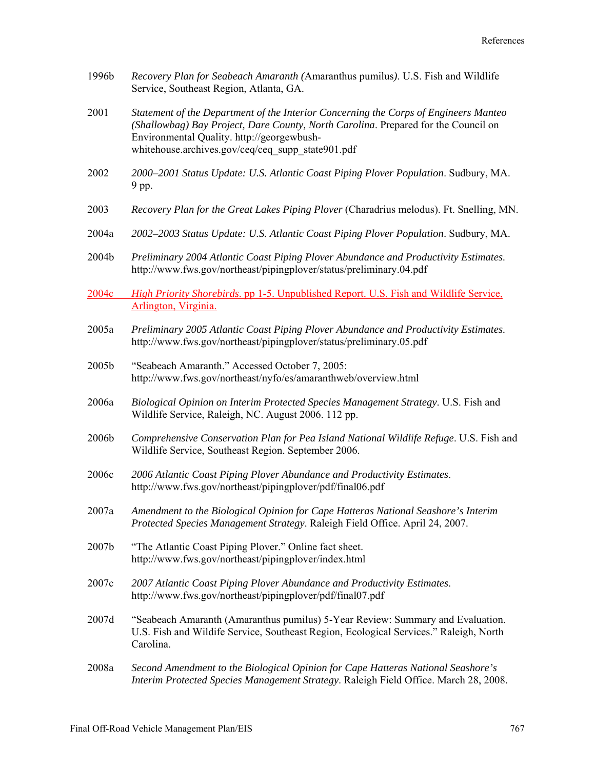- 1996b *Recovery Plan for Seabeach Amaranth (*Amaranthus pumilus*)*. U.S. Fish and Wildlife Service, Southeast Region, Atlanta, GA.
- 2001 *Statement of the Department of the Interior Concerning the Corps of Engineers Manteo (Shallowbag) Bay Project, Dare County, North Carolina*. Prepared for the Council on Environmental Quality. http://georgewbushwhitehouse.archives.gov/ceq/ceq\_supp\_state901.pdf
- 2002 *2000–2001 Status Update: U.S. Atlantic Coast Piping Plover Population*. Sudbury, MA. 9 pp.
- 2003 *Recovery Plan for the Great Lakes Piping Plover* (Charadrius melodus). Ft. Snelling, MN.
- 2004a *2002–2003 Status Update: U.S. Atlantic Coast Piping Plover Population*. Sudbury, MA.
- 2004b *Preliminary 2004 Atlantic Coast Piping Plover Abundance and Productivity Estimates*. http://www.fws.gov/northeast/pipingplover/status/preliminary.04.pdf
- 2004c *High Priority Shorebirds*. pp 1-5. Unpublished Report. U.S. Fish and Wildlife Service, Arlington, Virginia.
- 2005a *Preliminary 2005 Atlantic Coast Piping Plover Abundance and Productivity Estimates*. http://www.fws.gov/northeast/pipingplover/status/preliminary.05.pdf
- 2005b "Seabeach Amaranth." Accessed October 7, 2005: http://www.fws.gov/northeast/nyfo/es/amaranthweb/overview.html
- 2006a *Biological Opinion on Interim Protected Species Management Strategy*. U.S. Fish and Wildlife Service, Raleigh, NC. August 2006. 112 pp.
- 2006b *Comprehensive Conservation Plan for Pea Island National Wildlife Refuge*. U.S. Fish and Wildlife Service, Southeast Region. September 2006.
- 2006c *2006 Atlantic Coast Piping Plover Abundance and Productivity Estimates*. http://www.fws.gov/northeast/pipingplover/pdf/final06.pdf
- 2007a *Amendment to the Biological Opinion for Cape Hatteras National Seashore's Interim Protected Species Management Strategy*. Raleigh Field Office. April 24, 2007.
- 2007b "The Atlantic Coast Piping Plover." Online fact sheet. http://www.fws.gov/northeast/pipingplover/index.html
- 2007c *2007 Atlantic Coast Piping Plover Abundance and Productivity Estimates*. http://www.fws.gov/northeast/pipingplover/pdf/final07.pdf
- 2007d "Seabeach Amaranth (Amaranthus pumilus) 5-Year Review: Summary and Evaluation. U.S. Fish and Wildife Service, Southeast Region, Ecological Services." Raleigh, North Carolina.
- 2008a *Second Amendment to the Biological Opinion for Cape Hatteras National Seashore's Interim Protected Species Management Strategy*. Raleigh Field Office. March 28, 2008.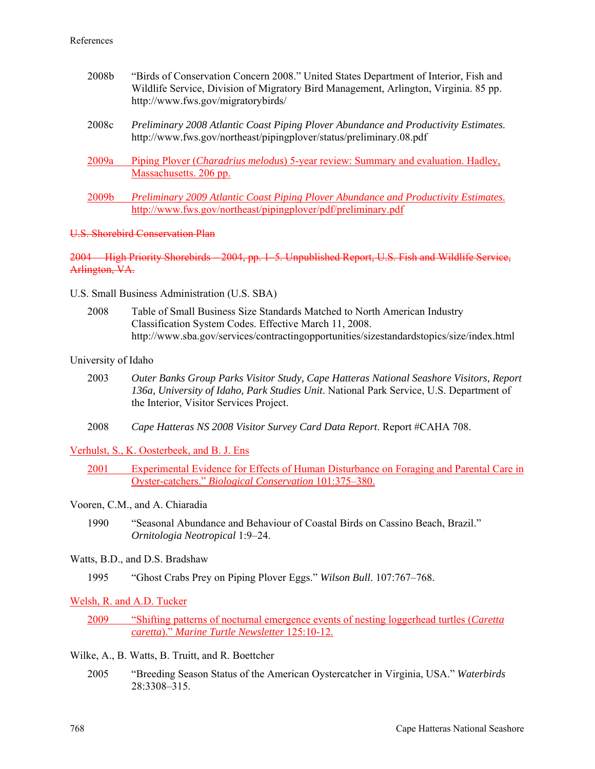| 2008b | "Birds of Conservation Concern 2008." United States Department of Interior, Fish and<br>Wildlife Service, Division of Migratory Bird Management, Arlington, Virginia. 85 pp.<br>http://www.fws.gov/migratorybirds/ |
|-------|--------------------------------------------------------------------------------------------------------------------------------------------------------------------------------------------------------------------|
| 2008c | Preliminary 2008 Atlantic Coast Piping Plover Abundance and Productivity Estimates.<br>http://www.fws.gov/northeast/pipingplover/status/preliminary.08.pdf                                                         |
| 2009a | Piping Plover ( <i>Charadrius melodus</i> ) 5-year review: Summary and evaluation. Hadley,<br>Massachusetts. 206 pp.                                                                                               |
| 2009b | <b>Preliminary 2009 Atlantic Coast Piping Plover Abundance and Productivity Estimates.</b><br>http://www.fws.gov/northeast/pipingplover/pdf/preliminary.pdf                                                        |

### U.S. Shorebird Conservation Plan

2004 High Priority Shorebirds – 2004, pp. 1–5. Unpublished Report, U.S. Fish and Wildlife Service, Arlington, VA.

- U.S. Small Business Administration (U.S. SBA)
	- 2008 Table of Small Business Size Standards Matched to North American Industry Classification System Codes. Effective March 11, 2008. http://www.sba.gov/services/contractingopportunities/sizestandardstopics/size/index.html

### University of Idaho

- 2003 *Outer Banks Group Parks Visitor Study, Cape Hatteras National Seashore Visitors, Report 136a, University of Idaho, Park Studies Unit*. National Park Service, U.S. Department of the Interior, Visitor Services Project.
- 2008 *Cape Hatteras NS 2008 Visitor Survey Card Data Report*. Report #CAHA 708.
- Verhulst, S., K. Oosterbeek, and B. J. Ens
	- 2001 Experimental Evidence for Effects of Human Disturbance on Foraging and Parental Care in Oyster-catchers." *Biological Conservation* 101:375–380.

### Vooren, C.M., and A. Chiaradia

- 1990 "Seasonal Abundance and Behaviour of Coastal Birds on Cassino Beach, Brazil." *Ornitologia Neotropical* 1:9–24.
- Watts, B.D., and D.S. Bradshaw
	- 1995 "Ghost Crabs Prey on Piping Plover Eggs." *Wilson Bull*. 107:767–768.

### Welsh, R. and A.D. Tucker

2009 "Shifting patterns of nocturnal emergence events of nesting loggerhead turtles (*Caretta caretta*)." *Marine Turtle Newsletter* 125:10-12.

- Wilke, A., B. Watts, B. Truitt, and R. Boettcher
	- 2005 "Breeding Season Status of the American Oystercatcher in Virginia, USA." *Waterbirds* 28:3308–315.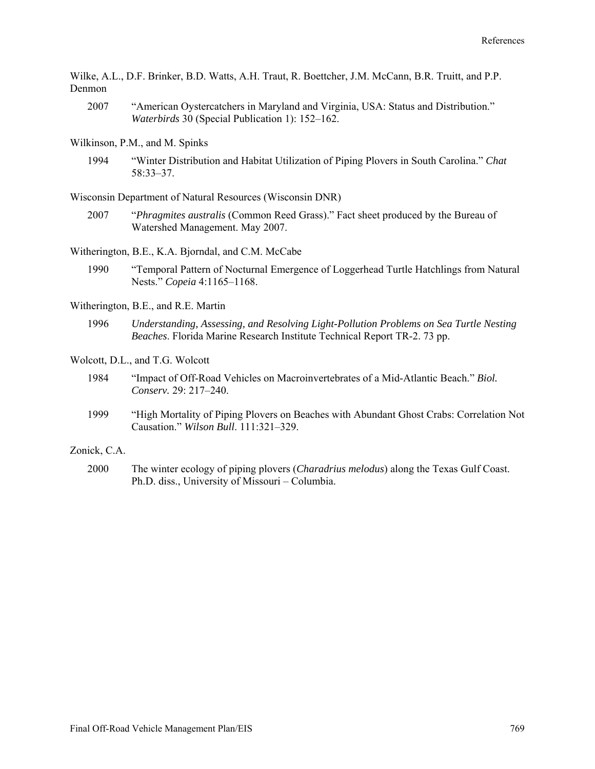Wilke, A.L., D.F. Brinker, B.D. Watts, A.H. Traut, R. Boettcher, J.M. McCann, B.R. Truitt, and P.P. Denmon

- 2007 "American Oystercatchers in Maryland and Virginia, USA: Status and Distribution." *Waterbirds* 30 (Special Publication 1): 152–162.
- Wilkinson, P.M., and M. Spinks
	- 1994 "Winter Distribution and Habitat Utilization of Piping Plovers in South Carolina." *Chat* 58:33–37.

Wisconsin Department of Natural Resources (Wisconsin DNR)

2007 "*Phragmites australis* (Common Reed Grass)." Fact sheet produced by the Bureau of Watershed Management. May 2007.

Witherington, B.E., K.A. Bjorndal, and C.M. McCabe

1990 "Temporal Pattern of Nocturnal Emergence of Loggerhead Turtle Hatchlings from Natural Nests." *Copeia* 4:1165–1168.

Witherington, B.E., and R.E. Martin

1996 *Understanding, Assessing, and Resolving Light-Pollution Problems on Sea Turtle Nesting Beaches*. Florida Marine Research Institute Technical Report TR-2. 73 pp.

Wolcott, D.L., and T.G. Wolcott

- 1984 "Impact of Off-Road Vehicles on Macroinvertebrates of a Mid-Atlantic Beach." *Biol. Conserv.* 29: 217–240.
- 1999 "High Mortality of Piping Plovers on Beaches with Abundant Ghost Crabs: Correlation Not Causation." *Wilson Bull*. 111:321–329.

Zonick, C.A.

2000 The winter ecology of piping plovers (*Charadrius melodus*) along the Texas Gulf Coast. Ph.D. diss., University of Missouri – Columbia.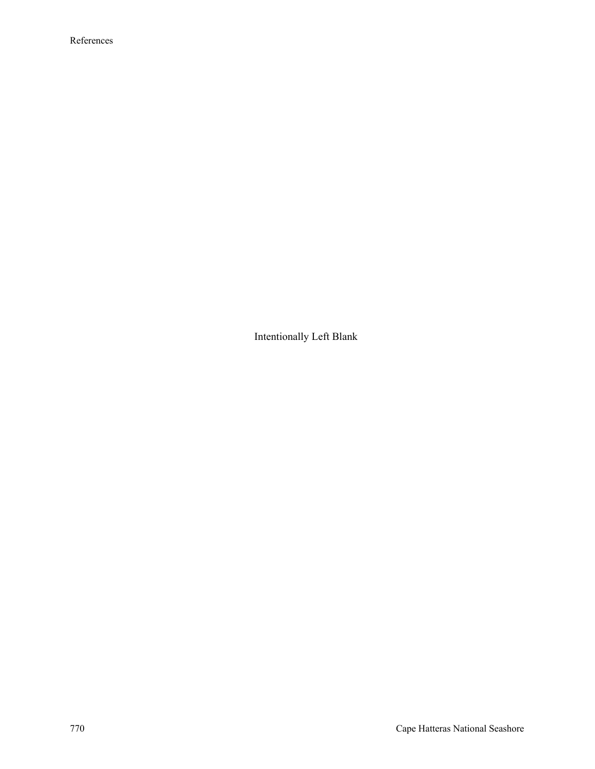References

Intentionally Left Blank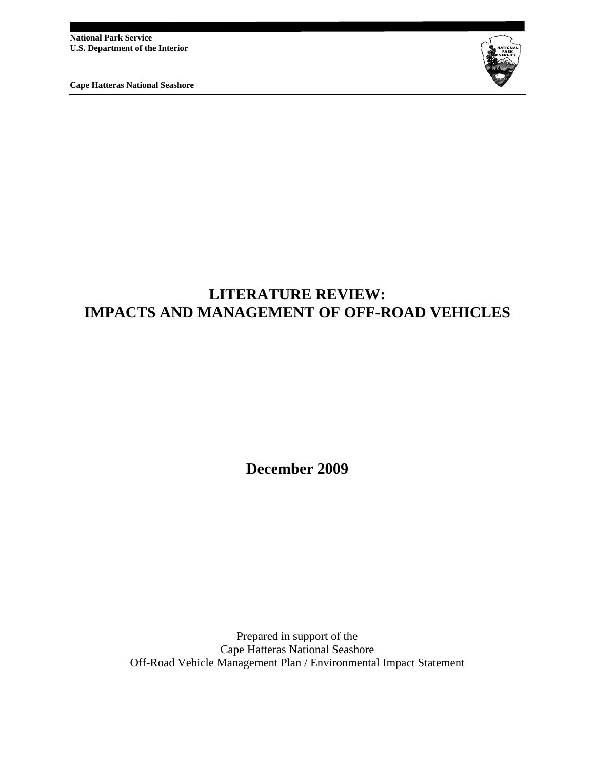**National Park Service U.S. Department of the Interior** 

**Cape Hatteras National Seashore** 



# **LITERATURE REVIEW: IMPACTS AND MANAGEMENT OF OFF-ROAD VEHICLES**

**December 2009** 

Prepared in support of the Cape Hatteras National Seashore Off-Road Vehicle Management Plan / Environmental Impact Statement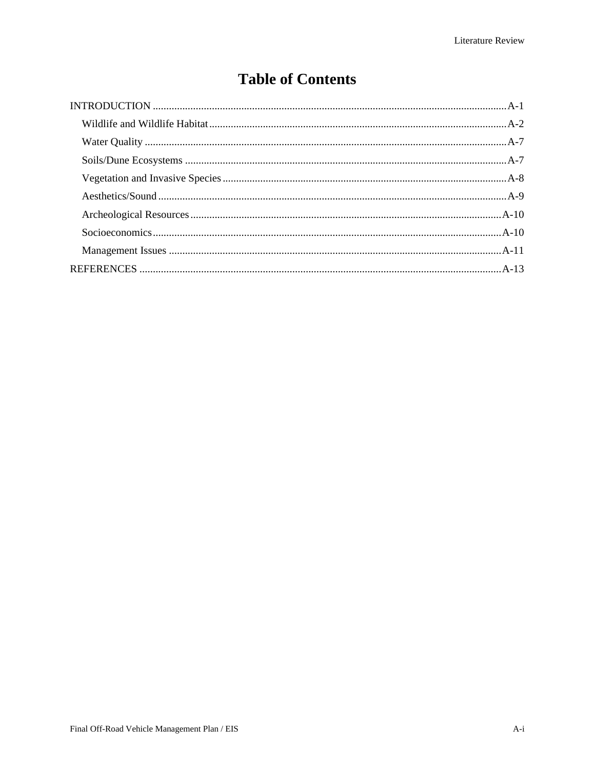# **Table of Contents**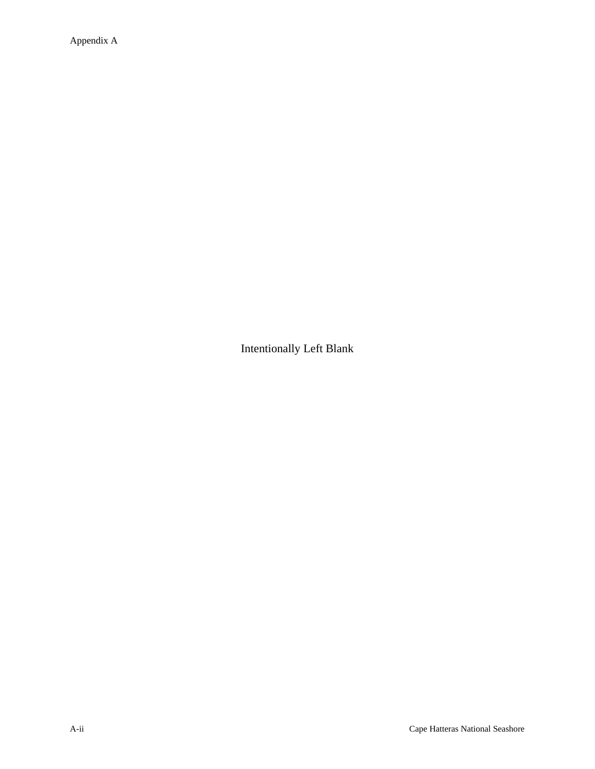Appendix A

Intentionally Left Blank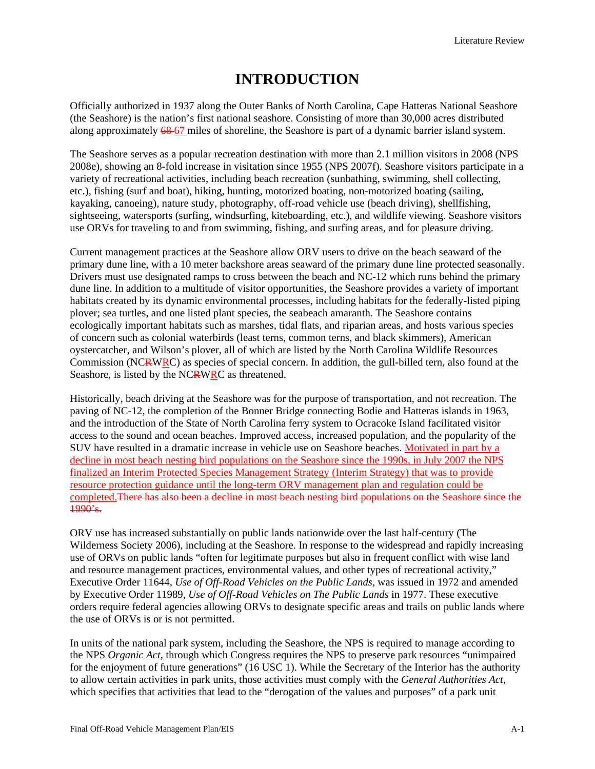## **INTRODUCTION**

Officially authorized in 1937 along the Outer Banks of North Carolina, Cape Hatteras National Seashore (the Seashore) is the nation's first national seashore. Consisting of more than 30,000 acres distributed along approximately 68 67 miles of shoreline, the Seashore is part of a dynamic barrier island system.

The Seashore serves as a popular recreation destination with more than 2.1 million visitors in 2008 (NPS 2008e), showing an 8-fold increase in visitation since 1955 (NPS 2007f). Seashore visitors participate in a variety of recreational activities, including beach recreation (sunbathing, swimming, shell collecting, etc.), fishing (surf and boat), hiking, hunting, motorized boating, non-motorized boating (sailing, kayaking, canoeing), nature study, photography, off-road vehicle use (beach driving), shellfishing, sightseeing, watersports (surfing, windsurfing, kiteboarding, etc.), and wildlife viewing. Seashore visitors use ORVs for traveling to and from swimming, fishing, and surfing areas, and for pleasure driving.

Current management practices at the Seashore allow ORV users to drive on the beach seaward of the primary dune line, with a 10 meter backshore areas seaward of the primary dune line protected seasonally. Drivers must use designated ramps to cross between the beach and NC-12 which runs behind the primary dune line. In addition to a multitude of visitor opportunities, the Seashore provides a variety of important habitats created by its dynamic environmental processes, including habitats for the federally-listed piping plover; sea turtles, and one listed plant species, the seabeach amaranth. The Seashore contains ecologically important habitats such as marshes, tidal flats, and riparian areas, and hosts various species of concern such as colonial waterbirds (least terns, common terns, and black skimmers), American oystercatcher, and Wilson's plover, all of which are listed by the North Carolina Wildlife Resources Commission (NCRWRC) as species of special concern. In addition, the gull-billed tern, also found at the Seashore, is listed by the NCRWRC as threatened.

Historically, beach driving at the Seashore was for the purpose of transportation, and not recreation. The paving of NC-12, the completion of the Bonner Bridge connecting Bodie and Hatteras islands in 1963, and the introduction of the State of North Carolina ferry system to Ocracoke Island facilitated visitor access to the sound and ocean beaches. Improved access, increased population, and the popularity of the SUV have resulted in a dramatic increase in vehicle use on Seashore beaches. Motivated in part by a decline in most beach nesting bird populations on the Seashore since the 1990s, in July 2007 the NPS finalized an Interim Protected Species Management Strategy (Interim Strategy) that was to provide resource protection guidance until the long-term ORV management plan and regulation could be completed.There has also been a decline in most beach nesting bird populations on the Seashore since the 1990's.

ORV use has increased substantially on public lands nationwide over the last half-century (The Wilderness Society 2006), including at the Seashore. In response to the widespread and rapidly increasing use of ORVs on public lands "often for legitimate purposes but also in frequent conflict with wise land and resource management practices, environmental values, and other types of recreational activity," Executive Order 11644, *Use of Off-Road Vehicles on the Public Lands*, was issued in 1972 and amended by Executive Order 11989, *Use of Off-Road Vehicles on The Public Lands* in 1977. These executive orders require federal agencies allowing ORVs to designate specific areas and trails on public lands where the use of ORVs is or is not permitted.

In units of the national park system, including the Seashore, the NPS is required to manage according to the NPS *Organic Act*, through which Congress requires the NPS to preserve park resources "unimpaired for the enjoyment of future generations" (16 USC 1). While the Secretary of the Interior has the authority to allow certain activities in park units, those activities must comply with the *General Authorities Act*, which specifies that activities that lead to the "derogation of the values and purposes" of a park unit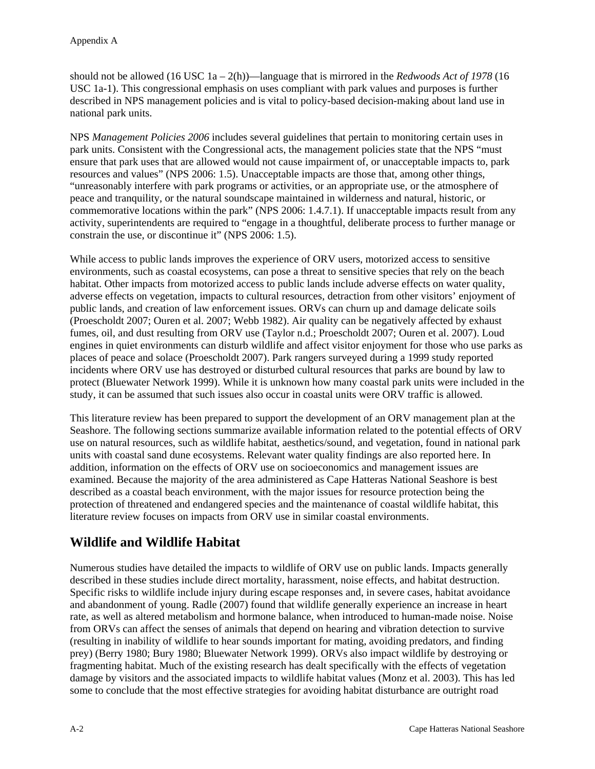should not be allowed (16 USC 1a – 2(h))—language that is mirrored in the *Redwoods Act of 1978* (16 USC 1a-1). This congressional emphasis on uses compliant with park values and purposes is further described in NPS management policies and is vital to policy-based decision-making about land use in national park units.

NPS *Management Policies 2006* includes several guidelines that pertain to monitoring certain uses in park units. Consistent with the Congressional acts, the management policies state that the NPS "must ensure that park uses that are allowed would not cause impairment of, or unacceptable impacts to, park resources and values" (NPS 2006: 1.5). Unacceptable impacts are those that, among other things, "unreasonably interfere with park programs or activities, or an appropriate use, or the atmosphere of peace and tranquility, or the natural soundscape maintained in wilderness and natural, historic, or commemorative locations within the park" (NPS 2006: 1.4.7.1). If unacceptable impacts result from any activity, superintendents are required to "engage in a thoughtful, deliberate process to further manage or constrain the use, or discontinue it" (NPS 2006: 1.5).

While access to public lands improves the experience of ORV users, motorized access to sensitive environments, such as coastal ecosystems, can pose a threat to sensitive species that rely on the beach habitat. Other impacts from motorized access to public lands include adverse effects on water quality, adverse effects on vegetation, impacts to cultural resources, detraction from other visitors' enjoyment of public lands, and creation of law enforcement issues. ORVs can churn up and damage delicate soils (Proescholdt 2007; Ouren et al. 2007; Webb 1982). Air quality can be negatively affected by exhaust fumes, oil, and dust resulting from ORV use (Taylor n.d.; Proescholdt 2007; Ouren et al. 2007). Loud engines in quiet environments can disturb wildlife and affect visitor enjoyment for those who use parks as places of peace and solace (Proescholdt 2007). Park rangers surveyed during a 1999 study reported incidents where ORV use has destroyed or disturbed cultural resources that parks are bound by law to protect (Bluewater Network 1999). While it is unknown how many coastal park units were included in the study, it can be assumed that such issues also occur in coastal units were ORV traffic is allowed.

This literature review has been prepared to support the development of an ORV management plan at the Seashore. The following sections summarize available information related to the potential effects of ORV use on natural resources, such as wildlife habitat, aesthetics/sound, and vegetation, found in national park units with coastal sand dune ecosystems. Relevant water quality findings are also reported here. In addition, information on the effects of ORV use on socioeconomics and management issues are examined. Because the majority of the area administered as Cape Hatteras National Seashore is best described as a coastal beach environment, with the major issues for resource protection being the protection of threatened and endangered species and the maintenance of coastal wildlife habitat, this literature review focuses on impacts from ORV use in similar coastal environments.

### **Wildlife and Wildlife Habitat**

Numerous studies have detailed the impacts to wildlife of ORV use on public lands. Impacts generally described in these studies include direct mortality, harassment, noise effects, and habitat destruction. Specific risks to wildlife include injury during escape responses and, in severe cases, habitat avoidance and abandonment of young. Radle (2007) found that wildlife generally experience an increase in heart rate, as well as altered metabolism and hormone balance, when introduced to human-made noise. Noise from ORVs can affect the senses of animals that depend on hearing and vibration detection to survive (resulting in inability of wildlife to hear sounds important for mating, avoiding predators, and finding prey) (Berry 1980; Bury 1980; Bluewater Network 1999). ORVs also impact wildlife by destroying or fragmenting habitat. Much of the existing research has dealt specifically with the effects of vegetation damage by visitors and the associated impacts to wildlife habitat values (Monz et al. 2003). This has led some to conclude that the most effective strategies for avoiding habitat disturbance are outright road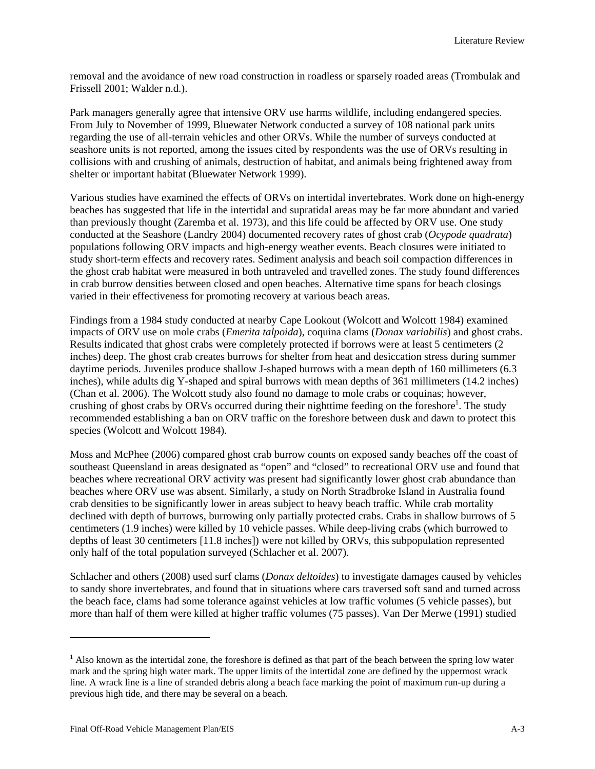removal and the avoidance of new road construction in roadless or sparsely roaded areas (Trombulak and Frissell 2001; Walder n.d.).

Park managers generally agree that intensive ORV use harms wildlife, including endangered species. From July to November of 1999, Bluewater Network conducted a survey of 108 national park units regarding the use of all-terrain vehicles and other ORVs. While the number of surveys conducted at seashore units is not reported, among the issues cited by respondents was the use of ORVs resulting in collisions with and crushing of animals, destruction of habitat, and animals being frightened away from shelter or important habitat (Bluewater Network 1999).

Various studies have examined the effects of ORVs on intertidal invertebrates. Work done on high-energy beaches has suggested that life in the intertidal and supratidal areas may be far more abundant and varied than previously thought (Zaremba et al. 1973), and this life could be affected by ORV use. One study conducted at the Seashore (Landry 2004) documented recovery rates of ghost crab (*Ocypode quadrata*) populations following ORV impacts and high-energy weather events. Beach closures were initiated to study short-term effects and recovery rates. Sediment analysis and beach soil compaction differences in the ghost crab habitat were measured in both untraveled and travelled zones. The study found differences in crab burrow densities between closed and open beaches. Alternative time spans for beach closings varied in their effectiveness for promoting recovery at various beach areas.

Findings from a 1984 study conducted at nearby Cape Lookout (Wolcott and Wolcott 1984) examined impacts of ORV use on mole crabs (*Emerita talpoida*), coquina clams (*Donax variabilis*) and ghost crabs. Results indicated that ghost crabs were completely protected if borrows were at least 5 centimeters (2 inches) deep. The ghost crab creates burrows for shelter from heat and desiccation stress during summer daytime periods. Juveniles produce shallow J-shaped burrows with a mean depth of 160 millimeters (6.3 inches), while adults dig Y-shaped and spiral burrows with mean depths of 361 millimeters (14.2 inches) (Chan et al. 2006). The Wolcott study also found no damage to mole crabs or coquinas; however, crushing of ghost crabs by ORVs occurred during their nighttime feeding on the foreshore<sup>1</sup>. The study recommended establishing a ban on ORV traffic on the foreshore between dusk and dawn to protect this species (Wolcott and Wolcott 1984).

Moss and McPhee (2006) compared ghost crab burrow counts on exposed sandy beaches off the coast of southeast Queensland in areas designated as "open" and "closed" to recreational ORV use and found that beaches where recreational ORV activity was present had significantly lower ghost crab abundance than beaches where ORV use was absent. Similarly, a study on North Stradbroke Island in Australia found crab densities to be significantly lower in areas subject to heavy beach traffic. While crab mortality declined with depth of burrows, burrowing only partially protected crabs. Crabs in shallow burrows of 5 centimeters (1.9 inches) were killed by 10 vehicle passes. While deep-living crabs (which burrowed to depths of least 30 centimeters [11.8 inches]) were not killed by ORVs, this subpopulation represented only half of the total population surveyed (Schlacher et al. 2007).

Schlacher and others (2008) used surf clams (*Donax deltoides*) to investigate damages caused by vehicles to sandy shore invertebrates, and found that in situations where cars traversed soft sand and turned across the beach face, clams had some tolerance against vehicles at low traffic volumes (5 vehicle passes), but more than half of them were killed at higher traffic volumes (75 passes). Van Der Merwe (1991) studied

 $\overline{a}$ 

 $<sup>1</sup>$  Also known as the intertidal zone, the foreshore is defined as that part of the beach between the spring low water</sup> mark and the spring high water mark. The upper limits of the intertidal zone are defined by the uppermost wrack line. A wrack line is a line of stranded debris along a beach face marking the point of maximum run-up during a previous high tide, and there may be several on a beach.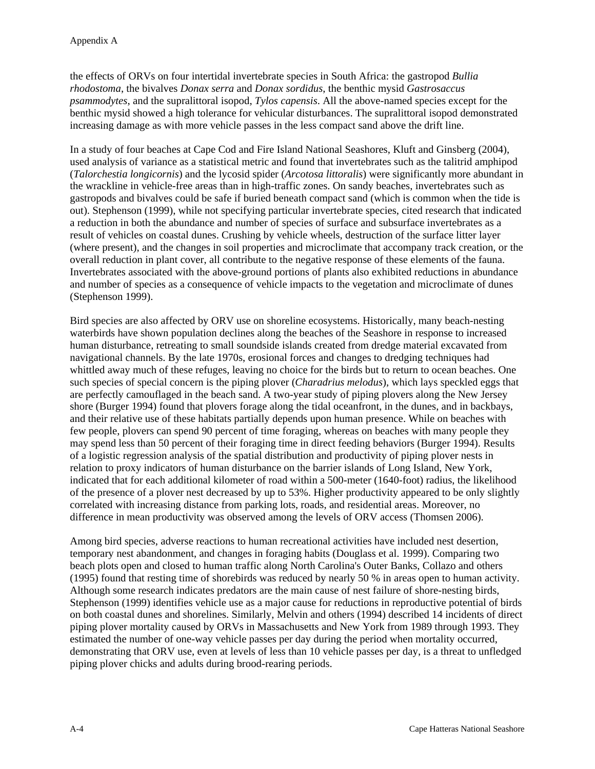the effects of ORVs on four intertidal invertebrate species in South Africa: the gastropod *Bullia rhodostoma*, the bivalves *Donax serra* and *Donax sordidus*, the benthic mysid *Gastrosaccus psammodytes*, and the supralittoral isopod, *Tylos capensis*. All the above-named species except for the benthic mysid showed a high tolerance for vehicular disturbances. The supralittoral isopod demonstrated increasing damage as with more vehicle passes in the less compact sand above the drift line.

In a study of four beaches at Cape Cod and Fire Island National Seashores, Kluft and Ginsberg (2004), used analysis of variance as a statistical metric and found that invertebrates such as the talitrid amphipod (*Talorchestia longicornis*) and the lycosid spider (*Arcotosa littoralis*) were significantly more abundant in the wrackline in vehicle-free areas than in high-traffic zones. On sandy beaches, invertebrates such as gastropods and bivalves could be safe if buried beneath compact sand (which is common when the tide is out). Stephenson (1999), while not specifying particular invertebrate species, cited research that indicated a reduction in both the abundance and number of species of surface and subsurface invertebrates as a result of vehicles on coastal dunes. Crushing by vehicle wheels, destruction of the surface litter layer (where present), and the changes in soil properties and microclimate that accompany track creation, or the overall reduction in plant cover, all contribute to the negative response of these elements of the fauna. Invertebrates associated with the above-ground portions of plants also exhibited reductions in abundance and number of species as a consequence of vehicle impacts to the vegetation and microclimate of dunes (Stephenson 1999).

Bird species are also affected by ORV use on shoreline ecosystems. Historically, many beach-nesting waterbirds have shown population declines along the beaches of the Seashore in response to increased human disturbance, retreating to small soundside islands created from dredge material excavated from navigational channels. By the late 1970s, erosional forces and changes to dredging techniques had whittled away much of these refuges, leaving no choice for the birds but to return to ocean beaches. One such species of special concern is the piping plover (*Charadrius melodus*), which lays speckled eggs that are perfectly camouflaged in the beach sand. A two-year study of piping plovers along the New Jersey shore (Burger 1994) found that plovers forage along the tidal oceanfront, in the dunes, and in backbays, and their relative use of these habitats partially depends upon human presence. While on beaches with few people, plovers can spend 90 percent of time foraging, whereas on beaches with many people they may spend less than 50 percent of their foraging time in direct feeding behaviors (Burger 1994). Results of a logistic regression analysis of the spatial distribution and productivity of piping plover nests in relation to proxy indicators of human disturbance on the barrier islands of Long Island, New York, indicated that for each additional kilometer of road within a 500-meter (1640-foot) radius, the likelihood of the presence of a plover nest decreased by up to 53%. Higher productivity appeared to be only slightly correlated with increasing distance from parking lots, roads, and residential areas. Moreover, no difference in mean productivity was observed among the levels of ORV access (Thomsen 2006).

Among bird species, adverse reactions to human recreational activities have included nest desertion, temporary nest abandonment, and changes in foraging habits (Douglass et al. 1999). Comparing two beach plots open and closed to human traffic along North Carolina's Outer Banks, Collazo and others (1995) found that resting time of shorebirds was reduced by nearly 50 % in areas open to human activity. Although some research indicates predators are the main cause of nest failure of shore-nesting birds, Stephenson (1999) identifies vehicle use as a major cause for reductions in reproductive potential of birds on both coastal dunes and shorelines. Similarly, Melvin and others (1994) described 14 incidents of direct piping plover mortality caused by ORVs in Massachusetts and New York from 1989 through 1993. They estimated the number of one-way vehicle passes per day during the period when mortality occurred, demonstrating that ORV use, even at levels of less than 10 vehicle passes per day, is a threat to unfledged piping plover chicks and adults during brood-rearing periods.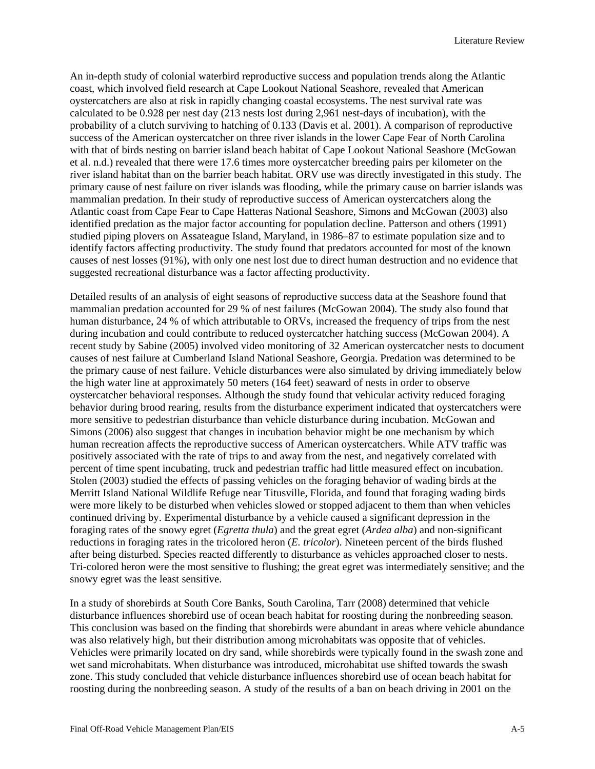An in-depth study of colonial waterbird reproductive success and population trends along the Atlantic coast, which involved field research at Cape Lookout National Seashore, revealed that American oystercatchers are also at risk in rapidly changing coastal ecosystems. The nest survival rate was calculated to be 0.928 per nest day (213 nests lost during 2,961 nest-days of incubation), with the probability of a clutch surviving to hatching of 0.133 (Davis et al. 2001). A comparison of reproductive success of the American oystercatcher on three river islands in the lower Cape Fear of North Carolina with that of birds nesting on barrier island beach habitat of Cape Lookout National Seashore (McGowan et al. n.d.) revealed that there were 17.6 times more oystercatcher breeding pairs per kilometer on the river island habitat than on the barrier beach habitat. ORV use was directly investigated in this study. The primary cause of nest failure on river islands was flooding, while the primary cause on barrier islands was mammalian predation. In their study of reproductive success of American oystercatchers along the Atlantic coast from Cape Fear to Cape Hatteras National Seashore, Simons and McGowan (2003) also identified predation as the major factor accounting for population decline. Patterson and others (1991) studied piping plovers on Assateague Island, Maryland, in 1986–87 to estimate population size and to identify factors affecting productivity. The study found that predators accounted for most of the known causes of nest losses (91%), with only one nest lost due to direct human destruction and no evidence that suggested recreational disturbance was a factor affecting productivity.

Detailed results of an analysis of eight seasons of reproductive success data at the Seashore found that mammalian predation accounted for 29 % of nest failures (McGowan 2004). The study also found that human disturbance, 24 % of which attributable to ORVs, increased the frequency of trips from the nest during incubation and could contribute to reduced oystercatcher hatching success (McGowan 2004). A recent study by Sabine (2005) involved video monitoring of 32 American oystercatcher nests to document causes of nest failure at Cumberland Island National Seashore, Georgia. Predation was determined to be the primary cause of nest failure. Vehicle disturbances were also simulated by driving immediately below the high water line at approximately 50 meters (164 feet) seaward of nests in order to observe oystercatcher behavioral responses. Although the study found that vehicular activity reduced foraging behavior during brood rearing, results from the disturbance experiment indicated that oystercatchers were more sensitive to pedestrian disturbance than vehicle disturbance during incubation. McGowan and Simons (2006) also suggest that changes in incubation behavior might be one mechanism by which human recreation affects the reproductive success of American oystercatchers. While ATV traffic was positively associated with the rate of trips to and away from the nest, and negatively correlated with percent of time spent incubating, truck and pedestrian traffic had little measured effect on incubation. Stolen (2003) studied the effects of passing vehicles on the foraging behavior of wading birds at the Merritt Island National Wildlife Refuge near Titusville, Florida, and found that foraging wading birds were more likely to be disturbed when vehicles slowed or stopped adjacent to them than when vehicles continued driving by. Experimental disturbance by a vehicle caused a significant depression in the foraging rates of the snowy egret (*Egretta thula*) and the great egret (*Ardea alba*) and non-significant reductions in foraging rates in the tricolored heron (*E. tricolor*). Nineteen percent of the birds flushed after being disturbed. Species reacted differently to disturbance as vehicles approached closer to nests. Tri-colored heron were the most sensitive to flushing; the great egret was intermediately sensitive; and the snowy egret was the least sensitive.

In a study of shorebirds at South Core Banks, South Carolina, Tarr (2008) determined that vehicle disturbance influences shorebird use of ocean beach habitat for roosting during the nonbreeding season. This conclusion was based on the finding that shorebirds were abundant in areas where vehicle abundance was also relatively high, but their distribution among microhabitats was opposite that of vehicles. Vehicles were primarily located on dry sand, while shorebirds were typically found in the swash zone and wet sand microhabitats. When disturbance was introduced, microhabitat use shifted towards the swash zone. This study concluded that vehicle disturbance influences shorebird use of ocean beach habitat for roosting during the nonbreeding season. A study of the results of a ban on beach driving in 2001 on the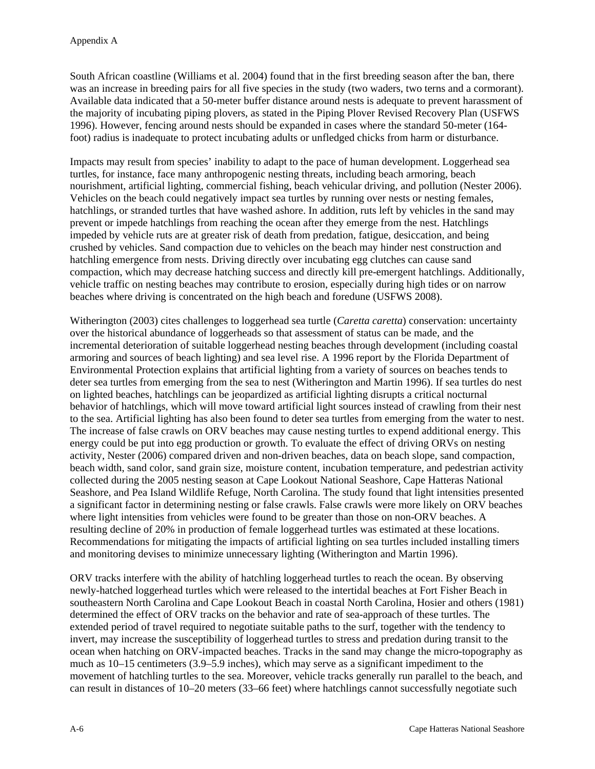South African coastline (Williams et al. 2004) found that in the first breeding season after the ban, there was an increase in breeding pairs for all five species in the study (two waders, two terns and a cormorant). Available data indicated that a 50-meter buffer distance around nests is adequate to prevent harassment of the majority of incubating piping plovers, as stated in the Piping Plover Revised Recovery Plan (USFWS 1996). However, fencing around nests should be expanded in cases where the standard 50-meter (164 foot) radius is inadequate to protect incubating adults or unfledged chicks from harm or disturbance.

Impacts may result from species' inability to adapt to the pace of human development. Loggerhead sea turtles, for instance, face many anthropogenic nesting threats, including beach armoring, beach nourishment, artificial lighting, commercial fishing, beach vehicular driving, and pollution (Nester 2006). Vehicles on the beach could negatively impact sea turtles by running over nests or nesting females, hatchlings, or stranded turtles that have washed ashore. In addition, ruts left by vehicles in the sand may prevent or impede hatchlings from reaching the ocean after they emerge from the nest. Hatchlings impeded by vehicle ruts are at greater risk of death from predation, fatigue, desiccation, and being crushed by vehicles. Sand compaction due to vehicles on the beach may hinder nest construction and hatchling emergence from nests. Driving directly over incubating egg clutches can cause sand compaction, which may decrease hatching success and directly kill pre-emergent hatchlings. Additionally, vehicle traffic on nesting beaches may contribute to erosion, especially during high tides or on narrow beaches where driving is concentrated on the high beach and foredune (USFWS 2008).

Witherington (2003) cites challenges to loggerhead sea turtle (*Caretta caretta*) conservation: uncertainty over the historical abundance of loggerheads so that assessment of status can be made, and the incremental deterioration of suitable loggerhead nesting beaches through development (including coastal armoring and sources of beach lighting) and sea level rise. A 1996 report by the Florida Department of Environmental Protection explains that artificial lighting from a variety of sources on beaches tends to deter sea turtles from emerging from the sea to nest (Witherington and Martin 1996). If sea turtles do nest on lighted beaches, hatchlings can be jeopardized as artificial lighting disrupts a critical nocturnal behavior of hatchlings, which will move toward artificial light sources instead of crawling from their nest to the sea. Artificial lighting has also been found to deter sea turtles from emerging from the water to nest. The increase of false crawls on ORV beaches may cause nesting turtles to expend additional energy. This energy could be put into egg production or growth. To evaluate the effect of driving ORVs on nesting activity, Nester (2006) compared driven and non-driven beaches, data on beach slope, sand compaction, beach width, sand color, sand grain size, moisture content, incubation temperature, and pedestrian activity collected during the 2005 nesting season at Cape Lookout National Seashore, Cape Hatteras National Seashore, and Pea Island Wildlife Refuge, North Carolina. The study found that light intensities presented a significant factor in determining nesting or false crawls. False crawls were more likely on ORV beaches where light intensities from vehicles were found to be greater than those on non-ORV beaches. A resulting decline of 20% in production of female loggerhead turtles was estimated at these locations. Recommendations for mitigating the impacts of artificial lighting on sea turtles included installing timers and monitoring devises to minimize unnecessary lighting (Witherington and Martin 1996).

ORV tracks interfere with the ability of hatchling loggerhead turtles to reach the ocean. By observing newly-hatched loggerhead turtles which were released to the intertidal beaches at Fort Fisher Beach in southeastern North Carolina and Cape Lookout Beach in coastal North Carolina, Hosier and others (1981) determined the effect of ORV tracks on the behavior and rate of sea-approach of these turtles. The extended period of travel required to negotiate suitable paths to the surf, together with the tendency to invert, may increase the susceptibility of loggerhead turtles to stress and predation during transit to the ocean when hatching on ORV-impacted beaches. Tracks in the sand may change the micro-topography as much as 10–15 centimeters (3.9–5.9 inches), which may serve as a significant impediment to the movement of hatchling turtles to the sea. Moreover, vehicle tracks generally run parallel to the beach, and can result in distances of 10–20 meters (33–66 feet) where hatchlings cannot successfully negotiate such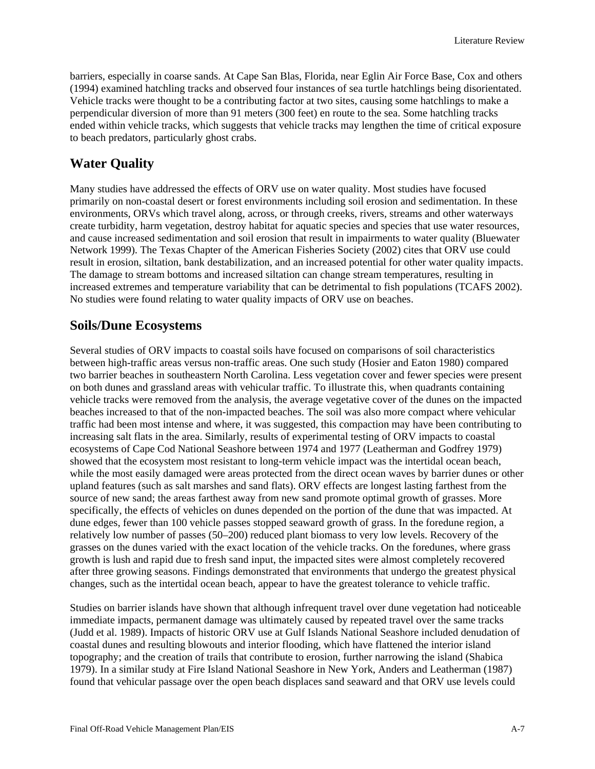barriers, especially in coarse sands. At Cape San Blas, Florida, near Eglin Air Force Base, Cox and others (1994) examined hatchling tracks and observed four instances of sea turtle hatchlings being disorientated. Vehicle tracks were thought to be a contributing factor at two sites, causing some hatchlings to make a perpendicular diversion of more than 91 meters (300 feet) en route to the sea. Some hatchling tracks ended within vehicle tracks, which suggests that vehicle tracks may lengthen the time of critical exposure to beach predators, particularly ghost crabs.

### **Water Quality**

Many studies have addressed the effects of ORV use on water quality. Most studies have focused primarily on non-coastal desert or forest environments including soil erosion and sedimentation. In these environments, ORVs which travel along, across, or through creeks, rivers, streams and other waterways create turbidity, harm vegetation, destroy habitat for aquatic species and species that use water resources, and cause increased sedimentation and soil erosion that result in impairments to water quality (Bluewater Network 1999). The Texas Chapter of the American Fisheries Society (2002) cites that ORV use could result in erosion, siltation, bank destabilization, and an increased potential for other water quality impacts. The damage to stream bottoms and increased siltation can change stream temperatures, resulting in increased extremes and temperature variability that can be detrimental to fish populations (TCAFS 2002). No studies were found relating to water quality impacts of ORV use on beaches.

### **Soils/Dune Ecosystems**

Several studies of ORV impacts to coastal soils have focused on comparisons of soil characteristics between high-traffic areas versus non-traffic areas. One such study (Hosier and Eaton 1980) compared two barrier beaches in southeastern North Carolina. Less vegetation cover and fewer species were present on both dunes and grassland areas with vehicular traffic. To illustrate this, when quadrants containing vehicle tracks were removed from the analysis, the average vegetative cover of the dunes on the impacted beaches increased to that of the non-impacted beaches. The soil was also more compact where vehicular traffic had been most intense and where, it was suggested, this compaction may have been contributing to increasing salt flats in the area. Similarly, results of experimental testing of ORV impacts to coastal ecosystems of Cape Cod National Seashore between 1974 and 1977 (Leatherman and Godfrey 1979) showed that the ecosystem most resistant to long-term vehicle impact was the intertidal ocean beach, while the most easily damaged were areas protected from the direct ocean waves by barrier dunes or other upland features (such as salt marshes and sand flats). ORV effects are longest lasting farthest from the source of new sand; the areas farthest away from new sand promote optimal growth of grasses. More specifically, the effects of vehicles on dunes depended on the portion of the dune that was impacted. At dune edges, fewer than 100 vehicle passes stopped seaward growth of grass. In the foredune region, a relatively low number of passes (50–200) reduced plant biomass to very low levels. Recovery of the grasses on the dunes varied with the exact location of the vehicle tracks. On the foredunes, where grass growth is lush and rapid due to fresh sand input, the impacted sites were almost completely recovered after three growing seasons. Findings demonstrated that environments that undergo the greatest physical changes, such as the intertidal ocean beach, appear to have the greatest tolerance to vehicle traffic.

Studies on barrier islands have shown that although infrequent travel over dune vegetation had noticeable immediate impacts, permanent damage was ultimately caused by repeated travel over the same tracks (Judd et al. 1989). Impacts of historic ORV use at Gulf Islands National Seashore included denudation of coastal dunes and resulting blowouts and interior flooding, which have flattened the interior island topography; and the creation of trails that contribute to erosion, further narrowing the island (Shabica 1979). In a similar study at Fire Island National Seashore in New York, Anders and Leatherman (1987) found that vehicular passage over the open beach displaces sand seaward and that ORV use levels could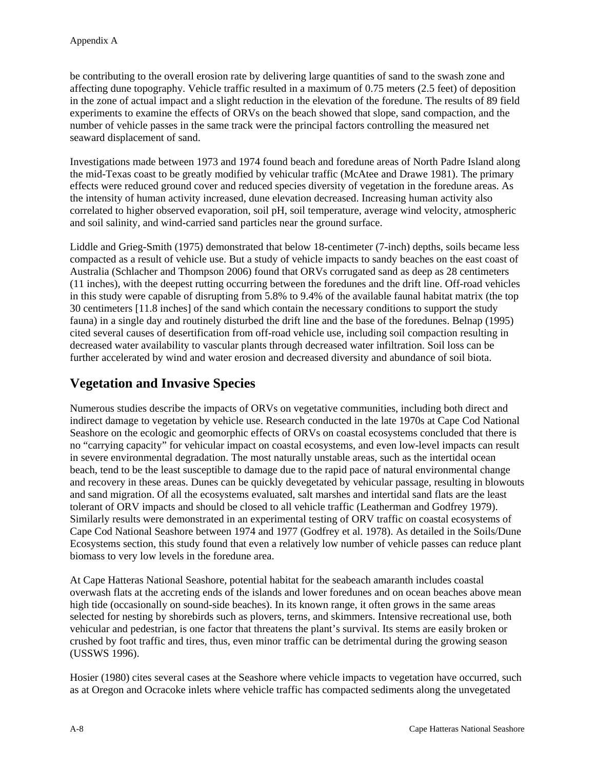be contributing to the overall erosion rate by delivering large quantities of sand to the swash zone and affecting dune topography. Vehicle traffic resulted in a maximum of 0.75 meters (2.5 feet) of deposition in the zone of actual impact and a slight reduction in the elevation of the foredune. The results of 89 field experiments to examine the effects of ORVs on the beach showed that slope, sand compaction, and the number of vehicle passes in the same track were the principal factors controlling the measured net seaward displacement of sand.

Investigations made between 1973 and 1974 found beach and foredune areas of North Padre Island along the mid-Texas coast to be greatly modified by vehicular traffic (McAtee and Drawe 1981). The primary effects were reduced ground cover and reduced species diversity of vegetation in the foredune areas. As the intensity of human activity increased, dune elevation decreased. Increasing human activity also correlated to higher observed evaporation, soil pH, soil temperature, average wind velocity, atmospheric and soil salinity, and wind-carried sand particles near the ground surface.

Liddle and Grieg-Smith (1975) demonstrated that below 18-centimeter (7-inch) depths, soils became less compacted as a result of vehicle use. But a study of vehicle impacts to sandy beaches on the east coast of Australia (Schlacher and Thompson 2006) found that ORVs corrugated sand as deep as 28 centimeters (11 inches), with the deepest rutting occurring between the foredunes and the drift line. Off-road vehicles in this study were capable of disrupting from 5.8% to 9.4% of the available faunal habitat matrix (the top 30 centimeters [11.8 inches] of the sand which contain the necessary conditions to support the study fauna) in a single day and routinely disturbed the drift line and the base of the foredunes. Belnap (1995) cited several causes of desertification from off-road vehicle use, including soil compaction resulting in decreased water availability to vascular plants through decreased water infiltration. Soil loss can be further accelerated by wind and water erosion and decreased diversity and abundance of soil biota.

### **Vegetation and Invasive Species**

Numerous studies describe the impacts of ORVs on vegetative communities, including both direct and indirect damage to vegetation by vehicle use. Research conducted in the late 1970s at Cape Cod National Seashore on the ecologic and geomorphic effects of ORVs on coastal ecosystems concluded that there is no "carrying capacity" for vehicular impact on coastal ecosystems, and even low-level impacts can result in severe environmental degradation. The most naturally unstable areas, such as the intertidal ocean beach, tend to be the least susceptible to damage due to the rapid pace of natural environmental change and recovery in these areas. Dunes can be quickly devegetated by vehicular passage, resulting in blowouts and sand migration. Of all the ecosystems evaluated, salt marshes and intertidal sand flats are the least tolerant of ORV impacts and should be closed to all vehicle traffic (Leatherman and Godfrey 1979). Similarly results were demonstrated in an experimental testing of ORV traffic on coastal ecosystems of Cape Cod National Seashore between 1974 and 1977 (Godfrey et al. 1978). As detailed in the Soils/Dune Ecosystems section, this study found that even a relatively low number of vehicle passes can reduce plant biomass to very low levels in the foredune area.

At Cape Hatteras National Seashore, potential habitat for the seabeach amaranth includes coastal overwash flats at the accreting ends of the islands and lower foredunes and on ocean beaches above mean high tide (occasionally on sound-side beaches). In its known range, it often grows in the same areas selected for nesting by shorebirds such as plovers, terns, and skimmers. Intensive recreational use, both vehicular and pedestrian, is one factor that threatens the plant's survival. Its stems are easily broken or crushed by foot traffic and tires, thus, even minor traffic can be detrimental during the growing season (USSWS 1996).

Hosier (1980) cites several cases at the Seashore where vehicle impacts to vegetation have occurred, such as at Oregon and Ocracoke inlets where vehicle traffic has compacted sediments along the unvegetated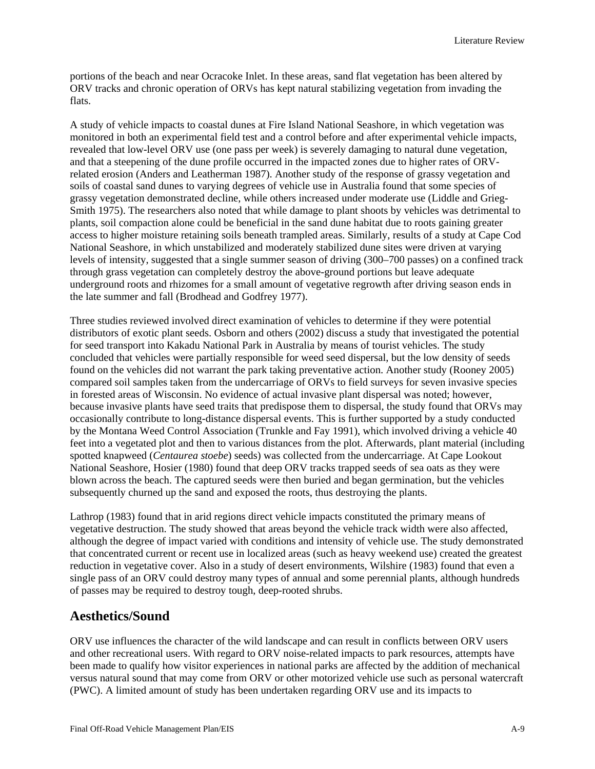portions of the beach and near Ocracoke Inlet. In these areas, sand flat vegetation has been altered by ORV tracks and chronic operation of ORVs has kept natural stabilizing vegetation from invading the flats.

A study of vehicle impacts to coastal dunes at Fire Island National Seashore, in which vegetation was monitored in both an experimental field test and a control before and after experimental vehicle impacts, revealed that low-level ORV use (one pass per week) is severely damaging to natural dune vegetation, and that a steepening of the dune profile occurred in the impacted zones due to higher rates of ORVrelated erosion (Anders and Leatherman 1987). Another study of the response of grassy vegetation and soils of coastal sand dunes to varying degrees of vehicle use in Australia found that some species of grassy vegetation demonstrated decline, while others increased under moderate use (Liddle and Grieg-Smith 1975). The researchers also noted that while damage to plant shoots by vehicles was detrimental to plants, soil compaction alone could be beneficial in the sand dune habitat due to roots gaining greater access to higher moisture retaining soils beneath trampled areas. Similarly, results of a study at Cape Cod National Seashore, in which unstabilized and moderately stabilized dune sites were driven at varying levels of intensity, suggested that a single summer season of driving (300–700 passes) on a confined track through grass vegetation can completely destroy the above-ground portions but leave adequate underground roots and rhizomes for a small amount of vegetative regrowth after driving season ends in the late summer and fall (Brodhead and Godfrey 1977).

Three studies reviewed involved direct examination of vehicles to determine if they were potential distributors of exotic plant seeds. Osborn and others (2002) discuss a study that investigated the potential for seed transport into Kakadu National Park in Australia by means of tourist vehicles. The study concluded that vehicles were partially responsible for weed seed dispersal, but the low density of seeds found on the vehicles did not warrant the park taking preventative action. Another study (Rooney 2005) compared soil samples taken from the undercarriage of ORVs to field surveys for seven invasive species in forested areas of Wisconsin. No evidence of actual invasive plant dispersal was noted; however, because invasive plants have seed traits that predispose them to dispersal, the study found that ORVs may occasionally contribute to long-distance dispersal events. This is further supported by a study conducted by the Montana Weed Control Association (Trunkle and Fay 1991), which involved driving a vehicle 40 feet into a vegetated plot and then to various distances from the plot. Afterwards, plant material (including spotted knapweed (*Centaurea stoebe*) seeds) was collected from the undercarriage. At Cape Lookout National Seashore, Hosier (1980) found that deep ORV tracks trapped seeds of sea oats as they were blown across the beach. The captured seeds were then buried and began germination, but the vehicles subsequently churned up the sand and exposed the roots, thus destroying the plants.

Lathrop (1983) found that in arid regions direct vehicle impacts constituted the primary means of vegetative destruction. The study showed that areas beyond the vehicle track width were also affected, although the degree of impact varied with conditions and intensity of vehicle use. The study demonstrated that concentrated current or recent use in localized areas (such as heavy weekend use) created the greatest reduction in vegetative cover. Also in a study of desert environments, Wilshire (1983) found that even a single pass of an ORV could destroy many types of annual and some perennial plants, although hundreds of passes may be required to destroy tough, deep-rooted shrubs.

### **Aesthetics/Sound**

ORV use influences the character of the wild landscape and can result in conflicts between ORV users and other recreational users. With regard to ORV noise-related impacts to park resources, attempts have been made to qualify how visitor experiences in national parks are affected by the addition of mechanical versus natural sound that may come from ORV or other motorized vehicle use such as personal watercraft (PWC). A limited amount of study has been undertaken regarding ORV use and its impacts to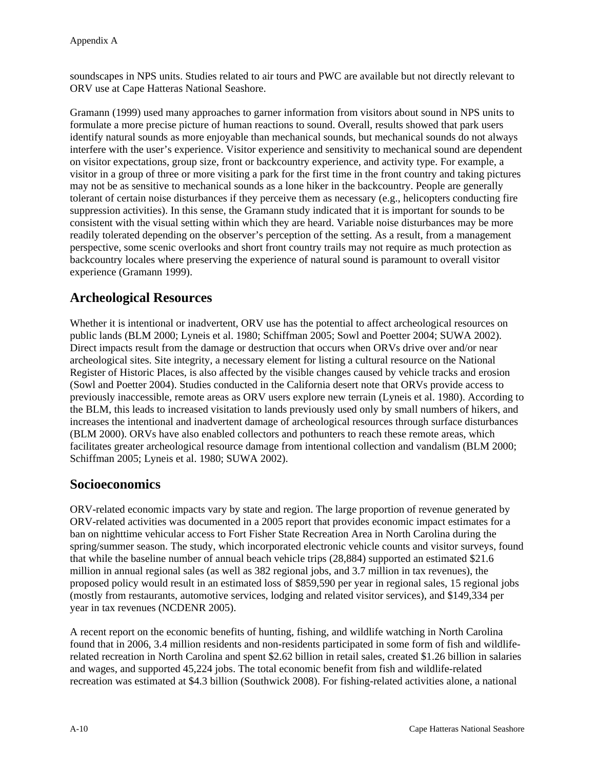soundscapes in NPS units. Studies related to air tours and PWC are available but not directly relevant to ORV use at Cape Hatteras National Seashore.

Gramann (1999) used many approaches to garner information from visitors about sound in NPS units to formulate a more precise picture of human reactions to sound. Overall, results showed that park users identify natural sounds as more enjoyable than mechanical sounds, but mechanical sounds do not always interfere with the user's experience. Visitor experience and sensitivity to mechanical sound are dependent on visitor expectations, group size, front or backcountry experience, and activity type. For example, a visitor in a group of three or more visiting a park for the first time in the front country and taking pictures may not be as sensitive to mechanical sounds as a lone hiker in the backcountry. People are generally tolerant of certain noise disturbances if they perceive them as necessary (e.g., helicopters conducting fire suppression activities). In this sense, the Gramann study indicated that it is important for sounds to be consistent with the visual setting within which they are heard. Variable noise disturbances may be more readily tolerated depending on the observer's perception of the setting. As a result, from a management perspective, some scenic overlooks and short front country trails may not require as much protection as backcountry locales where preserving the experience of natural sound is paramount to overall visitor experience (Gramann 1999).

### **Archeological Resources**

Whether it is intentional or inadvertent, ORV use has the potential to affect archeological resources on public lands (BLM 2000; Lyneis et al. 1980; Schiffman 2005; Sowl and Poetter 2004; SUWA 2002). Direct impacts result from the damage or destruction that occurs when ORVs drive over and/or near archeological sites. Site integrity, a necessary element for listing a cultural resource on the National Register of Historic Places, is also affected by the visible changes caused by vehicle tracks and erosion (Sowl and Poetter 2004). Studies conducted in the California desert note that ORVs provide access to previously inaccessible, remote areas as ORV users explore new terrain (Lyneis et al. 1980). According to the BLM, this leads to increased visitation to lands previously used only by small numbers of hikers, and increases the intentional and inadvertent damage of archeological resources through surface disturbances (BLM 2000). ORVs have also enabled collectors and pothunters to reach these remote areas, which facilitates greater archeological resource damage from intentional collection and vandalism (BLM 2000; Schiffman 2005; Lyneis et al. 1980; SUWA 2002).

### **Socioeconomics**

ORV-related economic impacts vary by state and region. The large proportion of revenue generated by ORV-related activities was documented in a 2005 report that provides economic impact estimates for a ban on nighttime vehicular access to Fort Fisher State Recreation Area in North Carolina during the spring/summer season. The study, which incorporated electronic vehicle counts and visitor surveys, found that while the baseline number of annual beach vehicle trips (28,884) supported an estimated \$21.6 million in annual regional sales (as well as 382 regional jobs, and 3.7 million in tax revenues), the proposed policy would result in an estimated loss of \$859,590 per year in regional sales, 15 regional jobs (mostly from restaurants, automotive services, lodging and related visitor services), and \$149,334 per year in tax revenues (NCDENR 2005).

A recent report on the economic benefits of hunting, fishing, and wildlife watching in North Carolina found that in 2006, 3.4 million residents and non-residents participated in some form of fish and wildliferelated recreation in North Carolina and spent \$2.62 billion in retail sales, created \$1.26 billion in salaries and wages, and supported 45,224 jobs. The total economic benefit from fish and wildlife-related recreation was estimated at \$4.3 billion (Southwick 2008). For fishing-related activities alone, a national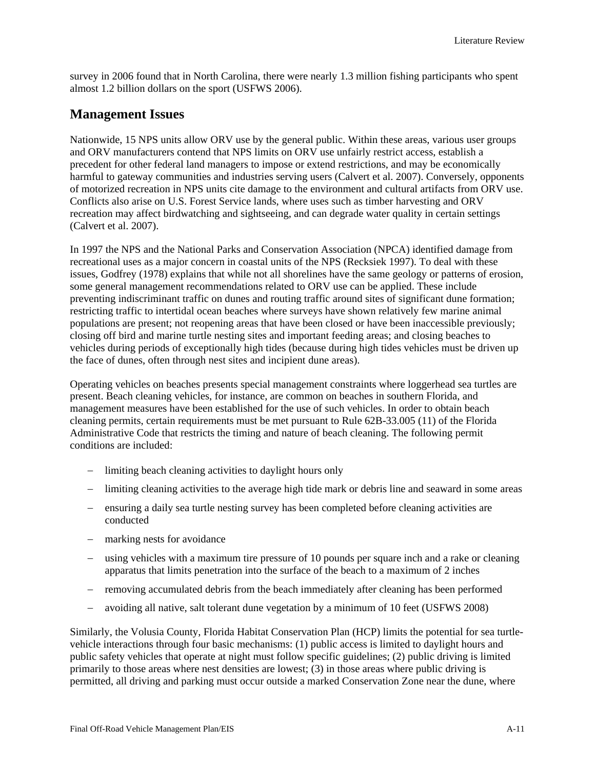survey in 2006 found that in North Carolina, there were nearly 1.3 million fishing participants who spent almost 1.2 billion dollars on the sport (USFWS 2006).

### **Management Issues**

Nationwide, 15 NPS units allow ORV use by the general public. Within these areas, various user groups and ORV manufacturers contend that NPS limits on ORV use unfairly restrict access, establish a precedent for other federal land managers to impose or extend restrictions, and may be economically harmful to gateway communities and industries serving users (Calvert et al. 2007). Conversely, opponents of motorized recreation in NPS units cite damage to the environment and cultural artifacts from ORV use. Conflicts also arise on U.S. Forest Service lands, where uses such as timber harvesting and ORV recreation may affect birdwatching and sightseeing, and can degrade water quality in certain settings (Calvert et al. 2007).

In 1997 the NPS and the National Parks and Conservation Association (NPCA) identified damage from recreational uses as a major concern in coastal units of the NPS (Recksiek 1997). To deal with these issues, Godfrey (1978) explains that while not all shorelines have the same geology or patterns of erosion, some general management recommendations related to ORV use can be applied. These include preventing indiscriminant traffic on dunes and routing traffic around sites of significant dune formation; restricting traffic to intertidal ocean beaches where surveys have shown relatively few marine animal populations are present; not reopening areas that have been closed or have been inaccessible previously; closing off bird and marine turtle nesting sites and important feeding areas; and closing beaches to vehicles during periods of exceptionally high tides (because during high tides vehicles must be driven up the face of dunes, often through nest sites and incipient dune areas).

Operating vehicles on beaches presents special management constraints where loggerhead sea turtles are present. Beach cleaning vehicles, for instance, are common on beaches in southern Florida, and management measures have been established for the use of such vehicles. In order to obtain beach cleaning permits, certain requirements must be met pursuant to Rule 62B-33.005 (11) of the Florida Administrative Code that restricts the timing and nature of beach cleaning. The following permit conditions are included:

- limiting beach cleaning activities to daylight hours only
- limiting cleaning activities to the average high tide mark or debris line and seaward in some areas
- ensuring a daily sea turtle nesting survey has been completed before cleaning activities are conducted
- marking nests for avoidance
- using vehicles with a maximum tire pressure of 10 pounds per square inch and a rake or cleaning apparatus that limits penetration into the surface of the beach to a maximum of 2 inches
- removing accumulated debris from the beach immediately after cleaning has been performed
- avoiding all native, salt tolerant dune vegetation by a minimum of 10 feet (USFWS 2008)

Similarly, the Volusia County, Florida Habitat Conservation Plan (HCP) limits the potential for sea turtlevehicle interactions through four basic mechanisms: (1) public access is limited to daylight hours and public safety vehicles that operate at night must follow specific guidelines; (2) public driving is limited primarily to those areas where nest densities are lowest; (3) in those areas where public driving is permitted, all driving and parking must occur outside a marked Conservation Zone near the dune, where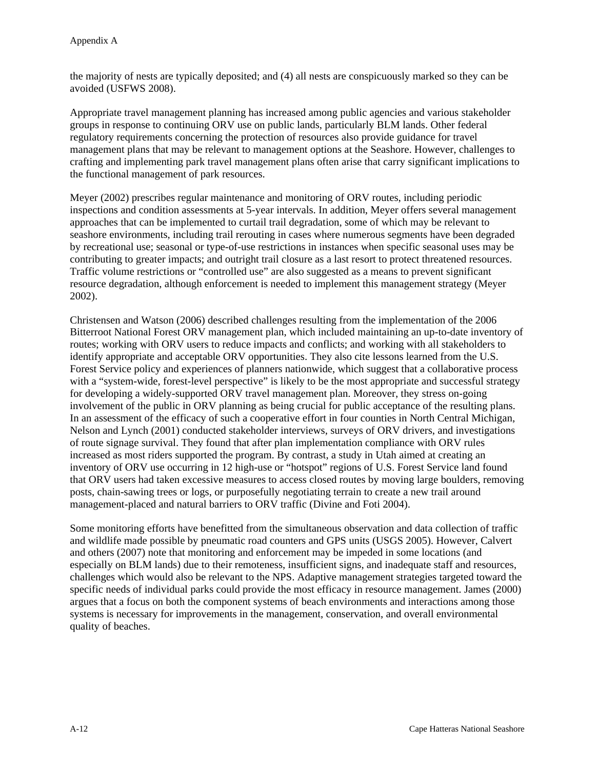the majority of nests are typically deposited; and (4) all nests are conspicuously marked so they can be avoided (USFWS 2008).

Appropriate travel management planning has increased among public agencies and various stakeholder groups in response to continuing ORV use on public lands, particularly BLM lands. Other federal regulatory requirements concerning the protection of resources also provide guidance for travel management plans that may be relevant to management options at the Seashore. However, challenges to crafting and implementing park travel management plans often arise that carry significant implications to the functional management of park resources.

Meyer (2002) prescribes regular maintenance and monitoring of ORV routes, including periodic inspections and condition assessments at 5-year intervals. In addition, Meyer offers several management approaches that can be implemented to curtail trail degradation, some of which may be relevant to seashore environments, including trail rerouting in cases where numerous segments have been degraded by recreational use; seasonal or type-of-use restrictions in instances when specific seasonal uses may be contributing to greater impacts; and outright trail closure as a last resort to protect threatened resources. Traffic volume restrictions or "controlled use" are also suggested as a means to prevent significant resource degradation, although enforcement is needed to implement this management strategy (Meyer 2002).

Christensen and Watson (2006) described challenges resulting from the implementation of the 2006 Bitterroot National Forest ORV management plan, which included maintaining an up-to-date inventory of routes; working with ORV users to reduce impacts and conflicts; and working with all stakeholders to identify appropriate and acceptable ORV opportunities. They also cite lessons learned from the U.S. Forest Service policy and experiences of planners nationwide, which suggest that a collaborative process with a "system-wide, forest-level perspective" is likely to be the most appropriate and successful strategy for developing a widely-supported ORV travel management plan. Moreover, they stress on-going involvement of the public in ORV planning as being crucial for public acceptance of the resulting plans. In an assessment of the efficacy of such a cooperative effort in four counties in North Central Michigan, Nelson and Lynch (2001) conducted stakeholder interviews, surveys of ORV drivers, and investigations of route signage survival. They found that after plan implementation compliance with ORV rules increased as most riders supported the program. By contrast, a study in Utah aimed at creating an inventory of ORV use occurring in 12 high-use or "hotspot" regions of U.S. Forest Service land found that ORV users had taken excessive measures to access closed routes by moving large boulders, removing posts, chain-sawing trees or logs, or purposefully negotiating terrain to create a new trail around management-placed and natural barriers to ORV traffic (Divine and Foti 2004).

Some monitoring efforts have benefitted from the simultaneous observation and data collection of traffic and wildlife made possible by pneumatic road counters and GPS units (USGS 2005). However, Calvert and others (2007) note that monitoring and enforcement may be impeded in some locations (and especially on BLM lands) due to their remoteness, insufficient signs, and inadequate staff and resources, challenges which would also be relevant to the NPS. Adaptive management strategies targeted toward the specific needs of individual parks could provide the most efficacy in resource management. James (2000) argues that a focus on both the component systems of beach environments and interactions among those systems is necessary for improvements in the management, conservation, and overall environmental quality of beaches.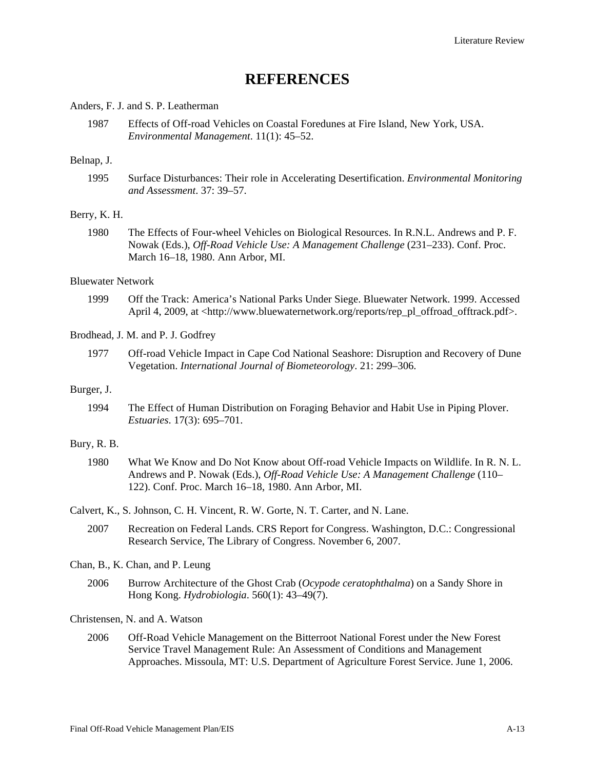### **REFERENCES**

### Anders, F. J. and S. P. Leatherman

1987 Effects of Off-road Vehicles on Coastal Foredunes at Fire Island, New York, USA. *Environmental Management*. 11(1): 45–52.

#### Belnap, J.

1995 Surface Disturbances: Their role in Accelerating Desertification. *Environmental Monitoring and Assessment*. 37: 39–57.

### Berry, K. H.

1980 The Effects of Four-wheel Vehicles on Biological Resources. In R.N.L. Andrews and P. F. Nowak (Eds.), *Off-Road Vehicle Use: A Management Challenge* (231–233). Conf. Proc. March 16–18, 1980. Ann Arbor, MI.

### Bluewater Network

1999 Off the Track: America's National Parks Under Siege. Bluewater Network. 1999. Accessed April 4, 2009, at <http://www.bluewaternetwork.org/reports/rep\_pl\_offroad\_offtrack.pdf>.

### Brodhead, J. M. and P. J. Godfrey

1977 Off-road Vehicle Impact in Cape Cod National Seashore: Disruption and Recovery of Dune Vegetation. *International Journal of Biometeorology*. 21: 299–306.

#### Burger, J.

1994 The Effect of Human Distribution on Foraging Behavior and Habit Use in Piping Plover. *Estuaries*. 17(3): 695–701.

### Bury, R. B.

1980 What We Know and Do Not Know about Off-road Vehicle Impacts on Wildlife. In R. N. L. Andrews and P. Nowak (Eds.), *Off-Road Vehicle Use: A Management Challenge* (110– 122). Conf. Proc. March 16–18, 1980. Ann Arbor, MI.

Calvert, K., S. Johnson, C. H. Vincent, R. W. Gorte, N. T. Carter, and N. Lane.

- 2007 Recreation on Federal Lands. CRS Report for Congress. Washington, D.C.: Congressional Research Service, The Library of Congress. November 6, 2007.
- Chan, B., K. Chan, and P. Leung
	- 2006 Burrow Architecture of the Ghost Crab (*Ocypode ceratophthalma*) on a Sandy Shore in Hong Kong. *Hydrobiologia*. 560(1): 43–49(7).

Christensen, N. and A. Watson

2006 Off-Road Vehicle Management on the Bitterroot National Forest under the New Forest Service Travel Management Rule: An Assessment of Conditions and Management Approaches. Missoula, MT: U.S. Department of Agriculture Forest Service. June 1, 2006.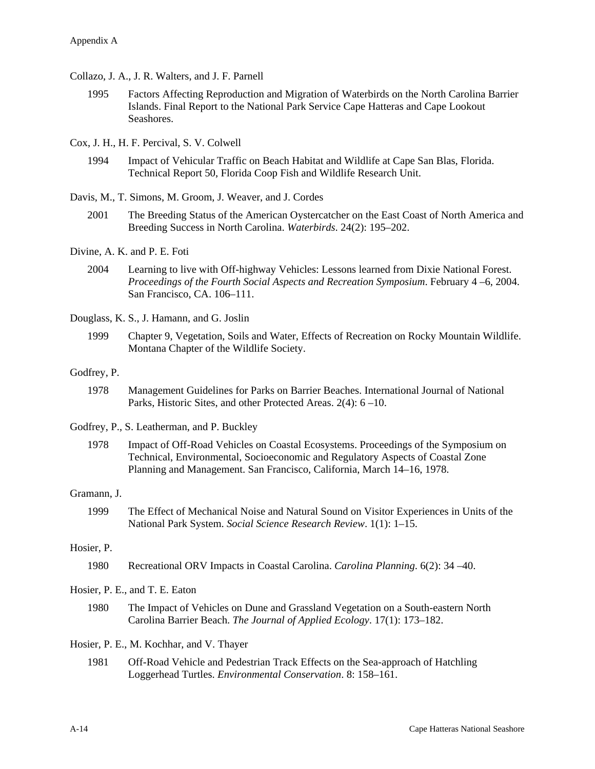- Collazo, J. A., J. R. Walters, and J. F. Parnell
	- 1995 Factors Affecting Reproduction and Migration of Waterbirds on the North Carolina Barrier Islands. Final Report to the National Park Service Cape Hatteras and Cape Lookout Seashores.
- Cox, J. H., H. F. Percival, S. V. Colwell
	- 1994 Impact of Vehicular Traffic on Beach Habitat and Wildlife at Cape San Blas, Florida. Technical Report 50, Florida Coop Fish and Wildlife Research Unit.
- Davis, M., T. Simons, M. Groom, J. Weaver, and J. Cordes
	- 2001 The Breeding Status of the American Oystercatcher on the East Coast of North America and Breeding Success in North Carolina. *Waterbirds*. 24(2): 195–202.
- Divine, A. K. and P. E. Foti
	- 2004 Learning to live with Off-highway Vehicles: Lessons learned from Dixie National Forest. *Proceedings of the Fourth Social Aspects and Recreation Symposium*. February 4 –6, 2004. San Francisco, CA. 106–111.
- Douglass, K. S., J. Hamann, and G. Joslin
	- 1999 Chapter 9, Vegetation, Soils and Water, Effects of Recreation on Rocky Mountain Wildlife. Montana Chapter of the Wildlife Society.
- Godfrey, P.
	- 1978 Management Guidelines for Parks on Barrier Beaches. International Journal of National Parks, Historic Sites, and other Protected Areas. 2(4): 6 –10.
- Godfrey, P., S. Leatherman, and P. Buckley
	- 1978 Impact of Off-Road Vehicles on Coastal Ecosystems. Proceedings of the Symposium on Technical, Environmental, Socioeconomic and Regulatory Aspects of Coastal Zone Planning and Management. San Francisco, California, March 14–16, 1978.

#### Gramann, J.

1999 The Effect of Mechanical Noise and Natural Sound on Visitor Experiences in Units of the National Park System. *Social Science Research Review*. 1(1): 1–15.

#### Hosier, P.

- 1980 Recreational ORV Impacts in Coastal Carolina. *Carolina Planning*. 6(2): 34 –40.
- Hosier, P. E., and T. E. Eaton
	- 1980 The Impact of Vehicles on Dune and Grassland Vegetation on a South-eastern North Carolina Barrier Beach. *The Journal of Applied Ecology*. 17(1): 173–182.
- Hosier, P. E., M. Kochhar, and V. Thayer
	- 1981 Off-Road Vehicle and Pedestrian Track Effects on the Sea-approach of Hatchling Loggerhead Turtles. *Environmental Conservation*. 8: 158–161.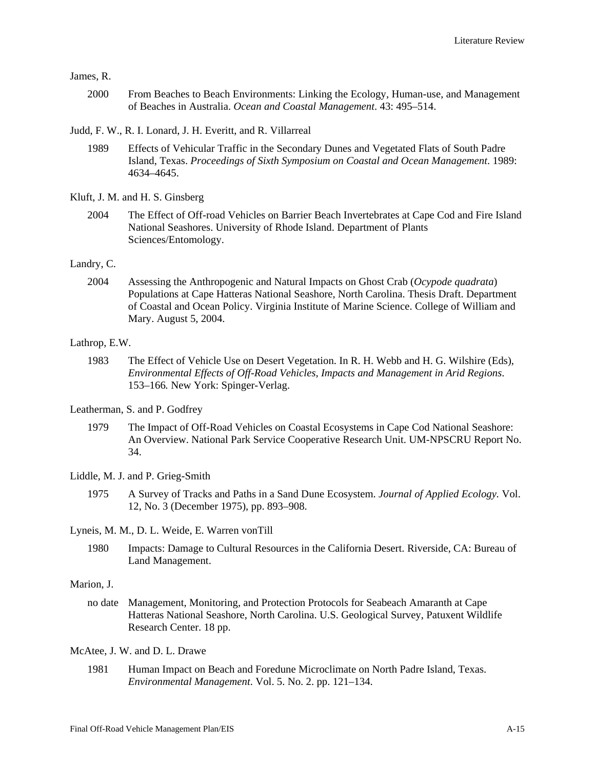James, R.

- 2000 From Beaches to Beach Environments: Linking the Ecology, Human-use, and Management of Beaches in Australia. *Ocean and Coastal Management*. 43: 495–514.
- Judd, F. W., R. I. Lonard, J. H. Everitt, and R. Villarreal
	- 1989 Effects of Vehicular Traffic in the Secondary Dunes and Vegetated Flats of South Padre Island, Texas. *Proceedings of Sixth Symposium on Coastal and Ocean Management*. 1989: 4634–4645.

Kluft, J. M. and H. S. Ginsberg

2004 The Effect of Off-road Vehicles on Barrier Beach Invertebrates at Cape Cod and Fire Island National Seashores. University of Rhode Island. Department of Plants Sciences/Entomology.

#### Landry, C.

2004 Assessing the Anthropogenic and Natural Impacts on Ghost Crab (*Ocypode quadrata*) Populations at Cape Hatteras National Seashore, North Carolina. Thesis Draft. Department of Coastal and Ocean Policy. Virginia Institute of Marine Science. College of William and Mary. August 5, 2004.

### Lathrop, E.W.

- 1983 The Effect of Vehicle Use on Desert Vegetation. In R. H. Webb and H. G. Wilshire (Eds), *Environmental Effects of Off-Road Vehicles, Impacts and Management in Arid Regions*. 153–166*.* New York: Spinger-Verlag.
- Leatherman, S. and P. Godfrey
	- 1979 The Impact of Off-Road Vehicles on Coastal Ecosystems in Cape Cod National Seashore: An Overview. National Park Service Cooperative Research Unit. UM-NPSCRU Report No. 34.
- Liddle, M. J. and P. Grieg-Smith
	- 1975 A Survey of Tracks and Paths in a Sand Dune Ecosystem. *Journal of Applied Ecology.* Vol. 12, No. 3 (December 1975), pp. 893–908.
- Lyneis, M. M., D. L. Weide, E. Warren vonTill
	- 1980 Impacts: Damage to Cultural Resources in the California Desert. Riverside, CA: Bureau of Land Management.
- Marion, J.
	- no date Management, Monitoring, and Protection Protocols for Seabeach Amaranth at Cape Hatteras National Seashore, North Carolina. U.S. Geological Survey, Patuxent Wildlife Research Center. 18 pp.
- McAtee, J. W. and D. L. Drawe
	- 1981 Human Impact on Beach and Foredune Microclimate on North Padre Island, Texas. *Environmental Management*. Vol. 5. No. 2. pp. 121–134.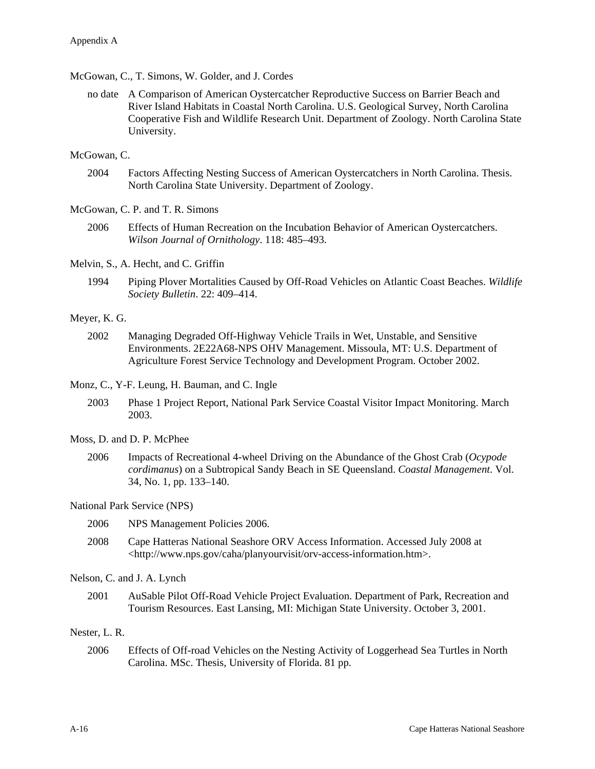- McGowan, C., T. Simons, W. Golder, and J. Cordes
	- no date A Comparison of American Oystercatcher Reproductive Success on Barrier Beach and River Island Habitats in Coastal North Carolina. U.S. Geological Survey, North Carolina Cooperative Fish and Wildlife Research Unit. Department of Zoology. North Carolina State University.

### McGowan, C.

2004 Factors Affecting Nesting Success of American Oystercatchers in North Carolina. Thesis. North Carolina State University. Department of Zoology.

McGowan, C. P. and T. R. Simons

2006 Effects of Human Recreation on the Incubation Behavior of American Oystercatchers. *Wilson Journal of Ornithology*. 118: 485–493.

#### Melvin, S., A. Hecht, and C. Griffin

1994 Piping Plover Mortalities Caused by Off-Road Vehicles on Atlantic Coast Beaches. *Wildlife Society Bulletin*. 22: 409–414.

### Meyer, K. G.

- 2002 Managing Degraded Off-Highway Vehicle Trails in Wet, Unstable, and Sensitive Environments. 2E22A68-NPS OHV Management. Missoula, MT: U.S. Department of Agriculture Forest Service Technology and Development Program. October 2002.
- Monz, C., Y-F. Leung, H. Bauman, and C. Ingle
	- 2003 Phase 1 Project Report, National Park Service Coastal Visitor Impact Monitoring. March 2003.

Moss, D. and D. P. McPhee

2006 Impacts of Recreational 4-wheel Driving on the Abundance of the Ghost Crab (*Ocypode cordimanus*) on a Subtropical Sandy Beach in SE Queensland. *Coastal Management*. Vol. 34, No. 1, pp. 133–140.

National Park Service (NPS)

- 2006 NPS Management Policies 2006.
- 2008 Cape Hatteras National Seashore ORV Access Information. Accessed July 2008 at <http://www.nps.gov/caha/planyourvisit/orv-access-information.htm>.
- Nelson, C. and J. A. Lynch
	- 2001 AuSable Pilot Off-Road Vehicle Project Evaluation. Department of Park, Recreation and Tourism Resources. East Lansing, MI: Michigan State University. October 3, 2001.

### Nester, L. R.

2006 Effects of Off-road Vehicles on the Nesting Activity of Loggerhead Sea Turtles in North Carolina. MSc. Thesis, University of Florida. 81 pp.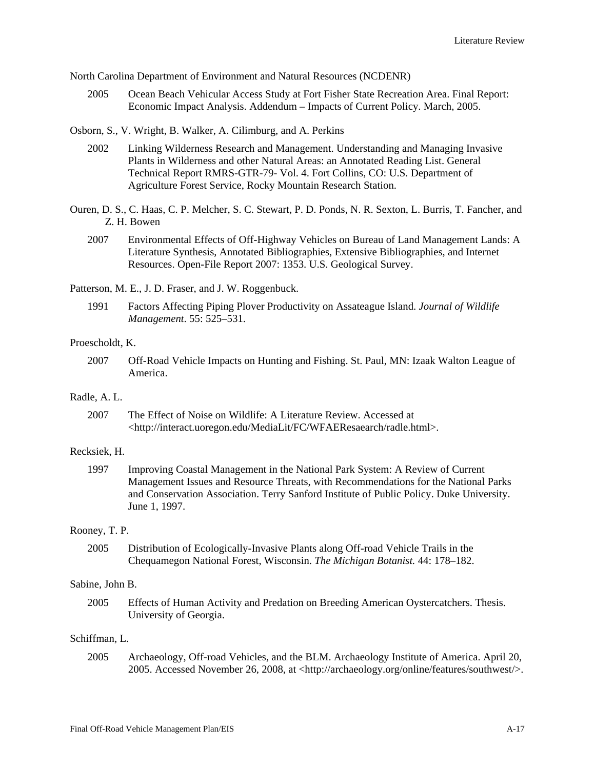North Carolina Department of Environment and Natural Resources (NCDENR)

- 2005 Ocean Beach Vehicular Access Study at Fort Fisher State Recreation Area. Final Report: Economic Impact Analysis. Addendum – Impacts of Current Policy. March, 2005.
- Osborn, S., V. Wright, B. Walker, A. Cilimburg, and A. Perkins
	- 2002 Linking Wilderness Research and Management. Understanding and Managing Invasive Plants in Wilderness and other Natural Areas: an Annotated Reading List. General Technical Report RMRS-GTR-79- Vol. 4. Fort Collins, CO: U.S. Department of Agriculture Forest Service, Rocky Mountain Research Station.
- Ouren, D. S., C. Haas, C. P. Melcher, S. C. Stewart, P. D. Ponds, N. R. Sexton, L. Burris, T. Fancher, and Z. H. Bowen
	- 2007 Environmental Effects of Off-Highway Vehicles on Bureau of Land Management Lands: A Literature Synthesis, Annotated Bibliographies, Extensive Bibliographies, and Internet Resources. Open-File Report 2007: 1353. U.S. Geological Survey.

Patterson, M. E., J. D. Fraser, and J. W. Roggenbuck.

1991 Factors Affecting Piping Plover Productivity on Assateague Island. *Journal of Wildlife Management*. 55: 525–531.

### Proescholdt, K.

2007 Off-Road Vehicle Impacts on Hunting and Fishing. St. Paul, MN: Izaak Walton League of America.

### Radle, A. L.

2007 The Effect of Noise on Wildlife: A Literature Review. Accessed at <http://interact.uoregon.edu/MediaLit/FC/WFAEResaearch/radle.html>.

### Recksiek, H.

1997 Improving Coastal Management in the National Park System: A Review of Current Management Issues and Resource Threats, with Recommendations for the National Parks and Conservation Association. Terry Sanford Institute of Public Policy. Duke University. June 1, 1997.

### Rooney, T. P.

2005 Distribution of Ecologically-Invasive Plants along Off-road Vehicle Trails in the Chequamegon National Forest, Wisconsin. *The Michigan Botanist.* 44: 178–182.

### Sabine, John B.

2005 Effects of Human Activity and Predation on Breeding American Oystercatchers. Thesis. University of Georgia.

### Schiffman, L.

2005 Archaeology, Off-road Vehicles, and the BLM. Archaeology Institute of America. April 20, 2005. Accessed November 26, 2008, at <http://archaeology.org/online/features/southwest/>.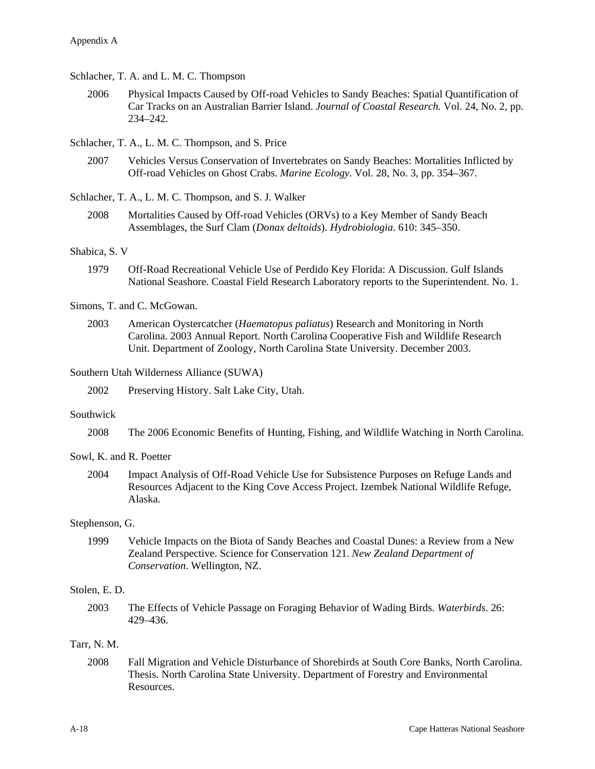### Schlacher, T. A. and L. M. C. Thompson

2006 Physical Impacts Caused by Off-road Vehicles to Sandy Beaches: Spatial Quantification of Car Tracks on an Australian Barrier Island. *Journal of Coastal Research.* Vol. 24, No. 2, pp. 234–242.

### Schlacher, T. A., L. M. C. Thompson, and S. Price

2007 Vehicles Versus Conservation of Invertebrates on Sandy Beaches: Mortalities Inflicted by Off-road Vehicles on Ghost Crabs. *Marine Ecology*. Vol. 28, No. 3, pp. 354–367.

Schlacher, T. A., L. M. C. Thompson, and S. J. Walker

2008 Mortalities Caused by Off-road Vehicles (ORVs) to a Key Member of Sandy Beach Assemblages, the Surf Clam (*Donax deltoids*). *Hydrobiologia*. 610: 345–350.

### Shabica, S. V

1979 Off-Road Recreational Vehicle Use of Perdido Key Florida: A Discussion. Gulf Islands National Seashore. Coastal Field Research Laboratory reports to the Superintendent. No. 1.

Simons, T. and C. McGowan.

2003 American Oystercatcher (*Haematopus paliatus*) Research and Monitoring in North Carolina. 2003 Annual Report. North Carolina Cooperative Fish and Wildlife Research Unit. Department of Zoology, North Carolina State University. December 2003.

### Southern Utah Wilderness Alliance (SUWA)

2002 Preserving History. Salt Lake City, Utah.

### Southwick

2008 The 2006 Economic Benefits of Hunting, Fishing, and Wildlife Watching in North Carolina.

### Sowl, K. and R. Poetter

2004 Impact Analysis of Off-Road Vehicle Use for Subsistence Purposes on Refuge Lands and Resources Adjacent to the King Cove Access Project. Izembek National Wildlife Refuge, Alaska.

### Stephenson, G.

1999 Vehicle Impacts on the Biota of Sandy Beaches and Coastal Dunes: a Review from a New Zealand Perspective. Science for Conservation 121. *New Zealand Department of Conservation*. Wellington, NZ.

### Stolen, E. D.

2003 The Effects of Vehicle Passage on Foraging Behavior of Wading Birds. *Waterbirds*. 26: 429–436.

### Tarr, N. M.

2008 Fall Migration and Vehicle Disturbance of Shorebirds at South Core Banks, North Carolina. Thesis. North Carolina State University. Department of Forestry and Environmental Resources.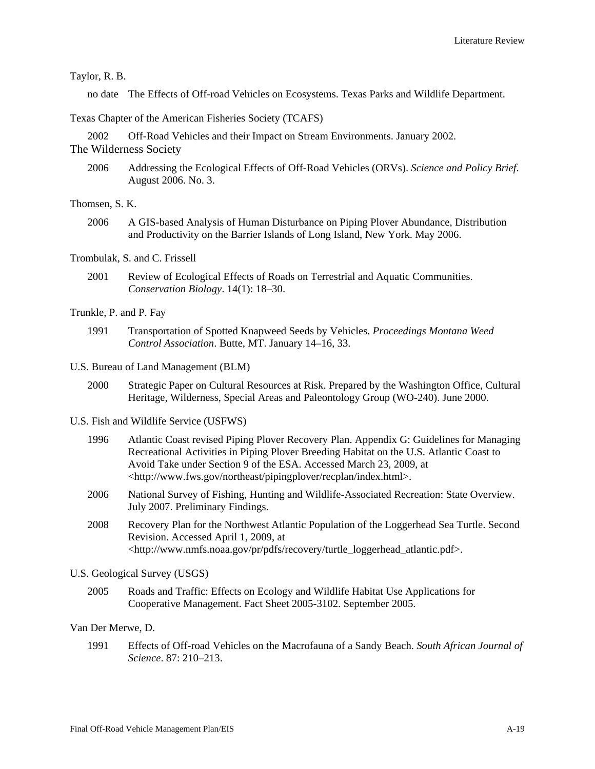Taylor, R. B.

no date The Effects of Off-road Vehicles on Ecosystems. Texas Parks and Wildlife Department.

Texas Chapter of the American Fisheries Society (TCAFS)

2002 Off-Road Vehicles and their Impact on Stream Environments. January 2002.

The Wilderness Society

2006 Addressing the Ecological Effects of Off-Road Vehicles (ORVs). *Science and Policy Brief*. August 2006. No. 3.

Thomsen, S. K.

2006 A GIS-based Analysis of Human Disturbance on Piping Plover Abundance, Distribution and Productivity on the Barrier Islands of Long Island, New York. May 2006.

Trombulak, S. and C. Frissell

2001 Review of Ecological Effects of Roads on Terrestrial and Aquatic Communities. *Conservation Biology*. 14(1): 18–30.

Trunkle, P. and P. Fay

- 1991 Transportation of Spotted Knapweed Seeds by Vehicles. *Proceedings Montana Weed Control Association*. Butte, MT. January 14–16, 33.
- U.S. Bureau of Land Management (BLM)
	- 2000 Strategic Paper on Cultural Resources at Risk. Prepared by the Washington Office, Cultural Heritage, Wilderness, Special Areas and Paleontology Group (WO-240). June 2000.
- U.S. Fish and Wildlife Service (USFWS)
	- 1996 Atlantic Coast revised Piping Plover Recovery Plan. Appendix G: Guidelines for Managing Recreational Activities in Piping Plover Breeding Habitat on the U.S. Atlantic Coast to Avoid Take under Section 9 of the ESA. Accessed March 23, 2009, at <http://www.fws.gov/northeast/pipingplover/recplan/index.html>.
	- 2006 National Survey of Fishing, Hunting and Wildlife-Associated Recreation: State Overview. July 2007. Preliminary Findings.
	- 2008 Recovery Plan for the Northwest Atlantic Population of the Loggerhead Sea Turtle. Second Revision. Accessed April 1, 2009, at <http://www.nmfs.noaa.gov/pr/pdfs/recovery/turtle\_loggerhead\_atlantic.pdf>.
- U.S. Geological Survey (USGS)
	- 2005 Roads and Traffic: Effects on Ecology and Wildlife Habitat Use Applications for Cooperative Management. Fact Sheet 2005-3102. September 2005.

Van Der Merwe, D.

1991 Effects of Off-road Vehicles on the Macrofauna of a Sandy Beach. *South African Journal of Science*. 87: 210–213.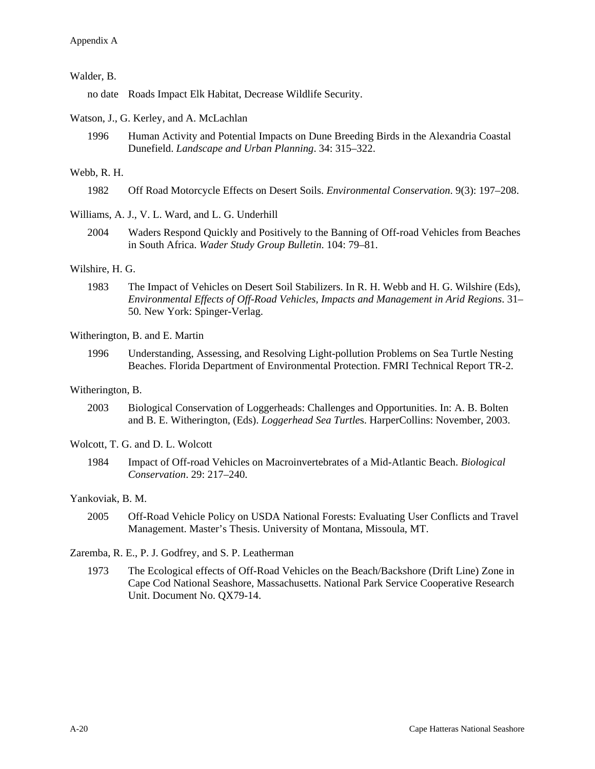### Walder, B.

no date Roads Impact Elk Habitat, Decrease Wildlife Security.

### Watson, J., G. Kerley, and A. McLachlan

1996 Human Activity and Potential Impacts on Dune Breeding Birds in the Alexandria Coastal Dunefield. *Landscape and Urban Planning*. 34: 315–322.

### Webb, R. H.

1982 Off Road Motorcycle Effects on Desert Soils. *Environmental Conservation*. 9(3): 197–208.

### Williams, A. J., V. L. Ward, and L. G. Underhill

2004 Waders Respond Quickly and Positively to the Banning of Off-road Vehicles from Beaches in South Africa. *Wader Study Group Bulletin*. 104: 79–81.

#### Wilshire, H. G.

1983 The Impact of Vehicles on Desert Soil Stabilizers. In R. H. Webb and H. G. Wilshire (Eds), *Environmental Effects of Off-Road Vehicles, Impacts and Management in Arid Regions*. 31– 50*.* New York: Spinger-Verlag.

### Witherington, B. and E. Martin

1996 Understanding, Assessing, and Resolving Light-pollution Problems on Sea Turtle Nesting Beaches. Florida Department of Environmental Protection. FMRI Technical Report TR-2.

#### Witherington, B.

- 2003 Biological Conservation of Loggerheads: Challenges and Opportunities. In: A. B. Bolten and B. E. Witherington, (Eds). *Loggerhead Sea Turtle*s. HarperCollins: November, 2003.
- Wolcott, T. G. and D. L. Wolcott
	- 1984 Impact of Off-road Vehicles on Macroinvertebrates of a Mid-Atlantic Beach. *Biological Conservation*. 29: 217–240.

#### Yankoviak, B. M.

2005 Off-Road Vehicle Policy on USDA National Forests: Evaluating User Conflicts and Travel Management. Master's Thesis. University of Montana, Missoula, MT.

### Zaremba, R. E., P. J. Godfrey, and S. P. Leatherman

1973 The Ecological effects of Off-Road Vehicles on the Beach/Backshore (Drift Line) Zone in Cape Cod National Seashore, Massachusetts. National Park Service Cooperative Research Unit. Document No. QX79-14.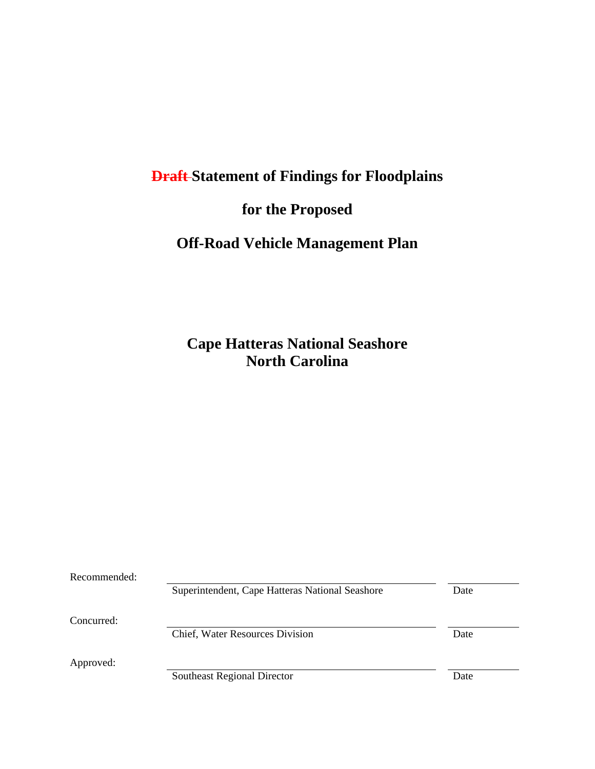# **Draft Statement of Findings for Floodplains**

# **for the Proposed**

# **Off-Road Vehicle Management Plan**

## **Cape Hatteras National Seashore North Carolina**

| Recommended: |                                                 |      |
|--------------|-------------------------------------------------|------|
|              | Superintendent, Cape Hatteras National Seashore | Date |
| Concurred:   |                                                 |      |
|              | <b>Chief, Water Resources Division</b>          | Date |
| Approved:    |                                                 |      |
|              | Southeast Regional Director                     | Date |

 $\overline{\phantom{0}}$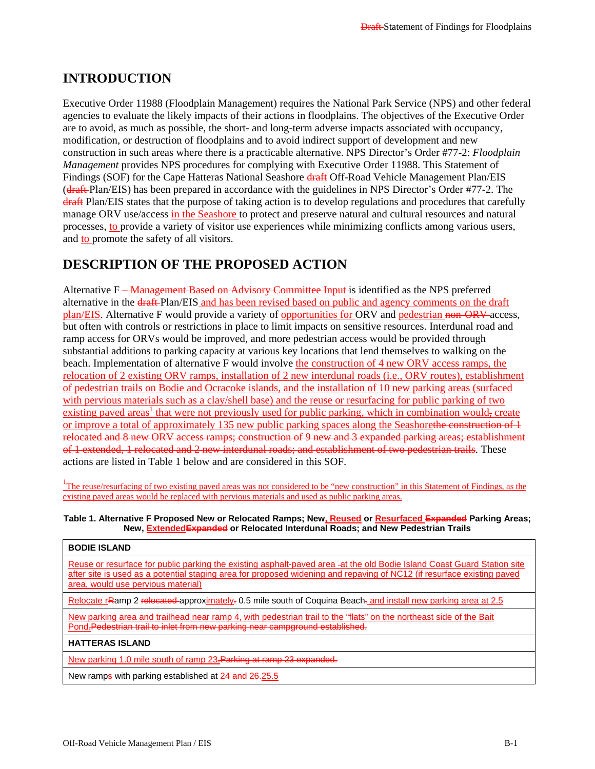## **INTRODUCTION**

Executive Order 11988 (Floodplain Management) requires the National Park Service (NPS) and other federal agencies to evaluate the likely impacts of their actions in floodplains. The objectives of the Executive Order are to avoid, as much as possible, the short- and long-term adverse impacts associated with occupancy, modification, or destruction of floodplains and to avoid indirect support of development and new construction in such areas where there is a practicable alternative. NPS Director's Order #77-2: *Floodplain Management* provides NPS procedures for complying with Executive Order 11988. This Statement of Findings (SOF) for the Cape Hatteras National Seashore draft Off-Road Vehicle Management Plan/EIS (draft Plan/EIS) has been prepared in accordance with the guidelines in NPS Director's Order #77-2. The draft Plan/EIS states that the purpose of taking action is to develop regulations and procedures that carefully manage ORV use/access in the Seashore to protect and preserve natural and cultural resources and natural processes, to provide a variety of visitor use experiences while minimizing conflicts among various users, and to promote the safety of all visitors.

### **DESCRIPTION OF THE PROPOSED ACTION**

Alternative F <del>– Management Based on Advisory Committee Input i</del>s identified as the NPS preferred alternative in the <del>draft</del>-Plan/EIS and has been revised based on public and agency comments on the draft plan/EIS. Alternative F would provide a variety of opportunities for ORV and pedestrian non-ORV-access, but often with controls or restrictions in place to limit impacts on sensitive resources. Interdunal road and ramp access for ORVs would be improved, and more pedestrian access would be provided through substantial additions to parking capacity at various key locations that lend themselves to walking on the beach. Implementation of alternative F would involve the construction of 4 new ORV access ramps, the relocation of 2 existing ORV ramps, installation of 2 new interdunal roads (i.e., ORV routes), establishment of pedestrian trails on Bodie and Ocracoke islands, and the installation of 10 new parking areas (surfaced with pervious materials such as a clay/shell base) and the reuse or resurfacing for public parking of two existing paved areas<sup>1</sup> that were not previously used for public parking, which in combination would, create or improve a total of approximately 135 new public parking spaces along the Seashorethe construction of  $\ddot{\rm{+}}$ relocated and 8 new ORV access ramps; construction of 9 new and 3 expanded parking areas; establishment of 1 extended, 1 relocated and 2 new interdunal roads; and establishment of two pedestrian trails. These actions are listed in Table 1 below and are considered in this SOF.

<sup>1</sup>The reuse/resurfacing of two existing paved areas was not considered to be "new construction" in this Statement of Findings, as the existing paved areas would be replaced with pervious materials and used as public parking areas.

**Table 1. Alternative F Proposed New or Relocated Ramps; New, Reused or Resurfaced Expanded Parking Areas; New, ExtendedExpanded or Relocated Interdunal Roads; and New Pedestrian Trails** 

| <b>BODIE ISLAND</b>                                                                                                                                                                                                                                                                     |
|-----------------------------------------------------------------------------------------------------------------------------------------------------------------------------------------------------------------------------------------------------------------------------------------|
| Reuse or resurface for public parking the existing asphalt-paved area -at the old Bodie Island Coast Guard Station site<br>after site is used as a potential staging area for proposed widening and repaving of NC12 (if resurface existing paved<br>area, would use pervious material) |
| Relocate rRamp 2 relocated approximately- 0.5 mile south of Coquina Beach-and install new parking area at 2.5                                                                                                                                                                           |
| New parking area and trailhead near ramp 4, with pedestrian trail to the "flats" on the northeast side of the Bait<br>Pond.Pedestrian trail to inlet from new parking near campground established                                                                                       |
| <b>HATTERAS ISLAND</b>                                                                                                                                                                                                                                                                  |
| New parking 1.0 mile south of ramp 23. Parking at ramp 23 expanded.                                                                                                                                                                                                                     |
| New ramps with parking established at 24 and 26-25.5                                                                                                                                                                                                                                    |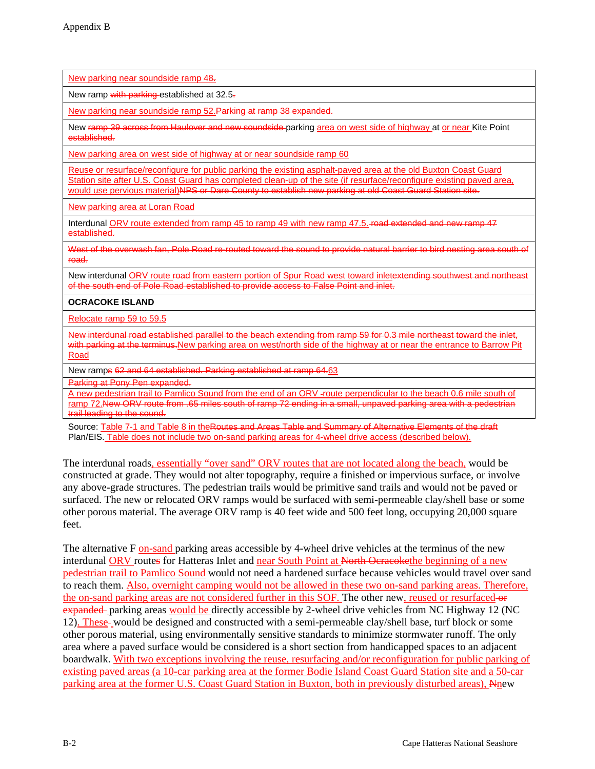New parking near soundside ramp 48.

New ramp with parking established at 32.5.

New parking near soundside ramp 52.Parking at ramp 38 expanded.

New ramp 39 across from Haulover and new soundside-parking area on west side of highway at or near Kite Point established.

New parking area on west side of highway at or near soundside ramp 60

Reuse or resurface/reconfigure for public parking the existing asphalt-paved area at the old Buxton Coast Guard Station site after U.S. Coast Guard has completed clean-up of the site (if resurface/reconfigure existing paved area, would use pervious material)NPS or Dare County to establish new parking at old Coast Guard Station site.

New parking area at Loran Road

Interdunal ORV route extended from ramp 45 to ramp 49 with new ramp 47.5. road extended and new ramp 47 established.

West of the overwash fan, Pole Road re-routed toward the sound to provide natural barrier to bird nesting area south of road.

New interdunal ORV route road from eastern portion of Spur Road west toward inletextending southwest and northeast of the south end of Pole Road established to provide access to False Point and inlet.

**OCRACOKE ISLAND** 

Relocate ramp 59 to 59.5

New interdunal road established parallel to the beach extending from ramp 59 for 0.3 mile northeast toward the inlet, with parking at the terminus. New parking area on west/north side of the highway at or near the entrance to Barrow Pit Road

New ramps 62 and 64 established. Parking established at ramp 64.63

Parking at Pony Pen expanded.

A new pedestrian trail to Pamlico Sound from the end of an ORV route perpendicular to the beach 0.6 mile south of ramp 72.New ORV route from .65 miles south of ramp 72 ending in a small, unpaved parking area with a pedestrian trail leading to the sound.

Source: Table 7-1 and Table 8 in the Routes and Areas Table and Summary of Alternative Elements of the draft Plan/EIS. Table does not include two on-sand parking areas for 4-wheel drive access (described below).

The interdunal roads, essentially "over sand" ORV routes that are not located along the beach, would be constructed at grade. They would not alter topography, require a finished or impervious surface, or involve any above-grade structures. The pedestrian trails would be primitive sand trails and would not be paved or surfaced. The new or relocated ORV ramps would be surfaced with semi-permeable clay/shell base or some other porous material. The average ORV ramp is 40 feet wide and 500 feet long, occupying 20,000 square feet.

The alternative F on-sand parking areas accessible by 4-wheel drive vehicles at the terminus of the new interdunal ORV routes for Hatteras Inlet and near South Point at North Ocraeokethe beginning of a new pedestrian trail to Pamlico Sound would not need a hardened surface because vehicles would travel over sand to reach them. Also, overnight camping would not be allowed in these two on-sand parking areas. Therefore, the on-sand parking areas are not considered further in this SOF. The other new, reused or resurfaced-or expanded parking areas would be directly accessible by 2-wheel drive vehicles from NC Highway 12 (NC 12). These would be designed and constructed with a semi-permeable clay/shell base, turf block or some other porous material, using environmentally sensitive standards to minimize stormwater runoff. The only area where a paved surface would be considered is a short section from handicapped spaces to an adjacent boardwalk. With two exceptions involving the reuse, resurfacing and/or reconfiguration for public parking of existing paved areas (a 10-car parking area at the former Bodie Island Coast Guard Station site and a 50-car parking area at the former U.S. Coast Guard Station in Buxton, both in previously disturbed areas), Nnew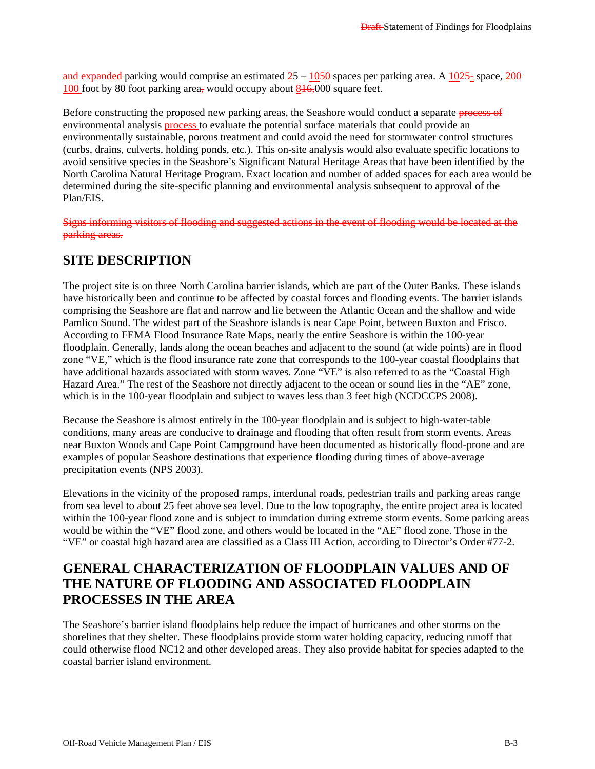and expanded parking would comprise an estimated  $25 - 1050$  spaces per parking area. A  $1025$ -space,  $200$ 100 foot by 80 foot parking area, would occupy about 816,000 square feet.

Before constructing the proposed new parking areas, the Seashore would conduct a separate process of environmental analysis process to evaluate the potential surface materials that could provide an environmentally sustainable, porous treatment and could avoid the need for stormwater control structures (curbs, drains, culverts, holding ponds, etc.). This on-site analysis would also evaluate specific locations to avoid sensitive species in the Seashore's Significant Natural Heritage Areas that have been identified by the North Carolina Natural Heritage Program. Exact location and number of added spaces for each area would be determined during the site-specific planning and environmental analysis subsequent to approval of the Plan/EIS.

Signs informing visitors of flooding and suggested actions in the event of flooding would be located at the parking areas.

### **SITE DESCRIPTION**

The project site is on three North Carolina barrier islands, which are part of the Outer Banks. These islands have historically been and continue to be affected by coastal forces and flooding events. The barrier islands comprising the Seashore are flat and narrow and lie between the Atlantic Ocean and the shallow and wide Pamlico Sound. The widest part of the Seashore islands is near Cape Point, between Buxton and Frisco. According to FEMA Flood Insurance Rate Maps, nearly the entire Seashore is within the 100-year floodplain. Generally, lands along the ocean beaches and adjacent to the sound (at wide points) are in flood zone "VE," which is the flood insurance rate zone that corresponds to the 100-year coastal floodplains that have additional hazards associated with storm waves. Zone "VE" is also referred to as the "Coastal High Hazard Area." The rest of the Seashore not directly adjacent to the ocean or sound lies in the "AE" zone, which is in the 100-year floodplain and subject to waves less than 3 feet high (NCDCCPS 2008).

Because the Seashore is almost entirely in the 100-year floodplain and is subject to high-water-table conditions, many areas are conducive to drainage and flooding that often result from storm events. Areas near Buxton Woods and Cape Point Campground have been documented as historically flood-prone and are examples of popular Seashore destinations that experience flooding during times of above-average precipitation events (NPS 2003).

Elevations in the vicinity of the proposed ramps, interdunal roads, pedestrian trails and parking areas range from sea level to about 25 feet above sea level. Due to the low topography, the entire project area is located within the 100-year flood zone and is subject to inundation during extreme storm events. Some parking areas would be within the "VE" flood zone, and others would be located in the "AE" flood zone. Those in the "VE" or coastal high hazard area are classified as a Class III Action, according to Director's Order #77-2.

### **GENERAL CHARACTERIZATION OF FLOODPLAIN VALUES AND OF THE NATURE OF FLOODING AND ASSOCIATED FLOODPLAIN PROCESSES IN THE AREA**

The Seashore's barrier island floodplains help reduce the impact of hurricanes and other storms on the shorelines that they shelter. These floodplains provide storm water holding capacity, reducing runoff that could otherwise flood NC12 and other developed areas. They also provide habitat for species adapted to the coastal barrier island environment.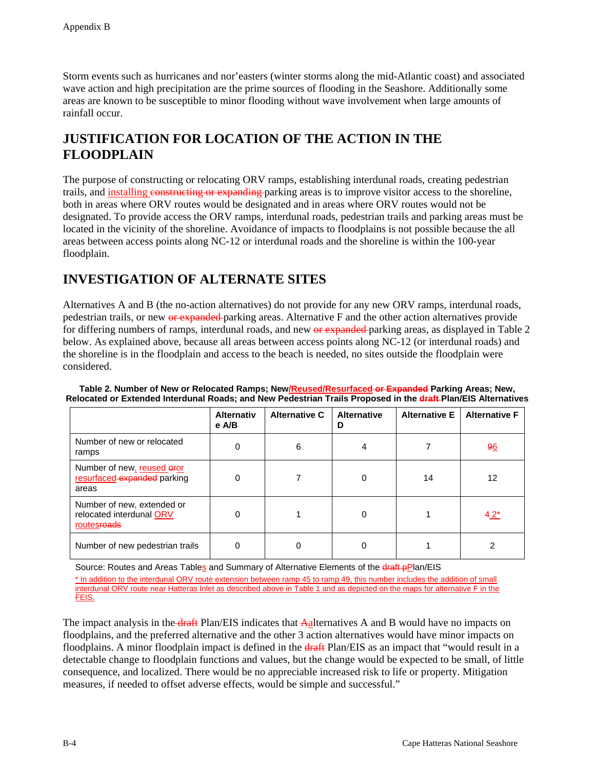Storm events such as hurricanes and nor'easters (winter storms along the mid-Atlantic coast) and associated wave action and high precipitation are the prime sources of flooding in the Seashore. Additionally some areas are known to be susceptible to minor flooding without wave involvement when large amounts of rainfall occur.

## **JUSTIFICATION FOR LOCATION OF THE ACTION IN THE FLOODPLAIN**

The purpose of constructing or relocating ORV ramps, establishing interdunal roads, creating pedestrian trails, and installing constructing or expanding parking areas is to improve visitor access to the shoreline, both in areas where ORV routes would be designated and in areas where ORV routes would not be designated. To provide access the ORV ramps, interdunal roads, pedestrian trails and parking areas must be located in the vicinity of the shoreline. Avoidance of impacts to floodplains is not possible because the all areas between access points along NC-12 or interdunal roads and the shoreline is within the 100-year floodplain.

## **INVESTIGATION OF ALTERNATE SITES**

Alternatives A and B (the no-action alternatives) do not provide for any new ORV ramps, interdunal roads, pedestrian trails, or new or expanded parking areas. Alternative F and the other action alternatives provide for differing numbers of ramps, interdunal roads, and new or expanded parking areas, as displayed in Table 2 below. As explained above, because all areas between access points along NC-12 (or interdunal roads) and the shoreline is in the floodplain and access to the beach is needed, no sites outside the floodplain were considered.

|                                                                       | <b>Alternativ</b><br>e A/B | <b>Alternative C</b> | <b>Alternative</b><br>D | <b>Alternative E</b> | <b>Alternative F</b> |
|-----------------------------------------------------------------------|----------------------------|----------------------|-------------------------|----------------------|----------------------|
| Number of new or relocated<br>ramps                                   | 0                          | 6                    | 4                       |                      | 96                   |
| Number of new, reused eror<br>resurfaced expanded parking<br>areas    | 0                          |                      | 0                       | 14                   | 12                   |
| Number of new, extended or<br>relocated interdunal ORV<br>routesroads | 0                          |                      | 0                       |                      | $4.2*$               |
| Number of new pedestrian trails                                       | 0                          |                      |                         |                      |                      |

**Table 2. Number of New or Relocated Ramps; New/Reused/Resurfaced or Expanded Parking Areas; New, Relocated or Extended Interdunal Roads; and New Pedestrian Trails Proposed in the draft Plan/EIS Alternatives** 

Source: Routes and Areas Tables and Summary of Alternative Elements of the draft pPlan/EIS

\* In addition to the interdunal ORV route extension between ramp 45 to ramp 49, this number includes the addition of small interdunal ORV route near Hatteras Inlet as described above in Table 1 and as depicted on the maps for alternative F in the FEIS.

The impact analysis in the  $\frac{draff}{dr}$  Plan/EIS indicates that  $\frac{A}{dt}$  deternatives A and B would have no impacts on floodplains, and the preferred alternative and the other 3 action alternatives would have minor impacts on floodplains. A minor floodplain impact is defined in the draft Plan/EIS as an impact that "would result in a detectable change to floodplain functions and values, but the change would be expected to be small, of little consequence, and localized. There would be no appreciable increased risk to life or property. Mitigation measures, if needed to offset adverse effects, would be simple and successful."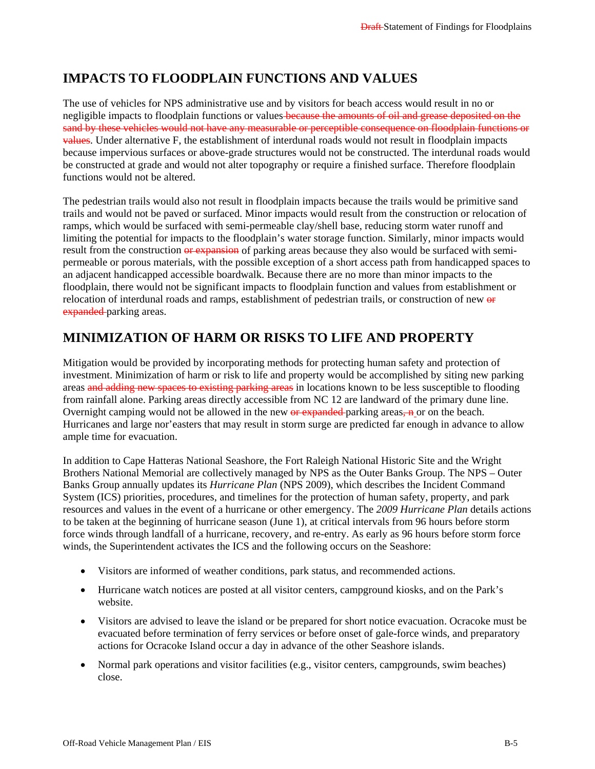## **IMPACTS TO FLOODPLAIN FUNCTIONS AND VALUES**

The use of vehicles for NPS administrative use and by visitors for beach access would result in no or negligible impacts to floodplain functions or values because the amounts of oil and grease deposited on the sand by these vehicles would not have any measurable or perceptible consequence on floodplain functions or values. Under alternative F, the establishment of interdunal roads would not result in floodplain impacts because impervious surfaces or above-grade structures would not be constructed. The interdunal roads would be constructed at grade and would not alter topography or require a finished surface. Therefore floodplain functions would not be altered.

The pedestrian trails would also not result in floodplain impacts because the trails would be primitive sand trails and would not be paved or surfaced. Minor impacts would result from the construction or relocation of ramps, which would be surfaced with semi-permeable clay/shell base, reducing storm water runoff and limiting the potential for impacts to the floodplain's water storage function. Similarly, minor impacts would result from the construction or expansion of parking areas because they also would be surfaced with semipermeable or porous materials, with the possible exception of a short access path from handicapped spaces to an adjacent handicapped accessible boardwalk. Because there are no more than minor impacts to the floodplain, there would not be significant impacts to floodplain function and values from establishment or relocation of interdunal roads and ramps, establishment of pedestrian trails, or construction of new or expanded-parking areas.

## **MINIMIZATION OF HARM OR RISKS TO LIFE AND PROPERTY**

Mitigation would be provided by incorporating methods for protecting human safety and protection of investment. Minimization of harm or risk to life and property would be accomplished by siting new parking areas and adding new spaces to existing parking areas in locations known to be less susceptible to flooding from rainfall alone. Parking areas directly accessible from NC 12 are landward of the primary dune line. Overnight camping would not be allowed in the new or expanded parking areas, n or on the beach. Hurricanes and large nor'easters that may result in storm surge are predicted far enough in advance to allow ample time for evacuation.

In addition to Cape Hatteras National Seashore, the Fort Raleigh National Historic Site and the Wright Brothers National Memorial are collectively managed by NPS as the Outer Banks Group. The NPS – Outer Banks Group annually updates its *Hurricane Plan* (NPS 2009), which describes the Incident Command System (ICS) priorities, procedures, and timelines for the protection of human safety, property, and park resources and values in the event of a hurricane or other emergency. The *2009 Hurricane Plan* details actions to be taken at the beginning of hurricane season (June 1), at critical intervals from 96 hours before storm force winds through landfall of a hurricane, recovery, and re-entry. As early as 96 hours before storm force winds, the Superintendent activates the ICS and the following occurs on the Seashore:

- Visitors are informed of weather conditions, park status, and recommended actions.
- Hurricane watch notices are posted at all visitor centers, campground kiosks, and on the Park's website.
- Visitors are advised to leave the island or be prepared for short notice evacuation. Ocracoke must be evacuated before termination of ferry services or before onset of gale-force winds, and preparatory actions for Ocracoke Island occur a day in advance of the other Seashore islands.
- Normal park operations and visitor facilities (e.g., visitor centers, campgrounds, swim beaches) close.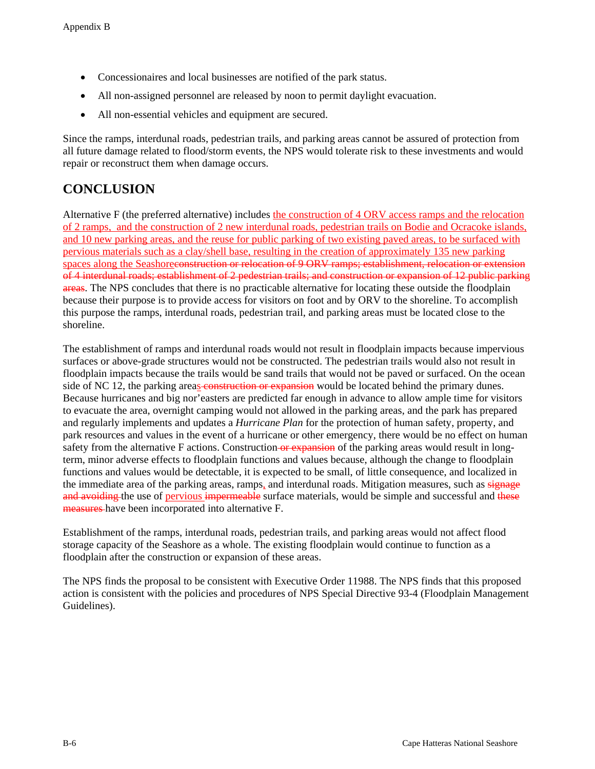- Concessionaires and local businesses are notified of the park status.
- All non-assigned personnel are released by noon to permit daylight evacuation.
- All non-essential vehicles and equipment are secured.

Since the ramps, interdunal roads, pedestrian trails, and parking areas cannot be assured of protection from all future damage related to flood/storm events, the NPS would tolerate risk to these investments and would repair or reconstruct them when damage occurs.

## **CONCLUSION**

Alternative F (the preferred alternative) includes the construction of 4 ORV access ramps and the relocation of 2 ramps, and the construction of 2 new interdunal roads, pedestrian trails on Bodie and Ocracoke islands, and 10 new parking areas, and the reuse for public parking of two existing paved areas, to be surfaced with pervious materials such as a clay/shell base, resulting in the creation of approximately 135 new parking spaces along the Seashoreconstruction or relocation of 9 ORV ramps; establishment, relocation or extension of 4 interdunal roads; establishment of 2 pedestrian trails; and construction or expansion of 12 public parking areas. The NPS concludes that there is no practicable alternative for locating these outside the floodplain because their purpose is to provide access for visitors on foot and by ORV to the shoreline. To accomplish this purpose the ramps, interdunal roads, pedestrian trail, and parking areas must be located close to the shoreline.

The establishment of ramps and interdunal roads would not result in floodplain impacts because impervious surfaces or above-grade structures would not be constructed. The pedestrian trails would also not result in floodplain impacts because the trails would be sand trails that would not be paved or surfaced. On the ocean side of NC 12, the parking areas-construction or expansion would be located behind the primary dunes. Because hurricanes and big nor'easters are predicted far enough in advance to allow ample time for visitors to evacuate the area, overnight camping would not allowed in the parking areas, and the park has prepared and regularly implements and updates a *Hurricane Plan* for the protection of human safety, property, and park resources and values in the event of a hurricane or other emergency, there would be no effect on human safety from the alternative F actions. Construction or expansion of the parking areas would result in longterm, minor adverse effects to floodplain functions and values because, although the change to floodplain functions and values would be detectable, it is expected to be small, of little consequence, and localized in the immediate area of the parking areas, ramps, and interdunal roads. Mitigation measures, such as signage and avoiding the use of pervious impermeable surface materials, would be simple and successful and these measures have been incorporated into alternative F.

Establishment of the ramps, interdunal roads, pedestrian trails, and parking areas would not affect flood storage capacity of the Seashore as a whole. The existing floodplain would continue to function as a floodplain after the construction or expansion of these areas.

The NPS finds the proposal to be consistent with Executive Order 11988. The NPS finds that this proposed action is consistent with the policies and procedures of NPS Special Directive 93-4 (Floodplain Management Guidelines).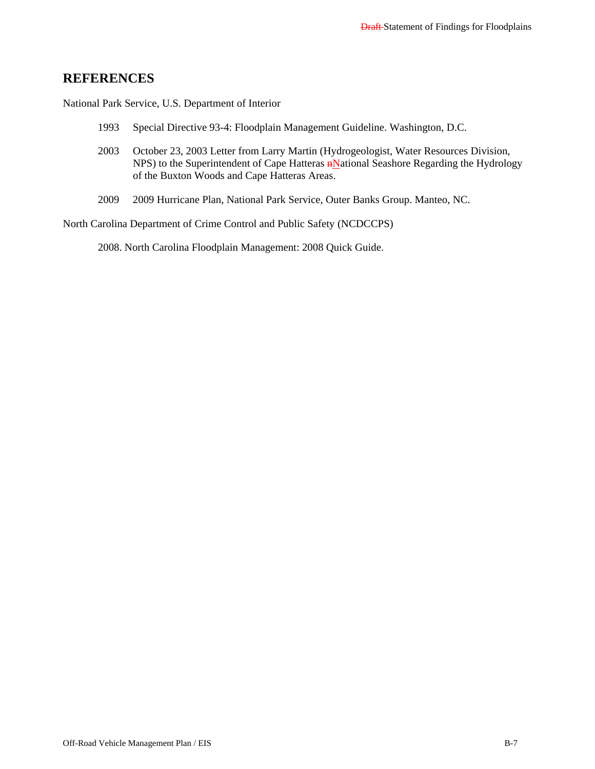### **REFERENCES**

National Park Service, U.S. Department of Interior

- 1993 Special Directive 93-4: Floodplain Management Guideline. Washington, D.C.
- 2003 October 23, 2003 Letter from Larry Martin (Hydrogeologist, Water Resources Division, NPS) to the Superintendent of Cape Hatteras nNational Seashore Regarding the Hydrology of the Buxton Woods and Cape Hatteras Areas.
- 2009 2009 Hurricane Plan, National Park Service, Outer Banks Group. Manteo, NC.

North Carolina Department of Crime Control and Public Safety (NCDCCPS)

2008. North Carolina Floodplain Management: 2008 Quick Guide.